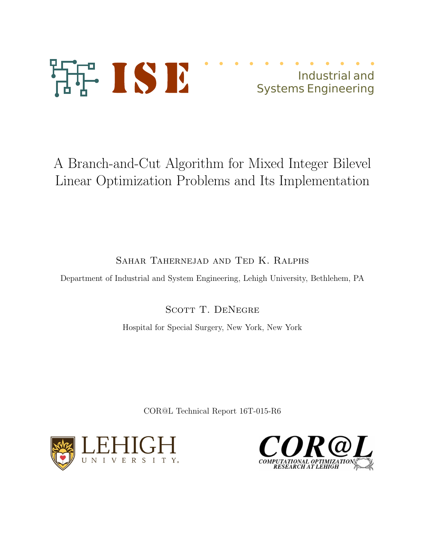

# Industrial and Systems Engineering

# A Branch-and-Cut Algorithm for Mixed Integer Bilevel Linear Optimization Problems and Its Implementation

Sahar Tahernejad and Ted K. Ralphs

Department of Industrial and System Engineering, Lehigh University, Bethlehem, PA

SCOTT T. DENEGRE

Hospital for Special Surgery, New York, New York

COR@L Technical Report 16T-015-R6



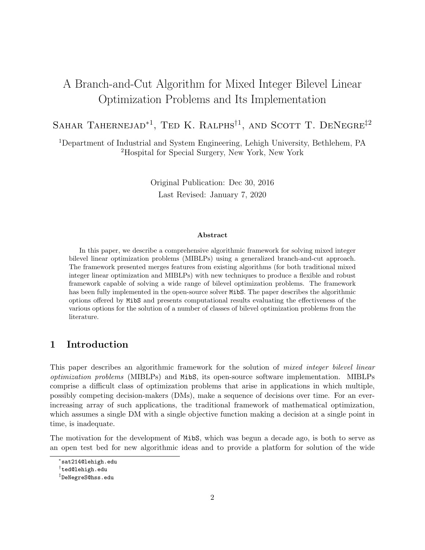## A Branch-and-Cut Algorithm for Mixed Integer Bilevel Linear Optimization Problems and Its Implementation

SAHAR TAHERNEJAD<sup>\*1</sup>, TED K. RALPHS<sup>†1</sup>, AND SCOTT T. DENEGRE<sup>‡2</sup>

<sup>1</sup>Department of Industrial and System Engineering, Lehigh University, Bethlehem, PA <sup>2</sup>Hospital for Special Surgery, New York, New York

> Original Publication: Dec 30, 2016 Last Revised: January 7, 2020

#### Abstract

In this paper, we describe a comprehensive algorithmic framework for solving mixed integer bilevel linear optimization problems (MIBLPs) using a generalized branch-and-cut approach. The framework presented merges features from existing algorithms (for both traditional mixed integer linear optimization and MIBLPs) with new techniques to produce a flexible and robust framework capable of solving a wide range of bilevel optimization problems. The framework has been fully implemented in the open-source solver MibS. The paper describes the algorithmic options offered by MibS and presents computational results evaluating the effectiveness of the various options for the solution of a number of classes of bilevel optimization problems from the literature.

## 1 Introduction

This paper describes an algorithmic framework for the solution of *mixed integer bilevel linear* optimization problems (MIBLPs) and MibS, its open-source software implementation. MIBLPs comprise a difficult class of optimization problems that arise in applications in which multiple, possibly competing decision-makers (DMs), make a sequence of decisions over time. For an everincreasing array of such applications, the traditional framework of mathematical optimization, which assumes a single DM with a single objective function making a decision at a single point in time, is inadequate.

The motivation for the development of MibS, which was begun a decade ago, is both to serve as an open test bed for new algorithmic ideas and to provide a platform for solution of the wide

<sup>∗</sup> sat214@lehigh.edu

<sup>†</sup> ted@lehigh.edu

<sup>‡</sup> DeNegreS@hss.edu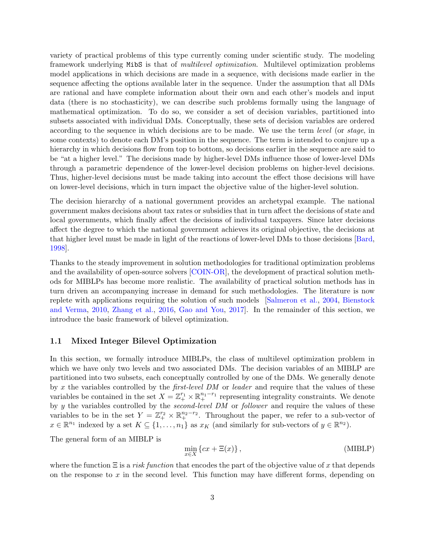variety of practical problems of this type currently coming under scientific study. The modeling framework underlying MibS is that of *multilevel optimization*. Multilevel optimization problems model applications in which decisions are made in a sequence, with decisions made earlier in the sequence affecting the options available later in the sequence. Under the assumption that all DMs are rational and have complete information about their own and each other's models and input data (there is no stochasticity), we can describe such problems formally using the language of mathematical optimization. To do so, we consider a set of decision variables, partitioned into subsets associated with individual DMs. Conceptually, these sets of decision variables are ordered according to the sequence in which decisions are to be made. We use the term level (or stage, in some contexts) to denote each DM's position in the sequence. The term is intended to conjure up a hierarchy in which decisions flow from top to bottom, so decisions earlier in the sequence are said to be "at a higher level." The decisions made by higher-level DMs influence those of lower-level DMs through a parametric dependence of the lower-level decision problems on higher-level decisions. Thus, higher-level decisions must be made taking into account the effect those decisions will have on lower-level decisions, which in turn impact the objective value of the higher-level solution.

The decision hierarchy of a national government provides an archetypal example. The national government makes decisions about tax rates or subsidies that in turn affect the decisions of state and local governments, which finally affect the decisions of individual taxpayers. Since later decisions affect the degree to which the national government achieves its original objective, the decisions at that higher level must be made in light of the reactions of lower-level DMs to those decisions [\[Bard,](#page-35-0) [1998\]](#page-35-0).

Thanks to the steady improvement in solution methodologies for traditional optimization problems and the availability of open-source solvers [\[COIN-OR\]](#page-36-0), the development of practical solution methods for MIBLPs has become more realistic. The availability of practical solution methods has in turn driven an accompanying increase in demand for such methodologies. The literature is now replete with applications requiring the solution of such models [\[Salmeron et al.,](#page-38-0) [2004,](#page-38-0) [Bienstock](#page-36-1) [and Verma,](#page-36-1) [2010,](#page-36-1) [Zhang et al.,](#page-39-0) [2016,](#page-39-0) [Gao and You,](#page-37-0) [2017\]](#page-37-0). In the remainder of this section, we introduce the basic framework of bilevel optimization.

#### <span id="page-2-1"></span>1.1 Mixed Integer Bilevel Optimization

In this section, we formally introduce MIBLPs, the class of multilevel optimization problem in which we have only two levels and two associated DMs. The decision variables of an MIBLP are partitioned into two subsets, each conceptually controlled by one of the DMs. We generally denote by x the variables controlled by the *first-level DM* or *leader* and require that the values of these variables be contained in the set  $X = \mathbb{Z}_+^{r_1} \times \mathbb{R}_+^{n_1-r_1}$  representing integrality constraints. We denote by y the variables controlled by the *second-level DM* or *follower* and require the values of these variables to be in the set  $Y = \mathbb{Z}_+^{r_2} \times \mathbb{R}_+^{n_2-r_2}$ . Throughout the paper, we refer to a sub-vector of  $x \in \mathbb{R}^{n_1}$  indexed by a set  $K \subseteq \{1, \ldots, n_1\}$  as  $x_K$  (and similarly for sub-vectors of  $y \in \mathbb{R}^{n_2}$ ).

The general form of an MIBLP is

<span id="page-2-0"></span>
$$
\min_{x \in X} \{cx + \Xi(x)\},\tag{MIBLP}
$$

where the function  $\Xi$  is a risk function that encodes the part of the objective value of x that depends on the response to x in the second level. This function may have different forms, depending on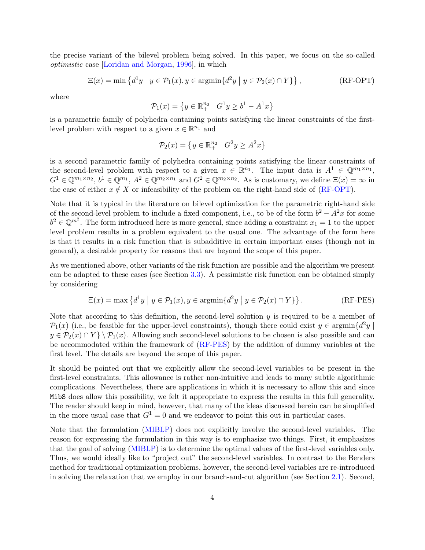the precise variant of the bilevel problem being solved. In this paper, we focus on the so-called optimistic case [\[Loridan and Morgan,](#page-37-1) [1996\]](#page-37-1), in which

$$
\Xi(x) = \min \left\{ d^1 y \mid y \in \mathcal{P}_1(x), y \in \operatorname{argmin} \{ d^2 y \mid y \in \mathcal{P}_2(x) \cap Y \} \right\},\tag{RF-OPT}
$$

where

<span id="page-3-0"></span>
$$
\mathcal{P}_1(x) = \left\{ y \in \mathbb{R}^{n_2} \mid G^1 y \ge b^1 - A^1 x \right\}
$$

is a parametric family of polyhedra containing points satisfying the linear constraints of the firstlevel problem with respect to a given  $x \in \mathbb{R}^{n_1}$  and

<span id="page-3-1"></span>
$$
\mathcal{P}_2(x) = \left\{ y \in \mathbb{R}_+^{n_2} \mid G^2 y \ge A^2 x \right\}
$$

is a second parametric family of polyhedra containing points satisfying the linear constraints of the second-level problem with respect to a given  $x \in \mathbb{R}^{n_1}$ . The input data is  $A^1 \in \mathbb{Q}^{m_1 \times n_1}$ ,  $G^1 \in \mathbb{Q}^{m_1 \times n_2}$ ,  $b^1 \in \mathbb{Q}^{m_1}$ ,  $A^2 \in \mathbb{Q}^{m_2 \times n_1}$  and  $G^2 \in \mathbb{Q}^{m_2 \times n_2}$ . As is customary, we define  $\Xi(x) = \infty$  in the case of either  $x \notin X$  or infeasibility of the problem on the right-hand side of [\(RF-OPT\)](#page-3-0).

Note that it is typical in the literature on bilevel optimization for the parametric right-hand side of the second-level problem to include a fixed component, i.e., to be of the form  $b^2 - A^2x$  for some  $b^2 \in \mathbb{Q}^{m^2}$ . The form introduced here is more general, since adding a constraint  $x_1 = 1$  to the upper level problem results in a problem equivalent to the usual one. The advantage of the form here is that it results in a risk function that is subadditive in certain important cases (though not in general), a desirable property for reasons that are beyond the scope of this paper.

As we mentioned above, other variants of the risk function are possible and the algorithm we present can be adapted to these cases (see Section [3.3\)](#page-26-0). A pessimistic risk function can be obtained simply by considering

$$
\Xi(x) = \max \left\{ d^1 y \mid y \in \mathcal{P}_1(x), y \in \operatorname{argmin} \{ d^2 y \mid y \in \mathcal{P}_2(x) \cap Y \} \right\}. \tag{RF-PES}
$$

Note that according to this definition, the second-level solution  $y$  is required to be a member of  $\mathcal{P}_1(x)$  (i.e., be feasible for the upper-level constraints), though there could exist  $y \in \text{argmin}\{d^2y \mid$  $y \in \mathcal{P}_2(x) \cap Y$  \  $\mathcal{P}_1(x)$ . Allowing such second-level solutions to be chosen is also possible and can be accommodated within the framework of [\(RF-PES\)](#page-3-1) by the addition of dummy variables at the first level. The details are beyond the scope of this paper.

It should be pointed out that we explicitly allow the second-level variables to be present in the first-level constraints. This allowance is rather non-intuitive and leads to many subtle algorithmic complications. Nevertheless, there are applications in which it is necessary to allow this and since MibS does allow this possibility, we felt it appropriate to express the results in this full generality. The reader should keep in mind, however, that many of the ideas discussed herein can be simplified in the more usual case that  $G^1 = 0$  and we endeavor to point this out in particular cases.

Note that the formulation [\(MIBLP\)](#page-2-0) does not explicitly involve the second-level variables. The reason for expressing the formulation in this way is to emphasize two things. First, it emphasizes that the goal of solving [\(MIBLP\)](#page-2-0) is to determine the optimal values of the first-level variables only. Thus, we would ideally like to "project out" the second-level variables. In contrast to the Benders method for traditional optimization problems, however, the second-level variables are re-introduced in solving the relaxation that we employ in our branch-and-cut algorithm (see Section [2.1\)](#page-12-0). Second,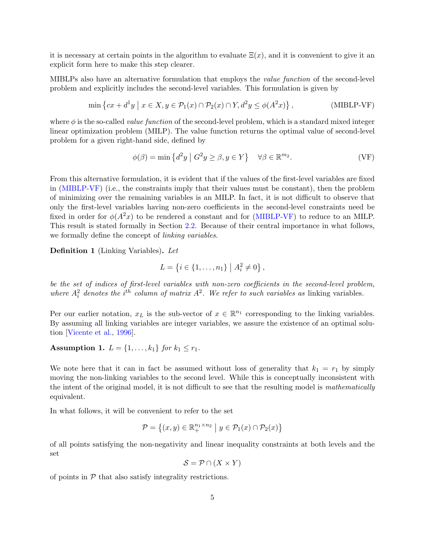it is necessary at certain points in the algorithm to evaluate  $\Xi(x)$ , and it is convenient to give it an explicit form here to make this step clearer.

MIBLPs also have an alternative formulation that employs the value function of the second-level problem and explicitly includes the second-level variables. This formulation is given by

$$
\min \left\{ cx + d^1y \mid x \in X, y \in \mathcal{P}_1(x) \cap \mathcal{P}_2(x) \cap Y, d^2y \le \phi(A^2x) \right\},\tag{MIBLP-VF}
$$

where  $\phi$  is the so-called *value function* of the second-level problem, which is a standard mixed integer linear optimization problem (MILP). The value function returns the optimal value of second-level problem for a given right-hand side, defined by

<span id="page-4-0"></span>
$$
\phi(\beta) = \min \left\{ d^2 y \mid G^2 y \ge \beta, y \in Y \right\} \quad \forall \beta \in \mathbb{R}^{m_2}.
$$
 (VF)

From this alternative formulation, it is evident that if the values of the first-level variables are fixed in [\(MIBLP-VF\)](#page-4-0) (i.e., the constraints imply that their values must be constant), then the problem of minimizing over the remaining variables is an MILP. In fact, it is not difficult to observe that only the first-level variables having non-zero coefficients in the second-level constraints need be fixed in order for  $\phi(A^2x)$  to be rendered a constant and for [\(MIBLP-VF\)](#page-4-0) to reduce to an MILP. This result is stated formally in Section [2.2.](#page-15-0) Because of their central importance in what follows, we formally define the concept of *linking variables*.

Definition 1 (Linking Variables). Let

$$
L = \{i \in \{1, \ldots, n_1\} \mid A_i^2 \neq 0\},\,
$$

be the set of indices of first-level variables with non-zero coefficients in the second-level problem, where  $A_i^2$  denotes the i<sup>th</sup> column of matrix  $A^2$ . We refer to such variables as linking variables.

Per our earlier notation,  $x_L$  is the sub-vector of  $x \in \mathbb{R}^{n_1}$  corresponding to the linking variables. By assuming all linking variables are integer variables, we assure the existence of an optimal solution [\[Vicente et al.,](#page-38-1) [1996\]](#page-38-1).

Assumption 1.  $L = \{1, ..., k_1\}$  for  $k_1 \leq r_1$ .

We note here that it can in fact be assumed without loss of generality that  $k_1 = r_1$  by simply moving the non-linking variables to the second level. While this is conceptually inconsistent with the intent of the original model, it is not difficult to see that the resulting model is mathematically equivalent.

In what follows, it will be convenient to refer to the set

$$
\mathcal{P} = \left\{ (x, y) \in \mathbb{R}_+^{n_1 \times n_2} \mid y \in \mathcal{P}_1(x) \cap \mathcal{P}_2(x) \right\}
$$

of all points satisfying the non-negativity and linear inequality constraints at both levels and the set

$$
\mathcal{S} = \mathcal{P} \cap (X \times Y)
$$

of points in  $P$  that also satisfy integrality restrictions.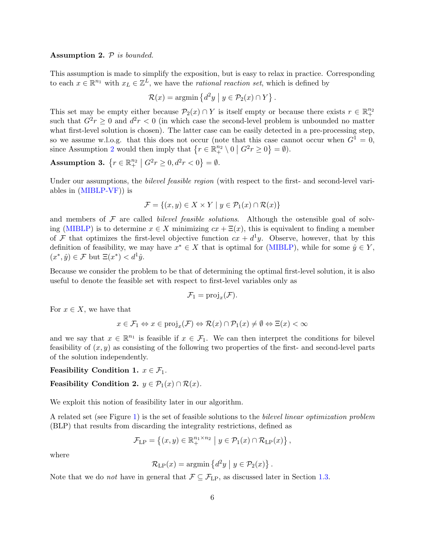## <span id="page-5-0"></span>Assumption 2.  $P$  is bounded.

This assumption is made to simplify the exposition, but is easy to relax in practice. Corresponding to each  $x \in \mathbb{R}^{n_1}$  with  $x_L \in \mathbb{Z}^L$ , we have the *rational reaction set*, which is defined by

$$
\mathcal{R}(x) = \operatorname{argmin} \left\{ d^2 y \mid y \in \mathcal{P}_2(x) \cap Y \right\}.
$$

This set may be empty either because  $\mathcal{P}_2(x) \cap Y$  is itself empty or because there exists  $r \in \mathbb{R}^{n_2}_+$ such that  $G^2r \geq 0$  and  $d^2r < 0$  (in which case the second-level problem is unbounded no matter what first-level solution is chosen). The latter case can be easily detected in a pre-processing step, so we assume w.l.o.g. that this does not occur (note that this case cannot occur when  $G^1 = 0$ , since Assumption [2](#page-5-0) would then imply that  $\{r \in \mathbb{R}^{n_2}_+ \setminus 0 \mid G^2r \ge 0\} = \emptyset$ .

Assumption 3.  $\{r \in \mathbb{R}^{n_2}_+ \mid G^2r \ge 0, d^2r < 0\} = \emptyset$ .

Under our assumptions, the *bilevel feasible region* (with respect to the first- and second-level variables in [\(MIBLP-VF\)](#page-4-0)) is

$$
\mathcal{F} = \{(x, y) \in X \times Y \mid y \in \mathcal{P}_1(x) \cap \mathcal{R}(x)\}\
$$

and members of  $\mathcal F$  are called *bilevel feasible solutions*. Although the ostensible goal of solv-ing [\(MIBLP\)](#page-2-0) is to determine  $x \in X$  minimizing  $cx + \Xi(x)$ , this is equivalent to finding a member of F that optimizes the first-level objective function  $cx + d^1y$ . Observe, however, that by this definition of feasibility, we may have  $x^* \in X$  that is optimal for [\(MIBLP\)](#page-2-0), while for some  $\hat{y} \in Y$ ,  $(x^*, \hat{y}) \in \mathcal{F}$  but  $\Xi(x^*) < d^1 \hat{y}$ .

Because we consider the problem to be that of determining the optimal first-level solution, it is also useful to denote the feasible set with respect to first-level variables only as

$$
\mathcal{F}_1 = \mathrm{proj}_x(\mathcal{F}).
$$

For  $x \in X$ , we have that

$$
x \in \mathcal{F}_1 \Leftrightarrow x \in \text{proj}_x(\mathcal{F}) \Leftrightarrow \mathcal{R}(x) \cap \mathcal{P}_1(x) \neq \emptyset \Leftrightarrow \Xi(x) < \infty
$$

and we say that  $x \in \mathbb{R}^{n_1}$  is feasible if  $x \in \mathcal{F}_1$ . We can then interpret the conditions for bilevel feasibility of  $(x, y)$  as consisting of the following two properties of the first- and second-level parts of the solution independently.

### <span id="page-5-1"></span>Feasibility Condition 1.  $x \in \mathcal{F}_1$ .

## <span id="page-5-2"></span>Feasibility Condition 2.  $y \in \mathcal{P}_1(x) \cap \mathcal{R}(x)$ .

We exploit this notion of feasibility later in our algorithm.

A related set (see Figure [1\)](#page-7-0) is the set of feasible solutions to the bilevel linear optimization problem (BLP) that results from discarding the integrality restrictions, defined as

$$
\mathcal{F}_{\mathrm{LP}} = \left\{ (x, y) \in \mathbb{R}_+^{n_1 \times n_2} \mid y \in \mathcal{P}_1(x) \cap \mathcal{R}_{\mathrm{LP}}(x) \right\},\
$$

where

$$
\mathcal{R}_{\mathrm{LP}}(x) = \operatorname{argmin} \left\{ d^2 y \mid y \in \mathcal{P}_2(x) \right\}.
$$

Note that we do *not* have in general that  $\mathcal{F} \subseteq \mathcal{F}_{LP}$ , as discussed later in Section [1.3.](#page-6-0)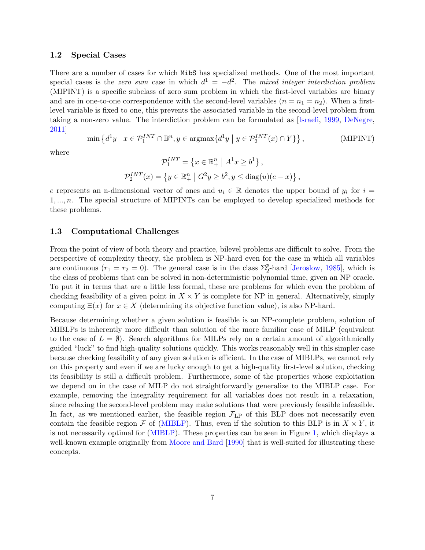### 1.2 Special Cases

There are a number of cases for which MibS has specialized methods. One of the most important special cases is the *zero sum* case in which  $d^1 = -d^2$ . The mixed integer interdiction problem (MIPINT) is a specific subclass of zero sum problem in which the first-level variables are binary and are in one-to-one correspondence with the second-level variables  $(n = n_1 = n_2)$ . When a firstlevel variable is fixed to one, this prevents the associated variable in the second-level problem from taking a non-zero value. The interdiction problem can be formulated as [\[Israeli,](#page-37-2) [1999,](#page-37-2) [DeNegre,](#page-36-2) [2011\]](#page-36-2)

$$
\min\left\{d^1y \mid x \in \mathcal{P}_1^{INT} \cap \mathbb{B}^n, y \in \operatorname{argmax}\{d^1y \mid y \in \mathcal{P}_2^{INT}(x) \cap Y\}\right\},\tag{MIPINT}
$$

where

$$
\mathcal{P}_1^{INT} = \left\{ x \in \mathbb{R}_+^n \mid A^1 x \ge b^1 \right\},
$$
  

$$
\mathcal{P}_2^{INT}(x) = \left\{ y \in \mathbb{R}_+^n \mid G^2 y \ge b^2, y \le \text{diag}(u)(e - x) \right\},
$$

e represents an n-dimensional vector of ones and  $u_i \in \mathbb{R}$  denotes the upper bound of  $y_i$  for  $i =$  $1, \ldots, n$ . The special structure of MIPINTs can be employed to develop specialized methods for these problems.

#### <span id="page-6-0"></span>1.3 Computational Challenges

From the point of view of both theory and practice, bilevel problems are difficult to solve. From the perspective of complexity theory, the problem is NP-hard even for the case in which all variables are continuous  $(r_1 = r_2 = 0)$ . The general case is in the class  $\Sigma_2^p$ -hard [\[Jeroslow,](#page-37-3) [1985\]](#page-37-3), which is the class of problems that can be solved in non-deterministic polynomial time, given an NP oracle. To put it in terms that are a little less formal, these are problems for which even the problem of checking feasibility of a given point in  $X \times Y$  is complete for NP in general. Alternatively, simply computing  $\Xi(x)$  for  $x \in X$  (determining its objective function value), is also NP-hard.

Because determining whether a given solution is feasible is an NP-complete problem, solution of MIBLPs is inherently more difficult than solution of the more familiar case of MILP (equivalent to the case of  $L = \emptyset$ ). Search algorithms for MILPs rely on a certain amount of algorithmically guided "luck" to find high-quality solutions quickly. This works reasonably well in this simpler case because checking feasibility of any given solution is efficient. In the case of MIBLPs, we cannot rely on this property and even if we are lucky enough to get a high-quality first-level solution, checking its feasibility is still a difficult problem. Furthermore, some of the properties whose exploitation we depend on in the case of MILP do not straightforwardly generalize to the MIBLP case. For example, removing the integrality requirement for all variables does not result in a relaxation, since relaxing the second-level problem may make solutions that were previously feasible infeasible. In fact, as we mentioned earlier, the feasible region  $\mathcal{F}_{LP}$  of this BLP does not necessarily even contain the feasible region  $\mathcal F$  of [\(MIBLP\)](#page-2-0). Thus, even if the solution to this BLP is in  $X \times Y$ , it is not necessarily optimal for [\(MIBLP\)](#page-2-0). These properties can be seen in Figure [1,](#page-7-0) which displays a well-known example originally from [Moore and Bard](#page-37-4) [\[1990\]](#page-37-4) that is well-suited for illustrating these concepts.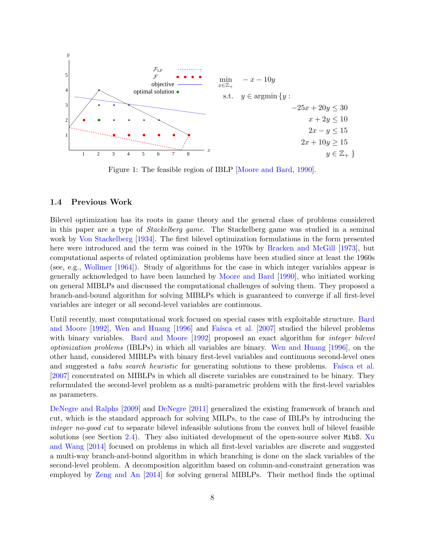<span id="page-7-0"></span>

Figure 1: The feasible region of IBLP [\[Moore and Bard,](#page-37-4) [1990\]](#page-37-4).

## 1.4 Previous Work

Bilevel optimization has its roots in game theory and the general class of problems considered in this paper are a type of Stackelberg game. The Stackelberg game was studied in a seminal work by [Von Stackelberg](#page-38-2) [\[1934\]](#page-38-2). The first bilevel optimization formulations in the form presented here were introduced and the term was coined in the 1970s by [Bracken and McGill](#page-36-3) [\[1973\]](#page-36-3), but computational aspects of related optimization problems have been studied since at least the 1960s (see, e.g., [Wollmer](#page-38-3) [\[1964\]](#page-38-3)). Study of algorithms for the case in which integer variables appear is generally acknowledged to have been launched by [Moore and Bard](#page-37-4) [\[1990\]](#page-37-4), who initiated working on general MIBLPs and discussed the computational challenges of solving them. They proposed a branch-and-bound algorithm for solving MIBLPs which is guaranteed to converge if all first-level variables are integer or all second-level variables are continuous.

Until recently, most computational work focused on special cases with exploitable structure. [Bard](#page-35-1) [and Moore](#page-35-1) [\[1992\]](#page-35-1), [Wen and Huang](#page-38-4) [\[1996\]](#page-38-4) and Faísca et al. [\[2007\]](#page-36-4) studied the bilevel problems with binary variables. [Bard and Moore](#page-35-1) [\[1992\]](#page-35-1) proposed an exact algorithm for *integer bilevel* optimization problems (IBLPs) in which all variables are binary. [Wen and Huang](#page-38-4) [\[1996\]](#page-38-4), on the other hand, considered MIBLPs with binary first-level variables and continuous second-level ones and suggested a *tabu search heuristic* for generating solutions to these problems. Faísca et al. [\[2007\]](#page-36-4) concentrated on MIBLPs in which all discrete variables are constrained to be binary. They reformulated the second-level problem as a multi-parametric problem with the first-level variables as parameters.

[DeNegre and Ralphs](#page-36-5) [\[2009\]](#page-36-5) and [DeNegre](#page-36-2) [\[2011\]](#page-36-2) generalized the existing framework of branch and cut, which is the standard approach for solving MILPs, to the case of IBLPs by introducing the integer no-good cut to separate bilevel infeasible solutions from the convex hull of bilevel feasible solutions (see Section [2.4\)](#page-18-0). They also initiated development of the open-source solver MibS. [Xu](#page-38-5) [and Wang](#page-38-5) [\[2014\]](#page-38-5) focused on problems in which all first-level variables are discrete and suggested a multi-way branch-and-bound algorithm in which branching is done on the slack variables of the second-level problem. A decomposition algorithm based on column-and-constraint generation was employed by [Zeng and An](#page-39-1) [\[2014\]](#page-39-1) for solving general MIBLPs. Their method finds the optimal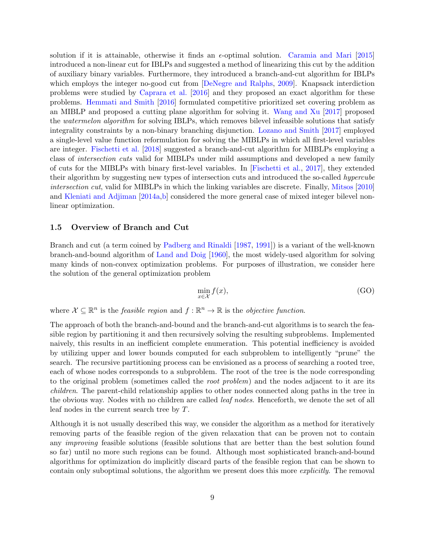solution if it is attainable, otherwise it finds an  $\epsilon$ -optimal solution. [Caramia and Mari](#page-36-6) [\[2015\]](#page-36-6) introduced a non-linear cut for IBLPs and suggested a method of linearizing this cut by the addition of auxiliary binary variables. Furthermore, they introduced a branch-and-cut algorithm for IBLPs which employs the integer no-good cut from [\[DeNegre and Ralphs,](#page-36-5) [2009\]](#page-36-5). Knapsack interdiction problems were studied by [Caprara et al.](#page-36-7) [\[2016\]](#page-36-7) and they proposed an exact algorithm for these problems. [Hemmati and Smith](#page-37-5) [\[2016\]](#page-37-5) formulated competitive prioritized set covering problem as an MIBLP and proposed a cutting plane algorithm for solving it. [Wang and Xu](#page-38-6) [\[2017\]](#page-38-6) proposed the *watermelon algorithm* for solving IBLPs, which removes bilevel infeasible solutions that satisfy integrality constraints by a non-binary branching disjunction. [Lozano and Smith](#page-37-6) [\[2017\]](#page-37-6) employed a single-level value function reformulation for solving the MIBLPs in which all first-level variables are integer. [Fischetti et al.](#page-36-8) [\[2018\]](#page-36-8) suggested a branch-and-cut algorithm for MIBLPs employing a class of intersection cuts valid for MIBLPs under mild assumptions and developed a new family of cuts for the MIBLPs with binary first-level variables. In [\[Fischetti et al.,](#page-36-9) [2017\]](#page-36-9), they extended their algorithm by suggesting new types of intersection cuts and introduced the so-called hypercube intersection cut, valid for MIBLPs in which the linking variables are discrete. Finally, [Mitsos](#page-37-7) [\[2010\]](#page-37-7) and [Kleniati and Adjiman](#page-37-8) [\[2014a](#page-37-8)[,b\]](#page-37-9) considered the more general case of mixed integer bilevel nonlinear optimization.

## <span id="page-8-1"></span>1.5 Overview of Branch and Cut

Branch and cut (a term coined by [Padberg and Rinaldi](#page-37-10) [\[1987,](#page-37-10) [1991\]](#page-37-11)) is a variant of the well-known branch-and-bound algorithm of [Land and Doig](#page-37-12) [\[1960\]](#page-37-12), the most widely-used algorithm for solving many kinds of non-convex optimization problems. For purposes of illustration, we consider here the solution of the general optimization problem

<span id="page-8-0"></span>
$$
\min_{x \in \mathcal{X}} f(x),\tag{GO}
$$

where  $\mathcal{X} \subseteq \mathbb{R}^n$  is the *feasible region* and  $f : \mathbb{R}^n \to \mathbb{R}$  is the *objective function*.

The approach of both the branch-and-bound and the branch-and-cut algorithms is to search the feasible region by partitioning it and then recursively solving the resulting subproblems. Implemented naively, this results in an inefficient complete enumeration. This potential inefficiency is avoided by utilizing upper and lower bounds computed for each subproblem to intelligently "prune" the search. The recursive partitioning process can be envisioned as a process of searching a rooted tree, each of whose nodes corresponds to a subproblem. The root of the tree is the node corresponding to the original problem (sometimes called the root problem) and the nodes adjacent to it are its children. The parent-child relationship applies to other nodes connected along paths in the tree in the obvious way. Nodes with no children are called *leaf nodes*. Henceforth, we denote the set of all leaf nodes in the current search tree by T.

Although it is not usually described this way, we consider the algorithm as a method for iteratively removing parts of the feasible region of the given relaxation that can be proven not to contain any *improving* feasible solutions (feasible solutions that are better than the best solution found so far) until no more such regions can be found. Although most sophisticated branch-and-bound algorithms for optimization do implicitly discard parts of the feasible region that can be shown to contain only suboptimal solutions, the algorithm we present does this more explicitly. The removal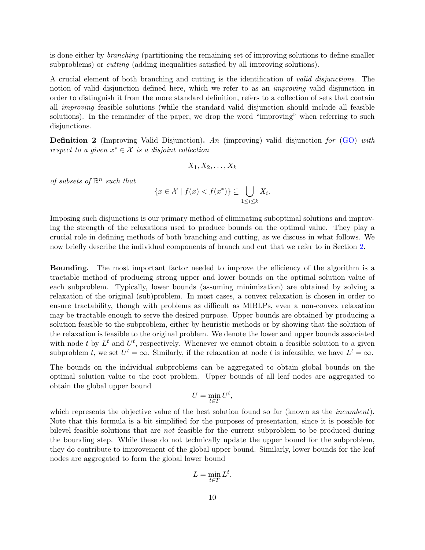is done either by branching (partitioning the remaining set of improving solutions to define smaller subproblems) or *cutting* (adding inequalities satisfied by all improving solutions).

A crucial element of both branching and cutting is the identification of valid disjunctions. The notion of valid disjunction defined here, which we refer to as an *improving* valid disjunction in order to distinguish it from the more standard definition, refers to a collection of sets that contain all improving feasible solutions (while the standard valid disjunction should include all feasible solutions). In the remainder of the paper, we drop the word "improving" when referring to such disjunctions.

<span id="page-9-0"></span>Definition 2 (Improving Valid Disjunction). An (improving) valid disjunction for [\(GO\)](#page-8-0) with respect to a given  $x^* \in \mathcal{X}$  is a disjoint collection

$$
X_1, X_2, \ldots, X_k
$$

of subsets of  $\mathbb{R}^n$  such that

$$
\{x \in \mathcal{X} \mid f(x) < f(x^*)\} \subseteq \bigcup_{1 \le i \le k} X_i.
$$

Imposing such disjunctions is our primary method of eliminating suboptimal solutions and improving the strength of the relaxations used to produce bounds on the optimal value. They play a crucial role in defining methods of both branching and cutting, as we discuss in what follows. We now briefly describe the individual components of branch and cut that we refer to in Section [2.](#page-11-0)

Bounding. The most important factor needed to improve the efficiency of the algorithm is a tractable method of producing strong upper and lower bounds on the optimal solution value of each subproblem. Typically, lower bounds (assuming minimization) are obtained by solving a relaxation of the original (sub)problem. In most cases, a convex relaxation is chosen in order to ensure tractability, though with problems as difficult as MIBLPs, even a non-convex relaxation may be tractable enough to serve the desired purpose. Upper bounds are obtained by producing a solution feasible to the subproblem, either by heuristic methods or by showing that the solution of the relaxation is feasible to the original problem. We denote the lower and upper bounds associated with node t by  $L^t$  and  $U^t$ , respectively. Whenever we cannot obtain a feasible solution to a given subproblem t, we set  $U^t = \infty$ . Similarly, if the relaxation at node t is infeasible, we have  $L^t = \infty$ .

The bounds on the individual subproblems can be aggregated to obtain global bounds on the optimal solution value to the root problem. Upper bounds of all leaf nodes are aggregated to obtain the global upper bound

$$
U = \min_{t \in T} U^t,
$$

which represents the objective value of the best solution found so far (known as the *incumbent*). Note that this formula is a bit simplified for the purposes of presentation, since it is possible for bilevel feasible solutions that are not feasible for the current subproblem to be produced during the bounding step. While these do not technically update the upper bound for the subproblem, they do contribute to improvement of the global upper bound. Similarly, lower bounds for the leaf nodes are aggregated to form the global lower bound

$$
L = \min_{t \in T} L^t.
$$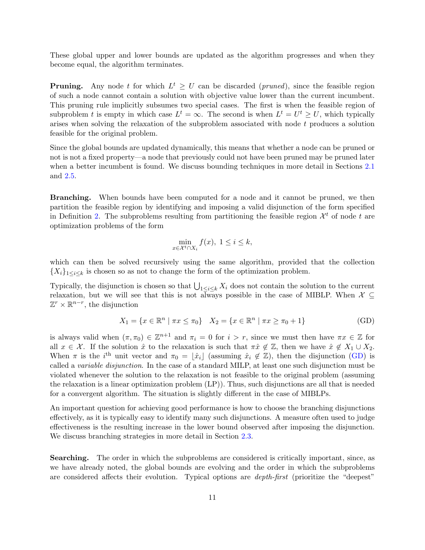These global upper and lower bounds are updated as the algorithm progresses and when they become equal, the algorithm terminates.

**Pruning.** Any node t for which  $L^t \geq U$  can be discarded (*pruned*), since the feasible region of such a node cannot contain a solution with objective value lower than the current incumbent. This pruning rule implicitly subsumes two special cases. The first is when the feasible region of subproblem t is empty in which case  $L^t = \infty$ . The second is when  $L^t = U^t \geq U$ , which typically arises when solving the relaxation of the subproblem associated with node t produces a solution feasible for the original problem.

Since the global bounds are updated dynamically, this means that whether a node can be pruned or not is not a fixed property—a node that previously could not have been pruned may be pruned later when a better incumbent is found. We discuss bounding techniques in more detail in Sections [2.1](#page-12-0) and [2.5.](#page-21-0)

Branching. When bounds have been computed for a node and it cannot be pruned, we then partition the feasible region by identifying and imposing a valid disjunction of the form specified in Definition [2.](#page-9-0) The subproblems resulting from partitioning the feasible region  $\mathcal{X}^t$  of node t are optimization problems of the form

<span id="page-10-0"></span>
$$
\min_{x \in \mathcal{X}^t \cap X_i} f(x), \ 1 \le i \le k,
$$

which can then be solved recursively using the same algorithm, provided that the collection  ${X_i}_{1 \leq i \leq k}$  is chosen so as not to change the form of the optimization problem.

Typically, the disjunction is chosen so that  $\bigcup_{1\leq i\leq k} X_i$  does not contain the solution to the current relaxation, but we will see that this is not always possible in the case of MIBLP. When  $\mathcal{X} \subseteq$  $\mathbb{Z}^r \times \mathbb{R}^{n-r}$ , the disjunction

$$
X_1 = \{ x \in \mathbb{R}^n \mid \pi x \le \pi_0 \} \quad X_2 = \{ x \in \mathbb{R}^n \mid \pi x \ge \pi_0 + 1 \}
$$
 (GD)

is always valid when  $(\pi, \pi_0) \in \mathbb{Z}^{n+1}$  and  $\pi_i = 0$  for  $i > r$ , since we must then have  $\pi x \in \mathbb{Z}$  for all  $x \in \mathcal{X}$ . If the solution  $\hat{x}$  to the relaxation is such that  $\pi \hat{x} \notin \mathbb{Z}$ , then we have  $\hat{x} \notin X_1 \cup X_2$ . When  $\pi$  is the i<sup>th</sup> unit vector and  $\pi_0 = \lfloor \hat{x}_i \rfloor$  (assuming  $\hat{x}_i \notin \mathbb{Z}$ ), then the disjunction [\(GD\)](#page-10-0) is called a variable disjunction. In the case of a standard MILP, at least one such disjunction must be violated whenever the solution to the relaxation is not feasible to the original problem (assuming the relaxation is a linear optimization problem (LP)). Thus, such disjunctions are all that is needed for a convergent algorithm. The situation is slightly different in the case of MIBLPs.

An important question for achieving good performance is how to choose the branching disjunctions effectively, as it is typically easy to identify many such disjunctions. A measure often used to judge effectiveness is the resulting increase in the lower bound observed after imposing the disjunction. We discuss branching strategies in more detail in Section [2.3.](#page-16-0)

Searching. The order in which the subproblems are considered is critically important, since, as we have already noted, the global bounds are evolving and the order in which the subproblems are considered affects their evolution. Typical options are depth-first (prioritize the "deepest"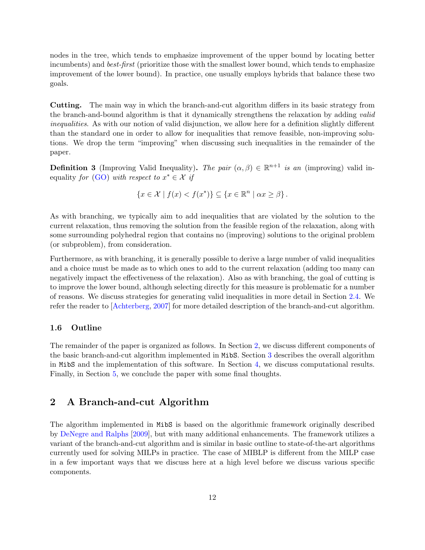nodes in the tree, which tends to emphasize improvement of the upper bound by locating better incumbents) and *best-first* (prioritize those with the smallest lower bound, which tends to emphasize improvement of the lower bound). In practice, one usually employs hybrids that balance these two goals.

Cutting. The main way in which the branch-and-cut algorithm differs in its basic strategy from the branch-and-bound algorithm is that it dynamically strengthens the relaxation by adding valid inequalities. As with our notion of valid disjunction, we allow here for a definition slightly different than the standard one in order to allow for inequalities that remove feasible, non-improving solutions. We drop the term "improving" when discussing such inequalities in the remainder of the paper.

<span id="page-11-1"></span>**Definition 3** (Improving Valid Inequality). The pair  $(\alpha, \beta) \in \mathbb{R}^{n+1}$  is an (improving) valid in-equality for [\(GO\)](#page-8-0) with respect to  $x^* \in \mathcal{X}$  if

 ${x \in \mathcal{X} \mid f(x) < f(x^*) } \subseteq {x \in \mathbb{R}^n \mid \alpha x \geq \beta}.$ 

As with branching, we typically aim to add inequalities that are violated by the solution to the current relaxation, thus removing the solution from the feasible region of the relaxation, along with some surrounding polyhedral region that contains no (improving) solutions to the original problem (or subproblem), from consideration.

Furthermore, as with branching, it is generally possible to derive a large number of valid inequalities and a choice must be made as to which ones to add to the current relaxation (adding too many can negatively impact the effectiveness of the relaxation). Also as with branching, the goal of cutting is to improve the lower bound, although selecting directly for this measure is problematic for a number of reasons. We discuss strategies for generating valid inequalities in more detail in Section [2.4.](#page-18-0) We refer the reader to [\[Achterberg,](#page-35-2) [2007\]](#page-35-2) for more detailed description of the branch-and-cut algorithm.

### 1.6 Outline

The remainder of the paper is organized as follows. In Section [2,](#page-11-0) we discuss different components of the basic branch-and-cut algorithm implemented in MibS. Section [3](#page-21-1) describes the overall algorithm in MibS and the implementation of this software. In Section [4,](#page-28-0) we discuss computational results. Finally, in Section [5,](#page-35-3) we conclude the paper with some final thoughts.

## <span id="page-11-0"></span>2 A Branch-and-cut Algorithm

The algorithm implemented in MibS is based on the algorithmic framework originally described by [DeNegre and Ralphs](#page-36-5) [\[2009\]](#page-36-5), but with many additional enhancements. The framework utilizes a variant of the branch-and-cut algorithm and is similar in basic outline to state-of-the-art algorithms currently used for solving MILPs in practice. The case of MIBLP is different from the MILP case in a few important ways that we discuss here at a high level before we discuss various specific components.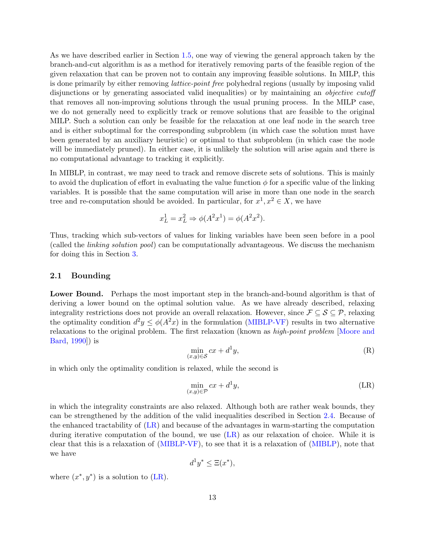As we have described earlier in Section [1.5,](#page-8-1) one way of viewing the general approach taken by the branch-and-cut algorithm is as a method for iteratively removing parts of the feasible region of the given relaxation that can be proven not to contain any improving feasible solutions. In MILP, this is done primarily by either removing lattice-point free polyhedral regions (usually by imposing valid disjunctions or by generating associated valid inequalities) or by maintaining an *objective cutoff* that removes all non-improving solutions through the usual pruning process. In the MILP case, we do not generally need to explicitly track or remove solutions that are feasible to the original MILP. Such a solution can only be feasible for the relaxation at one leaf node in the search tree and is either suboptimal for the corresponding subproblem (in which case the solution must have been generated by an auxiliary heuristic) or optimal to that subproblem (in which case the node will be immediately pruned). In either case, it is unlikely the solution will arise again and there is no computational advantage to tracking it explicitly.

In MIBLP, in contrast, we may need to track and remove discrete sets of solutions. This is mainly to avoid the duplication of effort in evaluating the value function  $\phi$  for a specific value of the linking variables. It is possible that the same computation will arise in more than one node in the search tree and re-computation should be avoided. In particular, for  $x^1, x^2 \in X$ , we have

$$
x_L^1 = x_L^2 \Rightarrow \phi(A^2 x^1) = \phi(A^2 x^2).
$$

Thus, tracking which sub-vectors of values for linking variables have been seen before in a pool (called the linking solution pool) can be computationally advantageous. We discuss the mechanism for doing this in Section [3.](#page-21-1)

## <span id="page-12-0"></span>2.1 Bounding

Lower Bound. Perhaps the most important step in the branch-and-bound algorithm is that of deriving a lower bound on the optimal solution value. As we have already described, relaxing integrality restrictions does not provide an overall relaxation. However, since  $\mathcal{F} \subseteq \mathcal{S} \subseteq \mathcal{P}$ , relaxing the optimality condition  $d^2y \le \phi(A^2x)$  in the formulation [\(MIBLP-VF\)](#page-4-0) results in two alternative relaxations to the original problem. The first relaxation (known as high-point problem [\[Moore and](#page-37-4) [Bard,](#page-37-4) [1990\]](#page-37-4)) is

$$
\min_{(x,y)\in\mathcal{S}} cx + d^1y,\tag{R}
$$

in which only the optimality condition is relaxed, while the second is

<span id="page-12-1"></span>
$$
\min_{(x,y)\in\mathcal{P}} cx + d^1y,\tag{LR}
$$

in which the integrality constraints are also relaxed. Although both are rather weak bounds, they can be strengthened by the addition of the valid inequalities described in Section [2.4.](#page-18-0) Because of the enhanced tractability of [\(LR\)](#page-12-1) and because of the advantages in warm-starting the computation during iterative computation of the bound, we use [\(LR\)](#page-12-1) as our relaxation of choice. While it is clear that this is a relaxation of [\(MIBLP-VF\)](#page-4-0), to see that it is a relaxation of [\(MIBLP\)](#page-2-0), note that we have

$$
d^1y^* \le \Xi(x^*),
$$

where  $(x^*, y^*)$  is a solution to [\(LR\)](#page-12-1).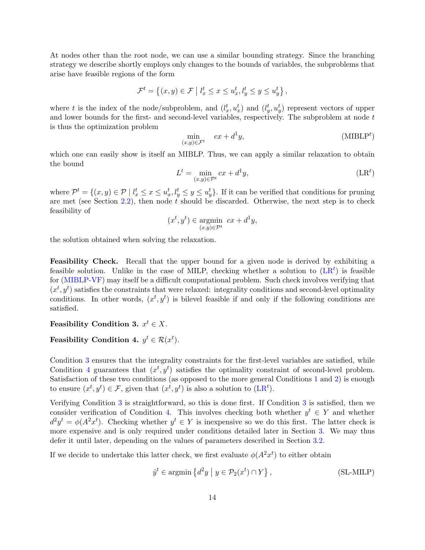At nodes other than the root node, we can use a similar bounding strategy. Since the branching strategy we describe shortly employs only changes to the bounds of variables, the subproblems that arise have feasible regions of the form

$$
\mathcal{F}^t = \left\{ (x, y) \in \mathcal{F} \mid l_x^t \le x \le u_x^t, l_y^t \le y \le u_y^t \right\},\
$$

where t is the index of the node/subproblem, and  $(l_x^t, u_x^t)$  and  $(l_y^t, u_y^t)$  represent vectors of upper and lower bounds for the first- and second-level variables, respectively. The subproblem at node t is thus the optimization problem

<span id="page-13-4"></span><span id="page-13-0"></span>
$$
\min_{(x,y)\in\mathcal{F}^t} \quad cx + d^1y,\tag{MIBLPt}
$$

which one can easily show is itself an MIBLP. Thus, we can apply a similar relaxation to obtain the bound

$$
L^t = \min_{(x,y)\in\mathcal{P}^t} cx + d^1y,\tag{LR}t
$$

where  $\mathcal{P}^t = \{(x, y) \in \mathcal{P} \mid l_x^t \leq x \leq u_x^t, l_y^t \leq y \leq u_y^t\}$ . If it can be verified that conditions for pruning are met (see Section [2.2\)](#page-15-0), then node  $t$  should be discarded. Otherwise, the next step is to check feasibility of

$$
(x^t, y^t) \in \operatorname*{argmin}_{(x,y)\in \mathcal{P}^t} cx + d^1y,
$$

the solution obtained when solving the relaxation.

Feasibility Check. Recall that the upper bound for a given node is derived by exhibiting a feasible solution. Unlike in the case of MILP, checking whether a solution to  $(LR<sup>t</sup>)$  $(LR<sup>t</sup>)$  is feasible for [\(MIBLP-VF\)](#page-4-0) may itself be a difficult computational problem. Such check involves verifying that  $(x^t, y^t)$  satisfies the constraints that were relaxed: integrality conditions and second-level optimality conditions. In other words,  $(x^t, y^t)$  is bilevel feasible if and only if the following conditions are satisfied.

<span id="page-13-1"></span>Feasibility Condition 3.  $x^t \in X$ .

## <span id="page-13-2"></span>Feasibility Condition 4.  $y^t \in \mathcal{R}(x^t)$ .

Condition [3](#page-13-1) ensures that the integrality constraints for the first-level variables are satisfied, while Condition [4](#page-13-2) guarantees that  $(x^t, y^t)$  satisfies the optimality constraint of second-level problem. Satisfaction of these two conditions (as opposed to the more general Conditions [1](#page-5-1) and [2\)](#page-5-2) is enough to ensure  $(x^t, y^t) \in \mathcal{F}$ , given that  $(x^t, y^t)$  is also a solution to  $(LR^t)$  $(LR^t)$ .

Verifying Condition [3](#page-13-1) is straightforward, so this is done first. If Condition [3](#page-13-1) is satisfied, then we consider verification of Condition [4.](#page-13-2) This involves checking both whether  $y^t \in Y$  and whether  $d^2y^t = \phi(A^2x^t)$ . Checking whether  $y^t \in Y$  is inexpensive so we do this first. The latter check is more expensive and is only required under conditions detailed later in Section [3.](#page-21-1) We may thus defer it until later, depending on the values of parameters described in Section [3.2.](#page-23-0)

If we decide to undertake this latter check, we first evaluate  $\phi(A^2x^t)$  to either obtain

<span id="page-13-3"></span>
$$
\hat{y}^t \in \operatorname{argmin} \left\{ d^2 y \mid y \in \mathcal{P}_2(x^t) \cap Y \right\},\tag{SL-MILP}
$$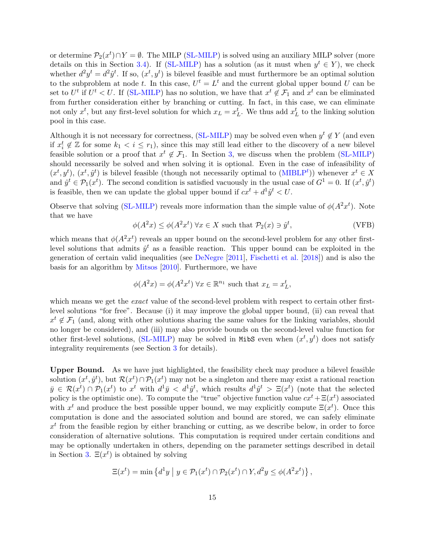or determine  $\mathcal{P}_2(x^t) \cap Y = \emptyset$ . The MILP [\(SL-MILP\)](#page-13-3) is solved using an auxiliary MILP solver (more details on this in Section [3.4\)](#page-28-1). If [\(SL-MILP\)](#page-13-3) has a solution (as it must when  $y^t \in Y$ ), we check whether  $d^2y^t = d^2\hat{y}^t$ . If so,  $(x^t, y^t)$  is bilevel feasible and must furthermore be an optimal solution to the subproblem at node t. In this case,  $U^t = L^t$  and the current global upper bound U can be set to  $U^t$  if  $U^t < U$ . If [\(SL-MILP\)](#page-13-3) has no solution, we have that  $x^t \notin \mathcal{F}_1$  and  $x^t$  can be eliminated from further consideration either by branching or cutting. In fact, in this case, we can eliminate not only  $x^t$ , but any first-level solution for which  $x_L = x_L^t$ . We thus add  $x_L^t$  to the linking solution pool in this case.

Although it is not necessary for correctness, [\(SL-MILP\)](#page-13-3) may be solved even when  $y^t \notin Y$  (and even if  $x_i^t \notin \mathbb{Z}$  for some  $k_1 < i \leq r_1$ , since this may still lead either to the discovery of a new bilevel feasible solution or a proof that  $x^t \notin \mathcal{F}_1$ . In Section [3,](#page-21-1) we discuss when the problem [\(SL-MILP\)](#page-13-3) should necessarily be solved and when solving it is optional. Even in the case of infeasibility of  $(x^t, y^t)$ ,  $(x^t, \hat{y}^t)$  is bilevel feasible (though not necessarily optimal to [\(MIBLP](#page-13-4)<sup>t</sup>)) whenever  $x^t \in X$ and  $\hat{y}^t \in \mathcal{P}_1(x^t)$ . The second condition is satisfied vacuously in the usual case of  $G^1 = 0$ . If  $(x^t, \hat{y}^t)$ is feasible, then we can update the global upper bound if  $cx^{t} + d^{1}\hat{y}^{t} < U$ .

Observe that solving [\(SL-MILP\)](#page-13-3) reveals more information than the simple value of  $\phi(A^2x^t)$ . Note that we have

<span id="page-14-0"></span>
$$
\phi(A^2x) \le \phi(A^2x^t) \,\forall x \in X \text{ such that } \mathcal{P}_2(x) \ni \hat{y}^t,\tag{VFB}
$$

which means that  $\phi(A^2x^t)$  reveals an upper bound on the second-level problem for any other firstlevel solutions that admits  $\hat{y}^t$  as a feasible reaction. This upper bound can be exploited in the generation of certain valid inequalities (see [DeNegre](#page-36-2) [\[2011\]](#page-36-2), [Fischetti et al.](#page-36-8) [\[2018\]](#page-36-8)) and is also the basis for an algorithm by [Mitsos](#page-37-7) [\[2010\]](#page-37-7). Furthermore, we have

$$
\phi(A^2x) = \phi(A^2x^t) \,\forall x \in \mathbb{R}^{n_1} \text{ such that } x_L = x_L^t,
$$

which means we get the *exact* value of the second-level problem with respect to certain other firstlevel solutions "for free". Because (i) it may improve the global upper bound, (ii) can reveal that  $x^t \notin \mathcal{F}_1$  (and, along with other solutions sharing the same values for the linking variables, should no longer be considered), and (iii) may also provide bounds on the second-level value function for other first-level solutions, [\(SL-MILP\)](#page-13-3) may be solved in MibS even when  $(x^t, y^t)$  does not satisfy integrality requirements (see Section [3](#page-21-1) for details).

Upper Bound. As we have just highlighted, the feasibility check may produce a bilevel feasible solution  $(x^t, \hat{y}^t)$ , but  $\mathcal{R}(x^t) \cap \mathcal{P}_1(x^t)$  may not be a singleton and there may exist a rational reaction  $\bar{y} \in \mathcal{R}(x^t) \cap \mathcal{P}_1(x^t)$  to  $x^t$  with  $d^1\bar{y} < d^1\hat{y}^t$ , which results  $d^1\hat{y}^t > \Xi(x^t)$  (note that the selected policy is the optimistic one). To compute the "true" objective function value  $cx^{t} + \Xi(x^{t})$  associated with  $x^t$  and produce the best possible upper bound, we may explicitly compute  $\Xi(x^t)$ . Once this computation is done and the associated solution and bound are stored, we can safely eliminate  $x<sup>t</sup>$  from the feasible region by either branching or cutting, as we describe below, in order to force consideration of alternative solutions. This computation is required under certain conditions and may be optionally undertaken in others, depending on the parameter settings described in detail in Section [3.](#page-21-1)  $\Xi(x^t)$  is obtained by solving

$$
\Xi(x^t) = \min \left\{ d^1 y \mid y \in \mathcal{P}_1(x^t) \cap \mathcal{P}_2(x^t) \cap Y, d^2 y \le \phi(A^2 x^t) \right\},\
$$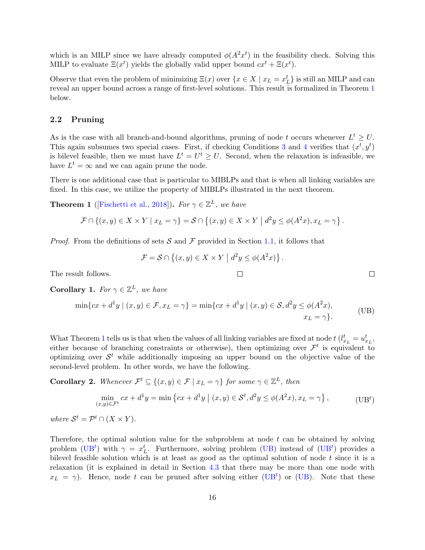which is an MILP since we have already computed  $\phi(A^2x^t)$  in the feasibility check. Solving this MILP to evaluate  $\Xi(x^t)$  yields the globally valid upper bound  $cx^t + \Xi(x^t)$ .

Observe that even the problem of minimizing  $\Xi(x)$  over  $\{x \in X \mid x_L = x_L^t\}$  is still an MILP and can reveal an upper bound across a range of first-level solutions. This result is formalized in Theorem [1](#page-15-1) below.

## <span id="page-15-0"></span>2.2 Pruning

As is the case with all branch-and-bound algorithms, pruning of node t occurs whenever  $L^t \geq U$ . This again subsumes two special cases. First, if checking Conditions [3](#page-13-1) and [4](#page-13-2) verifies that  $(x^t, y^t)$ is bilevel feasible, then we must have  $L^t = U^t \geq U$ . Second, when the relaxation is infeasible, we have  $L^t = \infty$  and we can again prune the node.

There is one additional case that is particular to MIBLPs and that is when all linking variables are fixed. In this case, we utilize the property of MIBLPs illustrated in the next theorem.

<span id="page-15-1"></span>**Theorem 1** ([\[Fischetti et al.,](#page-36-8) [2018\]](#page-36-8)). For  $\gamma \in \mathbb{Z}^L$ , we have

$$
\mathcal{F} \cap \{(x,y) \in X \times Y \mid x_L = \gamma\} = \mathcal{S} \cap \{(x,y) \in X \times Y \mid d^2y \leq \phi(A^2x), x_L = \gamma\}.
$$

*Proof.* From the definitions of sets S and F provided in Section [1.1,](#page-2-1) it follows that

<span id="page-15-3"></span><span id="page-15-2"></span>
$$
\mathcal{F} = \mathcal{S} \cap \{(x, y) \in X \times Y \mid d^2y \le \phi(A^2x)\}.
$$

The result follows.

**Corollary 1.** For  $\gamma \in \mathbb{Z}^L$ , we have

$$
\min\{cx + d^1y \mid (x, y) \in \mathcal{F}, x_L = \gamma\} = \min\{cx + d^1y \mid (x, y) \in \mathcal{S}, d^2y \le \phi(A^2x),
$$
  
\n
$$
x_L = \gamma\}.
$$
\n(UB)

What Theorem [1](#page-15-1) tells us is that when the values of all linking variables are fixed at node  $t$  ( $l_{x_L}^t = u_{x_L}^t$ , either because of branching constraints or otherwise), then optimizing over  $\mathcal{F}^t$  is equivalent to optimizing over  $\mathcal{S}^t$  while additionally imposing an upper bound on the objective value of the second-level problem. In other words, we have the following.

**Corollary 2.** Whenever  $\mathcal{F}^t \subseteq \{(x, y) \in \mathcal{F} \mid x_L = \gamma\}$  for some  $\gamma \in \mathbb{Z}^L$ , then

$$
\min_{(x,y)\in\mathcal{F}^t} cx + d^1y = \min\left\{cx + d^1y \mid (x,y)\in\mathcal{S}^t, d^2y \le \phi(A^2x), x_L = \gamma\right\},\tag{UBt}
$$

where  $S^t = \mathcal{P}^t \cap (X \times Y)$ .

Therefore, the optimal solution value for the subproblem at node  $t$  can be obtained by solving problem [\(UB](#page-15-2)<sup>t</sup>) with  $\gamma = x_L^t$ . Furthermore, solving problem [\(UB\)](#page-15-3) instead of (UB<sup>t</sup>) provides a bilevel feasible solution which is at least as good as the optimal solution of node  $t$  since it is a relaxation (it is explained in detail in Section [4.3](#page-32-0) that there may be more than one node with  $x_L = \gamma$ ). Hence, node t can be pruned after solving either [\(UB](#page-15-2)<sup>t</sup>) or [\(UB\)](#page-15-3). Note that these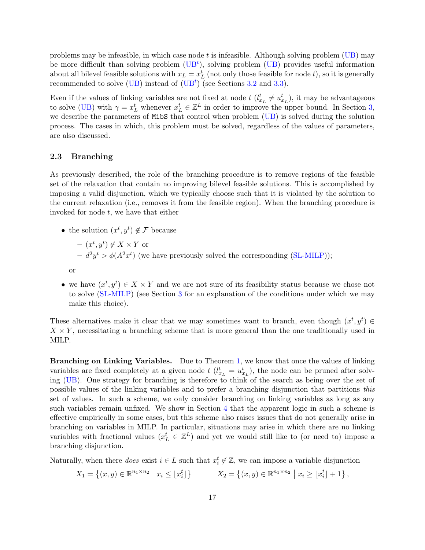problems may be infeasible, in which case node  $t$  is infeasible. Although solving problem [\(UB\)](#page-15-3) may be more difficult than solving problem  $(UB<sup>t</sup>)$  $(UB<sup>t</sup>)$ , solving problem  $(UB)$  provides useful information about all bilevel feasible solutions with  $x_L = x_L^t$  (not only those feasible for node t), so it is generally recommended to solve [\(UB\)](#page-15-3) instead of  $(UB<sup>t</sup>)$  $(UB<sup>t</sup>)$  (see Sections [3.2](#page-23-0) and [3.3\)](#page-26-0).

Even if the values of linking variables are not fixed at node  $t$   $(l_{x_L}^t \neq u_{x_L}^t)$ , it may be advantageous to solve [\(UB\)](#page-15-3) with  $\gamma = x_L^t$  whenever  $x_L^t \in \mathbb{Z}^L$  in order to improve the upper bound. In Section [3,](#page-21-1) we describe the parameters of MibS that control when problem [\(UB\)](#page-15-3) is solved during the solution process. The cases in which, this problem must be solved, regardless of the values of parameters, are also discussed.

## <span id="page-16-0"></span>2.3 Branching

As previously described, the role of the branching procedure is to remove regions of the feasible set of the relaxation that contain no improving bilevel feasible solutions. This is accomplished by imposing a valid disjunction, which we typically choose such that it is violated by the solution to the current relaxation (i.e., removes it from the feasible region). When the branching procedure is invoked for node  $t$ , we have that either

• the solution  $(x^t, y^t) \notin \mathcal{F}$  because

- 
$$
(x^t, y^t) \notin X \times Y
$$
 or  
\n-  $d^2y^t > \phi(A^2x^t)$  (we have previously solved the corresponding (SL-MILP));  
\nor

• we have  $(x^t, y^t) \in X \times Y$  and we are not sure of its feasibility status because we chose not to solve [\(SL-MILP\)](#page-13-3) (see Section [3](#page-21-1) for an explanation of the conditions under which we may make this choice).

These alternatives make it clear that we may sometimes want to branch, even though  $(x^t, y^t) \in$  $X \times Y$ , necessitating a branching scheme that is more general than the one traditionally used in MILP.

Branching on Linking Variables. Due to Theorem [1,](#page-15-1) we know that once the values of linking variables are fixed completely at a given node  $t$   $(l_{x_L}^t = u_{x_L}^t)$ , the node can be pruned after solving [\(UB\)](#page-15-3). One strategy for branching is therefore to think of the search as being over the set of possible values of the linking variables and to prefer a branching disjunction that partitions this set of values. In such a scheme, we only consider branching on linking variables as long as any such variables remain unfixed. We show in Section [4](#page-28-0) that the apparent logic in such a scheme is effective empirically in some cases, but this scheme also raises issues that do not generally arise in branching on variables in MILP. In particular, situations may arise in which there are no linking variables with fractional values  $(x_L^t \in \mathbb{Z}^L)$  and yet we would still like to (or need to) impose a branching disjunction.

Naturally, when there *does* exist  $i \in L$  such that  $x_i^t \notin \mathbb{Z}$ , we can impose a variable disjunction

$$
X_1 = \left\{ (x, y) \in \mathbb{R}^{n_1 \times n_2} \mid x_i \leq \lfloor x_i^t \rfloor \right\} \qquad X_2 = \left\{ (x, y) \in \mathbb{R}^{n_1 \times n_2} \mid x_i \geq \lfloor x_i^t \rfloor + 1 \right\}
$$

,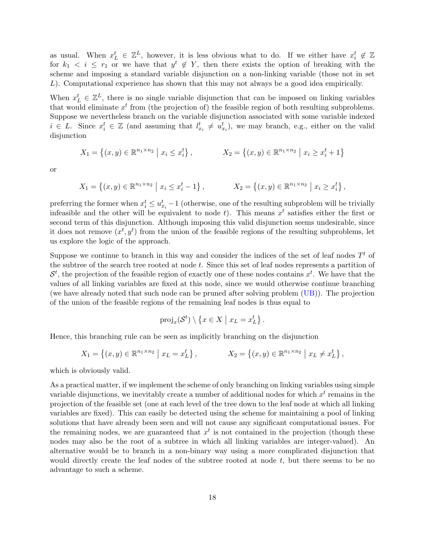as usual. When  $x_L^t \in \mathbb{Z}^L$ , however, it is less obvious what to do. If we either have  $x_i^t \notin \mathbb{Z}$ for  $k_1 < i \leq r_1$  or we have that  $y^t \notin Y$ , then there exists the option of breaking with the scheme and imposing a standard variable disjunction on a non-linking variable (those not in set L). Computational experience has shown that this may not always be a good idea empirically.

When  $x_L^t \in \mathbb{Z}^L$ , there is no single variable disjunction that can be imposed on linking variables that would eliminate  $x^t$  from (the projection of) the feasible region of both resulting subproblems. Suppose we nevertheless branch on the variable disjunction associated with some variable indexed  $i \in L$ . Since  $x_i^t \in \mathbb{Z}$  (and assuming that  $l_{x_i}^t \neq u_{x_i}^t$ ), we may branch, e.g., either on the valid disjunction

$$
X_1 = \{(x, y) \in \mathbb{R}^{n_1 \times n_2} \mid x_i \le x_i^t\}, \qquad X_2 = \{(x, y) \in \mathbb{R}^{n_1 \times n_2} \mid x_i \ge x_i^t + 1\}
$$

or

$$
X_1 = \{(x, y) \in \mathbb{R}^{n_1 \times n_2} \mid x_i \le x_i^t - 1\}, \qquad X_2 = \{(x, y) \in \mathbb{R}^{n_1 \times n_2} \mid x_i \ge x_i^t\},
$$

preferring the former when  $x_i^t \le u_{x_i}^t - 1$  (otherwise, one of the resulting subproblem will be trivially infeasible and the other will be equivalent to node t). This means  $x^t$  satisfies either the first or second term of this disjunction. Although imposing this valid disjunction seems undesirable, since it does not remove  $(x^t, y^t)$  from the union of the feasible regions of the resulting subproblems, let us explore the logic of the approach.

Suppose we continue to branch in this way and consider the indices of the set of leaf nodes  $T<sup>t</sup>$  of the subtree of the search tree rooted at node  $t$ . Since this set of leaf nodes represents a partition of  $\mathcal{S}^t$ , the projection of the feasible region of exactly one of these nodes contains  $x^t$ . We have that the values of all linking variables are fixed at this node, since we would otherwise continue branching (we have already noted that such node can be pruned after solving problem [\(UB\)](#page-15-3)). The projection of the union of the feasible regions of the remaining leaf nodes is thus equal to

$$
\mathrm{proj}_x(\mathcal{S}^t) \setminus \{x \in X \mid x_L = x_L^t\}.
$$

Hence, this branching rule can be seen as implicitly branching on the disjunction

$$
X_1 = \{(x, y) \in \mathbb{R}^{n_1 \times n_2} \mid x_L = x_L^t\}, \qquad X_2 = \{(x, y) \in \mathbb{R}^{n_1 \times n_2} \mid x_L \neq x_L^t\},
$$

which is obviously valid.

As a practical matter, if we implement the scheme of only branching on linking variables using simple variable disjunctions, we inevitably create a number of additional nodes for which  $x<sup>t</sup>$  remains in the projection of the feasible set (one at each level of the tree down to the leaf node at which all linking variables are fixed). This can easily be detected using the scheme for maintaining a pool of linking solutions that have already been seen and will not cause any significant computational issues. For the remaining nodes, we are guaranteed that  $x<sup>t</sup>$  is not contained in the projection (though these nodes may also be the root of a subtree in which all linking variables are integer-valued). An alternative would be to branch in a non-binary way using a more complicated disjunction that would directly create the leaf nodes of the subtree rooted at node t, but there seems to be no advantage to such a scheme.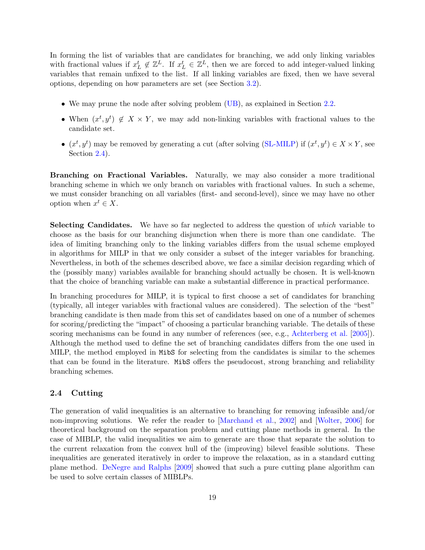In forming the list of variables that are candidates for branching, we add only linking variables with fractional values if  $x_L^t \notin \mathbb{Z}^L$ . If  $x_L^t \in \mathbb{Z}^L$ , then we are forced to add integer-valued linking variables that remain unfixed to the list. If all linking variables are fixed, then we have several options, depending on how parameters are set (see Section [3.2\)](#page-23-0).

- We may prune the node after solving problem [\(UB\)](#page-15-3), as explained in Section [2.2.](#page-15-0)
- When  $(x^t, y^t) \notin X \times Y$ , we may add non-linking variables with fractional values to the candidate set.
- $(x^t, y^t)$  may be removed by generating a cut (after solving [\(SL-MILP\)](#page-13-3) if  $(x^t, y^t) \in X \times Y$ , see Section [2.4\)](#page-18-0).

Branching on Fractional Variables. Naturally, we may also consider a more traditional branching scheme in which we only branch on variables with fractional values. In such a scheme, we must consider branching on all variables (first- and second-level), since we may have no other option when  $x^t \in X$ .

Selecting Candidates. We have so far neglected to address the question of which variable to choose as the basis for our branching disjunction when there is more than one candidate. The idea of limiting branching only to the linking variables differs from the usual scheme employed in algorithms for MILP in that we only consider a subset of the integer variables for branching. Nevertheless, in both of the schemes described above, we face a similar decision regarding which of the (possibly many) variables available for branching should actually be chosen. It is well-known that the choice of branching variable can make a substantial difference in practical performance.

In branching procedures for MILP, it is typical to first choose a set of candidates for branching (typically, all integer variables with fractional values are considered). The selection of the "best" branching candidate is then made from this set of candidates based on one of a number of schemes for scoring/predicting the "impact" of choosing a particular branching variable. The details of these scoring mechanisms can be found in any number of references (see, e.g., [Achterberg et al.](#page-35-4) [\[2005\]](#page-35-4)). Although the method used to define the set of branching candidates differs from the one used in MILP, the method employed in MibS for selecting from the candidates is similar to the schemes that can be found in the literature. MibS offers the pseudocost, strong branching and reliability branching schemes.

## <span id="page-18-0"></span>2.4 Cutting

The generation of valid inequalities is an alternative to branching for removing infeasible and/or non-improving solutions. We refer the reader to [\[Marchand et al.,](#page-37-13) [2002\]](#page-37-13) and [\[Wolter,](#page-38-7) [2006\]](#page-38-7) for theoretical background on the separation problem and cutting plane methods in general. In the case of MIBLP, the valid inequalities we aim to generate are those that separate the solution to the current relaxation from the convex hull of the (improving) bilevel feasible solutions. These inequalities are generated iteratively in order to improve the relaxation, as in a standard cutting plane method. [DeNegre and Ralphs](#page-36-5) [\[2009\]](#page-36-5) showed that such a pure cutting plane algorithm can be used to solve certain classes of MIBLPs.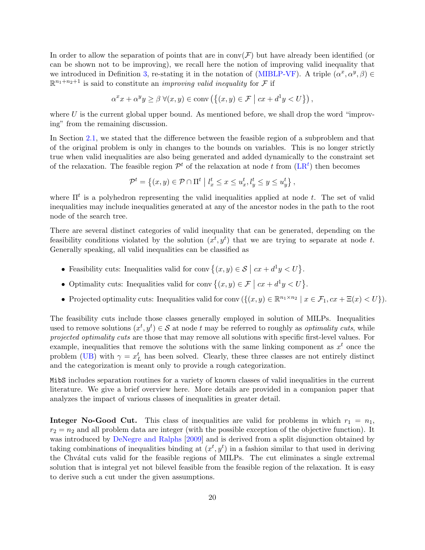In order to allow the separation of points that are in  $conv(\mathcal{F})$  but have already been identified (or can be shown not to be improving), we recall here the notion of improving valid inequality that we introduced in Definition [3,](#page-11-1) re-stating it in the notation of [\(MIBLP-VF\)](#page-4-0). A triple  $(\alpha^x, \alpha^y, \beta) \in$  $\mathbb{R}^{n_1+n_2+1}$  is said to constitute an *improving valid inequality* for F if

$$
\alpha^{x} x + \alpha^{y} y \ge \beta \ \forall (x, y) \in \text{conv}\left(\left\{(x, y) \in \mathcal{F} \mid cx + d^{1} y < U\right\}\right),
$$

where  $U$  is the current global upper bound. As mentioned before, we shall drop the word "improving" from the remaining discussion.

In Section [2.1,](#page-12-0) we stated that the difference between the feasible region of a subproblem and that of the original problem is only in changes to the bounds on variables. This is no longer strictly true when valid inequalities are also being generated and added dynamically to the constraint set of the relaxation. The feasible region  $\mathcal{P}^t$  of the relaxation at node t from  $(LR^t)$  $(LR^t)$  then becomes

$$
\mathcal{P}^t = \left\{ (x, y) \in \mathcal{P} \cap \Pi^t \mid l_x^t \le x \le u_x^t, l_y^t \le y \le u_y^t \right\}
$$

,

where  $\Pi^t$  is a polyhedron representing the valid inequalities applied at node t. The set of valid inequalities may include inequalities generated at any of the ancestor nodes in the path to the root node of the search tree.

There are several distinct categories of valid inequality that can be generated, depending on the feasibility conditions violated by the solution  $(x^t, y^t)$  that we are trying to separate at node t. Generally speaking, all valid inequalities can be classified as

- Feasibility cuts: Inequalities valid for conv  $\{(x, y) \in S \mid cx + d^1y < U\}$ .
- Optimality cuts: Inequalities valid for conv  $\{(x, y) \in \mathcal{F} \mid cx + d^1y < U\}$ .
- Projected optimality cuts: Inequalities valid for conv  $(\{(x, y) \in \mathbb{R}^{n_1 \times n_2} \mid x \in \mathcal{F}_1, cx + \Xi(x) < U\}).$

The feasibility cuts include those classes generally employed in solution of MILPs. Inequalities used to remove solutions  $(x^t, y^t) \in S$  at node t may be referred to roughly as *optimality cuts*, while projected optimality cuts are those that may remove all solutions with specific first-level values. For example, inequalities that remove the solutions with the same linking component as  $x<sup>t</sup>$  once the problem [\(UB\)](#page-15-3) with  $\gamma = x_L^t$  has been solved. Clearly, these three classes are not entirely distinct and the categorization is meant only to provide a rough categorization.

MibS includes separation routines for a variety of known classes of valid inequalities in the current literature. We give a brief overview here. More details are provided in a companion paper that analyzes the impact of various classes of inequalities in greater detail.

**Integer No-Good Cut.** This class of inequalities are valid for problems in which  $r_1 = n_1$ ,  $r_2 = n_2$  and all problem data are integer (with the possible exception of the objective function). It was introduced by [DeNegre and Ralphs](#page-36-5) [\[2009\]](#page-36-5) and is derived from a split disjunction obtained by taking combinations of inequalities binding at  $(x^t, y^t)$  in a fashion similar to that used in deriving the Chv´atal cuts valid for the feasible regions of MILPs. The cut eliminates a single extremal solution that is integral yet not bilevel feasible from the feasible region of the relaxation. It is easy to derive such a cut under the given assumptions.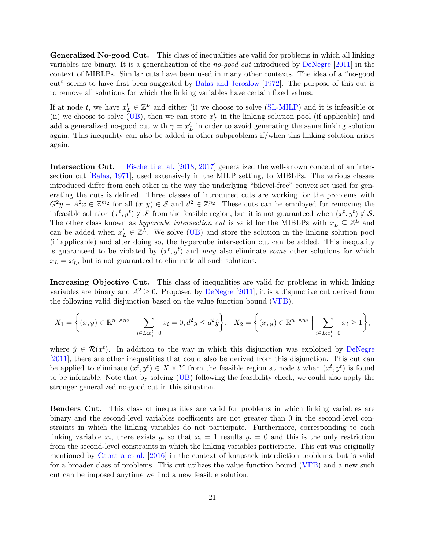Generalized No-good Cut. This class of inequalities are valid for problems in which all linking variables are binary. It is a generalization of the no-good cut introduced by [DeNegre](#page-36-2) [\[2011\]](#page-36-2) in the context of MIBLPs. Similar cuts have been used in many other contexts. The idea of a "no-good cut" seems to have first been suggested by [Balas and Jeroslow](#page-35-5) [\[1972\]](#page-35-5). The purpose of this cut is to remove all solutions for which the linking variables have certain fixed values.

If at node t, we have  $x_L^t \in \mathbb{Z}^L$  and either (i) we choose to solve [\(SL-MILP\)](#page-13-3) and it is infeasible or (ii) we choose to solve [\(UB\)](#page-15-3), then we can store  $x_L^t$  in the linking solution pool (if applicable) and add a generalized no-good cut with  $\gamma = x_L^t$  in order to avoid generating the same linking solution again. This inequality can also be added in other subproblems if/when this linking solution arises again.

Intersection Cut. [Fischetti et al.](#page-36-8) [\[2018,](#page-36-8) [2017\]](#page-36-9) generalized the well-known concept of an intersection cut [\[Balas,](#page-35-6) [1971\]](#page-35-6), used extensively in the MILP setting, to MIBLPs. The various classes introduced differ from each other in the way the underlying "bilevel-free" convex set used for generating the cuts is defined. Three classes of introduced cuts are working for the problems with  $G^2y - A^2x \in \mathbb{Z}^{m_2}$  for all  $(x, y) \in \mathcal{S}$  and  $d^2 \in \mathbb{Z}^{n_2}$ . These cuts can be employed for removing the infeasible solution  $(x^t, y^t) \notin \mathcal{F}$  from the feasible region, but it is not guaranteed when  $(x^t, y^t) \notin \mathcal{S}$ . The other class known as *hypercube intersection cut* is valid for the MIBLPs with  $x_L \subseteq \mathbb{Z}^L$  and can be added when  $x_L^t \in \mathbb{Z}^L$ . We solve [\(UB\)](#page-15-3) and store the solution in the linking solution pool (if applicable) and after doing so, the hypercube intersection cut can be added. This inequality is guaranteed to be violated by  $(x^t, y^t)$  and may also eliminate some other solutions for which  $x_L = x_L^t$ , but is not guaranteed to eliminate all such solutions.

Increasing Objective Cut. This class of inequalities are valid for problems in which linking variables are binary and  $A^2 \geq 0$ . Proposed by [DeNegre](#page-36-2) [\[2011\]](#page-36-2), it is a disjunctive cut derived from the following valid disjunction based on the value function bound [\(VFB\)](#page-14-0).

$$
X_1 = \left\{ (x, y) \in \mathbb{R}^{n_1 \times n_2} \; \Big| \sum_{i \in L: x_i^t = 0} x_i = 0, d^2 y \le d^2 \hat{y} \right\}, \quad X_2 = \left\{ (x, y) \in \mathbb{R}^{n_1 \times n_2} \; \Big| \sum_{i \in L: x_i^t = 0} x_i \ge 1 \right\},
$$

where  $\hat{y} \in \mathcal{R}(x^t)$ . In addition to the way in which this disjunction was exploited by [DeNegre](#page-36-2) [\[2011\]](#page-36-2), there are other inequalities that could also be derived from this disjunction. This cut can be applied to eliminate  $(x^t, y^t) \in X \times Y$  from the feasible region at node t when  $(x^t, y^t)$  is found to be infeasible. Note that by solving [\(UB\)](#page-15-3) following the feasibility check, we could also apply the stronger generalized no-good cut in this situation.

Benders Cut. This class of inequalities are valid for problems in which linking variables are binary and the second-level variables coefficients are not greater than 0 in the second-level constraints in which the linking variables do not participate. Furthermore, corresponding to each linking variable  $x_i$ , there exists  $y_i$  so that  $x_i = 1$  results  $y_i = 0$  and this is the only restriction from the second-level constraints in which the linking variables participate. This cut was originally mentioned by [Caprara et al.](#page-36-7) [\[2016\]](#page-36-7) in the context of knapsack interdiction problems, but is valid for a broader class of problems. This cut utilizes the value function bound [\(VFB\)](#page-14-0) and a new such cut can be imposed anytime we find a new feasible solution.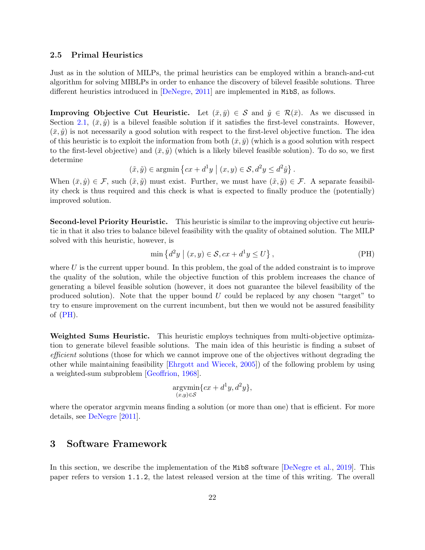### <span id="page-21-0"></span>2.5 Primal Heuristics

Just as in the solution of MILPs, the primal heuristics can be employed within a branch-and-cut algorithm for solving MIBLPs in order to enhance the discovery of bilevel feasible solutions. Three different heuristics introduced in [\[DeNegre,](#page-36-2) [2011\]](#page-36-2) are implemented in MibS, as follows.

**Improving Objective Cut Heuristic.** Let  $(\bar{x}, \bar{y}) \in S$  and  $\hat{y} \in \mathcal{R}(\bar{x})$ . As we discussed in Section [2.1,](#page-12-0)  $(\bar{x}, \hat{y})$  is a bilevel feasible solution if it satisfies the first-level constraints. However,  $(\bar{x}, \hat{y})$  is not necessarily a good solution with respect to the first-level objective function. The idea of this heuristic is to exploit the information from both  $(\bar{x}, \bar{y})$  (which is a good solution with respect to the first-level objective) and  $(\bar{x}, \hat{y})$  (which is a likely bilevel feasible solution). To do so, we first determine

$$
(\tilde{x}, \tilde{y}) \in \operatorname{argmin} \left\{ cx + d^1 y \mid (x, y) \in \mathcal{S}, d^2 y \leq d^2 \hat{y} \right\}.
$$

When  $(\bar{x}, \hat{y}) \in \mathcal{F}$ , such  $(\tilde{x}, \tilde{y})$  must exist. Further, we must have  $(\tilde{x}, \tilde{y}) \in \mathcal{F}$ . A separate feasibility check is thus required and this check is what is expected to finally produce the (potentially) improved solution.

Second-level Priority Heuristic. This heuristic is similar to the improving objective cut heuristic in that it also tries to balance bilevel feasibility with the quality of obtained solution. The MILP solved with this heuristic, however, is

<span id="page-21-2"></span>
$$
\min \left\{ d^2 y \mid (x, y) \in \mathcal{S}, cx + d^1 y \le U \right\},\tag{PH}
$$

where  $U$  is the current upper bound. In this problem, the goal of the added constraint is to improve the quality of the solution, while the objective function of this problem increases the chance of generating a bilevel feasible solution (however, it does not guarantee the bilevel feasibility of the produced solution). Note that the upper bound  $U$  could be replaced by any chosen "target" to try to ensure improvement on the current incumbent, but then we would not be assured feasibility of  $(PH)$ .

Weighted Sums Heuristic. This heuristic employs techniques from multi-objective optimization to generate bilevel feasible solutions. The main idea of this heuristic is finding a subset of efficient solutions (those for which we cannot improve one of the objectives without degrading the other while maintaining feasibility [\[Ehrgott and Wiecek,](#page-36-10) [2005\]](#page-36-10)) of the following problem by using a weighted-sum subproblem [\[Geoffrion,](#page-37-14) [1968\]](#page-37-14).

$$
\underset{(x,y)\in\mathcal{S}}{\operatorname{arg}\!\operatorname{vmin}}\{cx+d^1y,d^2y\},\
$$

where the operator argymin means finding a solution (or more than one) that is efficient. For more details, see [DeNegre](#page-36-2) [\[2011\]](#page-36-2).

## <span id="page-21-1"></span>3 Software Framework

In this section, we describe the implementation of the MibS software [\[DeNegre et al.,](#page-36-11) [2019\]](#page-36-11). This paper refers to version 1.1.2, the latest released version at the time of this writing. The overall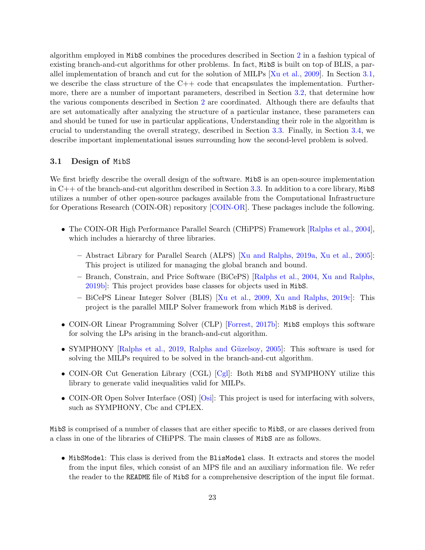algorithm employed in MibS combines the procedures described in Section [2](#page-11-0) in a fashion typical of existing branch-and-cut algorithms for other problems. In fact, MibS is built on top of BLIS, a parallel implementation of branch and cut for the solution of MILPs [\[Xu et al.,](#page-39-2) [2009\]](#page-39-2). In Section [3.1,](#page-22-0) we describe the class structure of the  $C++$  code that encapsulates the implementation. Furthermore, there are a number of important parameters, described in Section [3.2,](#page-23-0) that determine how the various components described in Section [2](#page-11-0) are coordinated. Although there are defaults that are set automatically after analyzing the structure of a particular instance, these parameters can and should be tuned for use in particular applications, Understanding their role in the algorithm is crucial to understanding the overall strategy, described in Section [3.3.](#page-26-0) Finally, in Section [3.4,](#page-28-1) we describe important implementational issues surrounding how the second-level problem is solved.

### <span id="page-22-0"></span>3.1 Design of MibS

We first briefly describe the overall design of the software. MibS is an open-source implementation in C++ of the branch-and-cut algorithm described in Section [3.3.](#page-26-0) In addition to a core library, MibS utilizes a number of other open-source packages available from the Computational Infrastructure for Operations Research (COIN-OR) repository [\[COIN-OR\]](#page-36-0). These packages include the following.

- The COIN-OR High Performance Parallel Search (CHiPPS) Framework [\[Ralphs et al.,](#page-38-8) [2004\]](#page-38-8), which includes a hierarchy of three libraries.
	- Abstract Library for Parallel Search (ALPS) [\[Xu and Ralphs,](#page-38-9) [2019a,](#page-38-9) [Xu et al.,](#page-38-10) [2005\]](#page-38-10): This project is utilized for managing the global branch and bound.
	- Branch, Constrain, and Price Software (BiCePS) [\[Ralphs et al.,](#page-38-8) [2004,](#page-38-8) [Xu and Ralphs,](#page-38-11) [2019b\]](#page-38-11): This project provides base classes for objects used in MibS.
	- BiCePS Linear Integer Solver (BLIS) [\[Xu et al.,](#page-39-2) [2009,](#page-39-2) [Xu and Ralphs,](#page-38-12) [2019c\]](#page-38-12): This project is the parallel MILP Solver framework from which MibS is derived.
- COIN-OR Linear Programming Solver (CLP) [\[Forrest,](#page-36-12) [2017b\]](#page-36-12): MibS employs this software for solving the LPs arising in the branch-and-cut algorithm.
- SYMPHONY [\[Ralphs et al.,](#page-38-13) [2019,](#page-38-13) Ralphs and Güzelsoy, [2005\]](#page-38-14): This software is used for solving the MILPs required to be solved in the branch-and-cut algorithm.
- COIN-OR Cut Generation Library (CGL) [\[Cgl\]](#page-36-13): Both MibS and SYMPHONY utilize this library to generate valid inequalities valid for MILPs.
- COIN-OR Open Solver Interface (OSI) [\[Osi\]](#page-37-15): This project is used for interfacing with solvers, such as SYMPHONY, Cbc and CPLEX.

MibS is comprised of a number of classes that are either specific to MibS, or are classes derived from a class in one of the libraries of CHiPPS. The main classes of MibS are as follows.

• MibSModel: This class is derived from the BlisModel class. It extracts and stores the model from the input files, which consist of an MPS file and an auxiliary information file. We refer the reader to the README file of MibS for a comprehensive description of the input file format.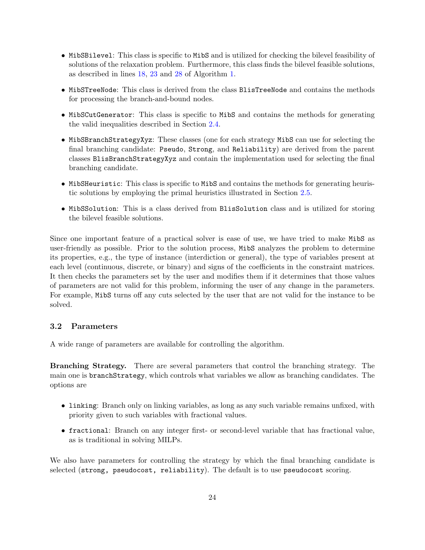- MibSBilevel: This class is specific to MibS and is utilized for checking the bilevel feasibility of solutions of the relaxation problem. Furthermore, this class finds the bilevel feasible solutions, as described in lines [18,](#page-27-0) [23](#page-27-1) and [28](#page-27-2) of Algorithm [1.](#page-27-3)
- MibSTreeNode: This class is derived from the class BlisTreeNode and contains the methods for processing the branch-and-bound nodes.
- MibSCutGenerator: This class is specific to MibS and contains the methods for generating the valid inequalities described in Section [2.4.](#page-18-0)
- MibSBranchStrategyXyz: These classes (one for each strategy MibS can use for selecting the final branching candidate: Pseudo, Strong, and Reliability) are derived from the parent classes BlisBranchStrategyXyz and contain the implementation used for selecting the final branching candidate.
- MibSHeuristic: This class is specific to MibS and contains the methods for generating heuristic solutions by employing the primal heuristics illustrated in Section [2.5.](#page-21-0)
- MibSSolution: This is a class derived from BlisSolution class and is utilized for storing the bilevel feasible solutions.

Since one important feature of a practical solver is ease of use, we have tried to make MibS as user-friendly as possible. Prior to the solution process, MibS analyzes the problem to determine its properties, e.g., the type of instance (interdiction or general), the type of variables present at each level (continuous, discrete, or binary) and signs of the coefficients in the constraint matrices. It then checks the parameters set by the user and modifies them if it determines that those values of parameters are not valid for this problem, informing the user of any change in the parameters. For example, MibS turns off any cuts selected by the user that are not valid for the instance to be solved.

## <span id="page-23-0"></span>3.2 Parameters

A wide range of parameters are available for controlling the algorithm.

Branching Strategy. There are several parameters that control the branching strategy. The main one is branchStrategy, which controls what variables we allow as branching candidates. The options are

- linking: Branch only on linking variables, as long as any such variable remains unfixed, with priority given to such variables with fractional values.
- fractional: Branch on any integer first- or second-level variable that has fractional value, as is traditional in solving MILPs.

We also have parameters for controlling the strategy by which the final branching candidate is selected (strong, pseudocost, reliability). The default is to use pseudocost scoring.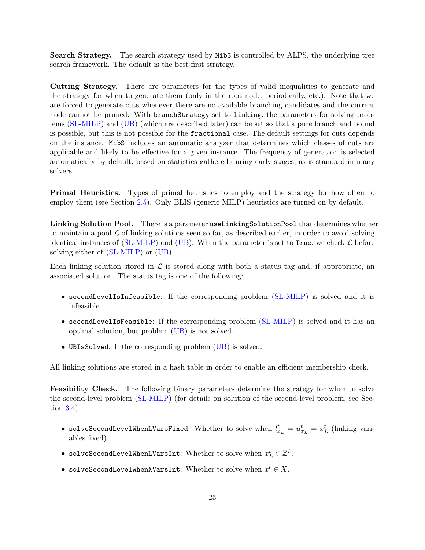Search Strategy. The search strategy used by MibS is controlled by ALPS, the underlying tree search framework. The default is the best-first strategy.

Cutting Strategy. There are parameters for the types of valid inequalities to generate and the strategy for when to generate them (only in the root node, periodically, etc.). Note that we are forced to generate cuts whenever there are no available branching candidates and the current node cannot be pruned. With branchStrategy set to linking, the parameters for solving problems [\(SL-MILP\)](#page-13-3) and [\(UB\)](#page-15-3) (which are described later) can be set so that a pure branch and bound is possible, but this is not possible for the fractional case. The default settings for cuts depends on the instance. MibS includes an automatic analyzer that determines which classes of cuts are applicable and likely to be effective for a given instance. The frequency of generation is selected automatically by default, based on statistics gathered during early stages, as is standard in many solvers.

Primal Heuristics. Types of primal heuristics to employ and the strategy for how often to employ them (see Section [2.5\)](#page-21-0). Only BLIS (generic MILP) heuristics are turned on by default.

Linking Solution Pool. There is a parameter useLinkingSolutionPool that determines whether to maintain a pool  $\mathcal L$  of linking solutions seen so far, as described earlier, in order to avoid solving identical instances of [\(SL-MILP\)](#page-13-3) and [\(UB\)](#page-15-3). When the parameter is set to True, we check  $\mathcal L$  before solving either of [\(SL-MILP\)](#page-13-3) or [\(UB\)](#page-15-3).

Each linking solution stored in  $\mathcal L$  is stored along with both a status tag and, if appropriate, an associated solution. The status tag is one of the following:

- secondLevelIsInfeasible: If the corresponding problem [\(SL-MILP\)](#page-13-3) is solved and it is infeasible.
- secondLevelIsFeasible: If the corresponding problem [\(SL-MILP\)](#page-13-3) is solved and it has an optimal solution, but problem [\(UB\)](#page-15-3) is not solved.
- UBIsSolved: If the corresponding problem [\(UB\)](#page-15-3) is solved.

All linking solutions are stored in a hash table in order to enable an efficient membership check.

Feasibility Check. The following binary parameters determine the strategy for when to solve the second-level problem [\(SL-MILP\)](#page-13-3) (for details on solution of the second-level problem, see Section [3.4\)](#page-28-1).

- solveSecondLevelWhenLVarsFixed: Whether to solve when  $l_{x_L}^t = u_{x_L}^t = x_L^t$  (linking variables fixed).
- $\bullet\,$  solveSecondLevelWhenLVarsInt: Whether to solve when  $x^t_L\in\mathbb{Z}^L.$
- solveSecondLevelWhenXVarsInt: Whether to solve when  $x^t \in X$ .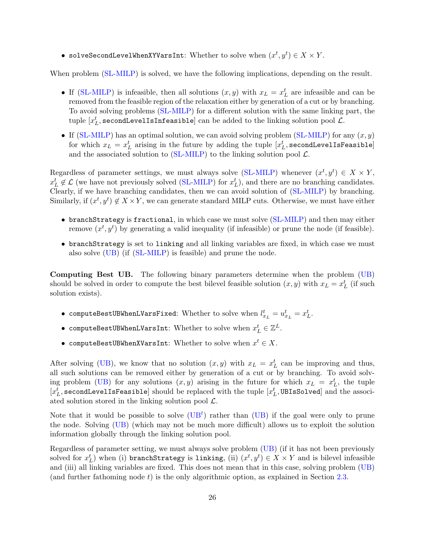• solveSecondLevelWhenXYVarsInt: Whether to solve when  $(x^t, y^t) \in X \times Y$ .

When problem [\(SL-MILP\)](#page-13-3) is solved, we have the following implications, depending on the result.

- If [\(SL-MILP\)](#page-13-3) is infeasible, then all solutions  $(x, y)$  with  $x_L = x_L^t$  are infeasible and can be removed from the feasible region of the relaxation either by generation of a cut or by branching. To avoid solving problems [\(SL-MILP\)](#page-13-3) for a different solution with the same linking part, the tuple  $[x_L^t, \texttt{secondLevelIsInfeasible}]$  can be added to the linking solution pool  $\mathcal{L}.$
- If  $(SL-MILP)$  has an optimal solution, we can avoid solving problem  $(SL-MILP)$  for any  $(x, y)$ for which  $x_L = x_L^t$  arising in the future by adding the tuple  $[x_L^t, {\tt secondLevelIsFeasible}]$ and the associated solution to  $(SL\text{-}MILP)$  to the linking solution pool  $\mathcal{L}$ .

Regardless of parameter settings, we must always solve [\(SL-MILP\)](#page-13-3) whenever  $(x^t, y^t) \in X \times Y$ ,  $x_L^t \notin \mathcal{L}$  (we have not previously solved [\(SL-MILP\)](#page-13-3) for  $x_L^t$ ), and there are no branching candidates. Clearly, if we have branching candidates, then we can avoid solution of [\(SL-MILP\)](#page-13-3) by branching. Similarly, if  $(x^t, y^t) \notin X \times Y$ , we can generate standard MILP cuts. Otherwise, we must have either

- branchStrategy is fractional, in which case we must solve [\(SL-MILP\)](#page-13-3) and then may either remove  $(x^t, y^t)$  by generating a valid inequality (if infeasible) or prune the node (if feasible).
- branchStrategy is set to linking and all linking variables are fixed, in which case we must also solve [\(UB\)](#page-15-3) (if [\(SL-MILP\)](#page-13-3) is feasible) and prune the node.

Computing Best UB. The following binary parameters determine when the problem [\(UB\)](#page-15-3) should be solved in order to compute the best bilevel feasible solution  $(x, y)$  with  $x_L = x_L^t$  (if such solution exists).

- $\bullet$  computeBestUBWhenLVarsFixed: Whether to solve when  $l_{x_L}^t = u_{x_L}^t = x_L^t$ .
- $\bullet$  computeBestUBWhenLVarsInt: Whether to solve when  $x_L^t \in \mathbb{Z}^L$ .
- computeBestUBWhenXVarsInt: Whether to solve when  $x^t \in X$ .

After solving [\(UB\)](#page-15-3), we know that no solution  $(x, y)$  with  $x_L = x_L^t$  can be improving and thus, all such solutions can be removed either by generation of a cut or by branching. To avoid solv-ing problem [\(UB\)](#page-15-3) for any solutions  $(x, y)$  arising in the future for which  $x_L = x_L^t$ , the tuple  $[x_L^t, \texttt{secondLevelIsFeasible}]$  should be replaced with the tuple  $[x_L^t, \texttt{UBIsSolved}]$  and the associated solution stored in the linking solution pool  $\mathcal{L}$ .

Note that it would be possible to solve  $(UB<sup>t</sup>)$  $(UB<sup>t</sup>)$  rather than  $(UB)$  if the goal were only to prune the node. Solving [\(UB\)](#page-15-3) (which may not be much more difficult) allows us to exploit the solution information globally through the linking solution pool.

Regardless of parameter setting, we must always solve problem [\(UB\)](#page-15-3) (if it has not been previously solved for  $x_L^t$ ) when (i) branchStrategy is linking, (ii)  $(x^t, y^t) \in X \times Y$  and is bilevel infeasible and (iii) all linking variables are fixed. This does not mean that in this case, solving problem [\(UB\)](#page-15-3) (and further fathoming node  $t$ ) is the only algorithmic option, as explained in Section [2.3.](#page-16-0)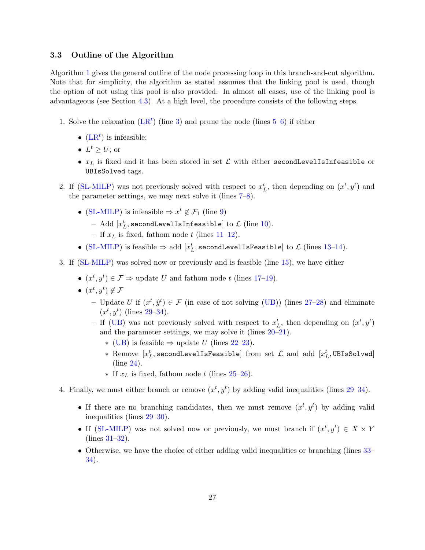## <span id="page-26-0"></span>3.3 Outline of the Algorithm

Algorithm [1](#page-27-3) gives the general outline of the node processing loop in this branch-and-cut algorithm. Note that for simplicity, the algorithm as stated assumes that the linking pool is used, though the option of not using this pool is also provided. In almost all cases, use of the linking pool is advantageous (see Section [4.3\)](#page-32-0). At a high level, the procedure consists of the following steps.

- 1. Solve the relaxation  $(LR^t)$  $(LR^t)$  (line [3\)](#page-27-4) and prune the node (lines [5–](#page-27-5)[6\)](#page-27-6) if either
	- $(LR<sup>t</sup>)$  $(LR<sup>t</sup>)$  is infeasible;
	- $L^t \geq U$ ; or
	- $x_L$  is fixed and it has been stored in set  $\mathcal L$  with either secondLevelIsInfeasible or UBIsSolved tags.
- 2. If [\(SL-MILP\)](#page-13-3) was not previously solved with respect to  $x_L^t$ , then depending on  $(x^t, y^t)$  and the parameter settings, we may next solve it (lines [7–](#page-27-7)[8\)](#page-27-8).
	- [\(SL-MILP\)](#page-13-3) is infeasible  $\Rightarrow x^t \notin \mathcal{F}_1$  (line [9\)](#page-27-9)
		- Add  $[x_L^t, \texttt{secondLevelIsInfeasible}]$  to  $\mathcal L$  (line [10\)](#page-27-10).
		- If  $x_L$  is fixed, fathom node t (lines [11](#page-27-11)[–12\)](#page-27-12).
	- [\(SL-MILP\)](#page-13-3) is feasible  $\Rightarrow$  add  $[x_L^t,$  secondLevelIsFeasible] to  $\mathcal L$  (lines [13–](#page-27-13)[14\)](#page-27-14).
- 3. If [\(SL-MILP\)](#page-13-3) was solved now or previously and is feasible (line [15\)](#page-27-15), we have either
	- $(x^t, y^t) \in \mathcal{F} \Rightarrow$  update U and fathom node t (lines [17](#page-27-16)-19).
	- $(x^t, y^t) \notin \mathcal{F}$ 
		- Update U if  $(x^t, \hat{y}^t) \in \mathcal{F}$  (in case of not solving [\(UB\)](#page-15-3)) (lines [27–](#page-27-18)[28\)](#page-27-2) and eliminate  $(x^t, y^t)$  (lines [29–](#page-27-19)[34\)](#page-27-20).
		- If [\(UB\)](#page-15-3) was not previously solved with respect to  $x_L^t$ , then depending on  $(x^t, y^t)$ and the parameter settings, we may solve it (lines [20–](#page-27-21)[21\)](#page-27-22).
			- ∗ [\(UB\)](#page-15-3) is feasible ⇒ update U (lines [22–](#page-27-23)[23\)](#page-27-1).
			- \* Remove  $[x^t_L, \texttt{secondLevelIsFeasible}]$  from set  $\mathcal L$  and add  $[x^t_L, \texttt{UBIsSolved}]$ (line [24\)](#page-27-24).
			- ∗ If x<sup>L</sup> is fixed, fathom node t (lines [25](#page-27-25)[–26\)](#page-27-26).
- 4. Finally, we must either branch or remove  $(x^t, y^t)$  by adding valid inequalities (lines [29](#page-27-19)[–34\)](#page-27-20).
	- If there are no branching candidates, then we must remove  $(x^t, y^t)$  by adding valid inequalities (lines [29–](#page-27-19)[30\)](#page-27-27).
	- If [\(SL-MILP\)](#page-13-3) was not solved now or previously, we must branch if  $(x^t, y^t) \in X \times Y$ (lines [31](#page-27-28)[–32\)](#page-27-29).
	- Otherwise, we have the choice of either adding valid inequalities or branching (lines  $33-$ [34\)](#page-27-20).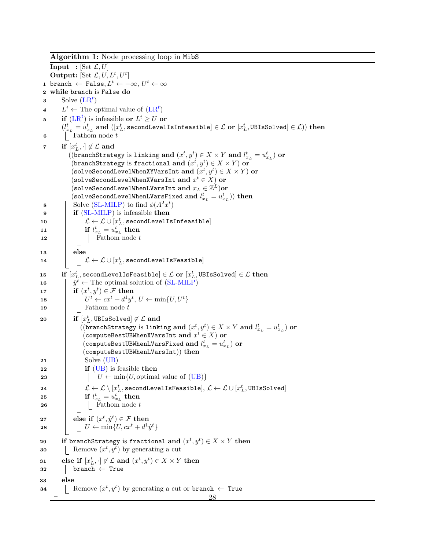<span id="page-27-30"></span><span id="page-27-29"></span><span id="page-27-28"></span><span id="page-27-27"></span><span id="page-27-26"></span><span id="page-27-25"></span><span id="page-27-24"></span><span id="page-27-23"></span><span id="page-27-22"></span><span id="page-27-21"></span><span id="page-27-20"></span><span id="page-27-19"></span><span id="page-27-18"></span><span id="page-27-17"></span><span id="page-27-16"></span><span id="page-27-15"></span><span id="page-27-14"></span><span id="page-27-13"></span><span id="page-27-12"></span><span id="page-27-11"></span><span id="page-27-10"></span><span id="page-27-9"></span><span id="page-27-8"></span><span id="page-27-7"></span><span id="page-27-6"></span><span id="page-27-5"></span><span id="page-27-4"></span><span id="page-27-3"></span><span id="page-27-2"></span><span id="page-27-1"></span><span id="page-27-0"></span>Algorithm 1: Node processing loop in MibS **Input** : [Set  $\mathcal{L}, U$ ] Output: [Set  $\mathcal{L}, U, L^t, U^t$ ] 1 branch  $\leftarrow$  False, $L^t \leftarrow -\infty, U^t \leftarrow \infty$ <sup>2</sup> while branch is False do  $\mathbf{s}$  Solve  $(LR^t)$  $(LR^t)$ 4  $L^t \leftarrow$  The optimal value of  $(LR^t)$  $(LR^t)$ 5 if  $(LR^t)$  $(LR^t)$  is infeasible or  $L^t \geq U$  or  $(l_{x_L}^t = u_{x_L}^t \text{ and } ([x_L^t, \text{secondLevelIsInfeasible}] \in \mathcal{L} \text{ or } [x_L^t, \text{UBIsSolved}] \in \mathcal{L})) \text{ then}$  $\bullet$  | Fathom node t  $\begin{array}{cc} \texttt{7} & \end{array} \quad \text{if} \; \left[x_{L}^{t}, \cdot\right] \not\in \mathcal{L} \; \textbf{and}$  $((\texttt{branchStrategy}\text{ is linking and } (x^t,y^t)\in X\times Y \text{ and } l^t_{x_L}=u^t_{x_L}) \textbf{ or }$ (branchStrategy is fractional and  $(x^t, y^t) \in X \times Y$ ) or  $(\texttt{solveSecondLevelWhen} \texttt{XYVarsInt}~\textbf{and}~ (x^t, y^t) \in X \times Y) \textbf{ or }$ (solveSecondLevelWhenXVarsInt and  $x^t \in X)$  or  $($ solveSecondLevelWhenLVarsInt and  $x_L \in \mathbb{Z}^L)$ or  $(\verb|solveSecondLevelWhenLVarsFixed and $l^t_{x_L} = u^t_{x_L})\big)$  then 8 Solve [\(SL-MILP\)](#page-13-3) to find  $\phi(A^2x^t)$  $9$  | if [\(SL-MILP\)](#page-13-3) is infeasible then  $\begin{array}{|c|c|c|}\hline \text{\bf{10}} & & \end{array} \begin{array}{|c|c|c|}\hline \rule{0pt}{16pt} & & \end{array} \mathcal{L} \leftarrow \mathcal{L} \cup [x^t_L, \text{secondLevelIsInfeasible}] \end{array}$  $\begin{array}{|c|c|c|}\hline \textbf{11} & & \textbf{if} & l_{x_L}^t = u_{x_L}^t\ \hline \end{array} \textbf{then}$  $\begin{array}{c|c|c|c|c} \n\textbf{12} & \textbf{12} & \textbf{13} & \textbf{14} \\ \n\end{array}$  Fathom node t  $13$  else  $\begin{array}{c|c} \texttt{14} & \end{array} \begin{array}{c} \end{array} \begin{array}{c} \end{array} \begin{array}{c} \rule{0pt}{12pt} \begin{array}{c} \rule{0pt}{12pt} \end{array} \begin{array}{c} \end{array} \begin{array}{c} \hspace{-3pt} \end{array} \mathcal{L} \leftarrow \mathcal{L} \cup [x^{t}_{L}, \texttt{secondLevelIsFeasible}] \end{array}$  $\texttt{if}~~ [x_{L}^{t}, \texttt{secondLevelIsFeasible}] \in \mathcal{L} ~\textbf{or}~ [x_{L}^{t}, \texttt{UBIsSolved}] \in \mathcal{L} ~\textbf{then}$ 16  $\int \hat{y}^t \leftarrow$  The optimal solution of [\(SL-MILP\)](#page-13-3) 17 **if**  $(x^t, y^t) \in \mathcal{F}$  then 18  $\left| \quad \right| \quad U^t \leftarrow cx^t + d^1y^t, \, U \leftarrow \min\{U, U^t\}$  $19$  | Fathom node t  $\quad \text{ 20 } \quad \Big| \quad \text{ if } \left[ x_L^t, \text{UBIsSolved} \right] \not \in \mathcal{L} \text{ and }$  $((\mathtt{branchStrategy}\text{ is linking and } (x^t,y^t)\in X\times Y\text{ and }l^t_{x_L}=u^t_{x_L})\text{ or }% \mathcal{A}\rightarrow \mathcal{A}\text{ and }l^t_{x_L}=u^t_{x_L}$  $(\texttt{computeBestUBWhenXVarsInt}\; \textbf{and}\; x^t \in X) \; \textbf{or}$  $(\texttt{computeBestUBWhenLVarsFixed and } l_{x_L}^t = u_{x_L}^t) \textbf{ or }$ (computeBestUBWhenLVarsInt)) then  $21$  | Solve [\(UB\)](#page-15-3)  $22$  if [\(UB\)](#page-15-3) is feasible then 23 | | |  $U \leftarrow min\{U, \text{optimal value of (UB)}\}$  $U \leftarrow min\{U, \text{optimal value of (UB)}\}$  $U \leftarrow min\{U, \text{optimal value of (UB)}\}$  $\begin{array}{c|c|c} \text{24} & & \mathcal{L} \leftarrow \mathcal{L} \setminus [x_L^t, \text{secondLevelIsFeasible}], \mathcal{L} \leftarrow \mathcal{L} \cup [x_L^t, \text{UBIsSolved}] \end{array}$  $\begin{array}{|c|c|c|}\hline \text{ } & \text{ } \text{ } & \text{ } \text{ } & \text{ } \text{ } & \text{ } \text{ } & \text{ } \text{ } & \text{ } \text{ } & \text{ } \text{ } & \text{ } \text{ } \text{ } & \text{ } \text{ } \text{ } & \text{ } \text{ } & \text{ } \text{ } \text{ } & \text{ } \text{ } \text{ } & \text{ } \text{ } & \text{ } \text{ } & \text{ } \text{ } & \text{ } \text{ } & \text{ } \text{ } & \text{ } \text{ } & \text{ } \text{ } & \text{ } \text{ } & \text{ }$  $\begin{array}{|c|c|c|c|c|c|c|c|c|} \hline \text{26} & & \text{Fathom node } t \\\hline \end{array}$  $\begin{array}{|c|c|} \textbf{27} & \textbf{else} \textbf{ if } (x^t, \hat{y}^t) \in \mathcal{F} \textbf{ then} \end{array}$  $\texttt{28} \quad | \quad | \quad U \leftarrow \min\{U, c x^t + d^1 \hat{y}^t\}$ 29 if branchStrategy is fractional and  $(x^t, y^t) \in X \times Y$  then **30** Remove  $(x^t, y^t)$  by generating a cut  $\quad \text{else if} \,\, \left[x_{L}^{t}, \cdot\right] \not\in \mathcal{L} \text{ and } \left(x^{t}, y^{t}\right) \in X \times Y \text{ then}$  $32$  | | branch  $\leftarrow$  True <sup>33</sup> else **34** Remove  $(x^t, y^t)$  by generating a cut or branch  $\leftarrow$  True 28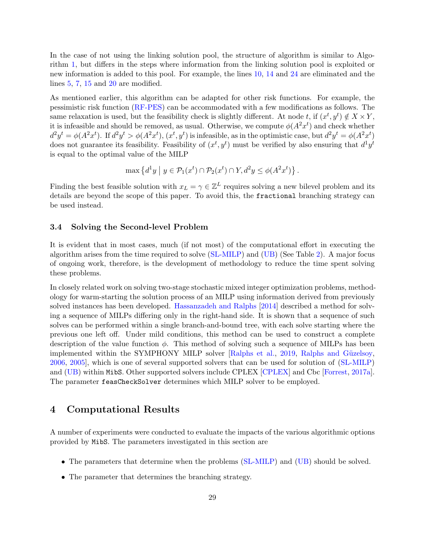In the case of not using the linking solution pool, the structure of algorithm is similar to Algorithm [1,](#page-27-3) but differs in the steps where information from the linking solution pool is exploited or new information is added to this pool. For example, the lines [10,](#page-27-10) [14](#page-27-14) and [24](#page-27-24) are eliminated and the lines [5,](#page-27-5) [7,](#page-27-7) [15](#page-27-15) and [20](#page-27-21) are modified.

As mentioned earlier, this algorithm can be adapted for other risk functions. For example, the pessimistic risk function [\(RF-PES\)](#page-3-1) can be accommodated with a few modifications as follows. The same relaxation is used, but the feasibility check is slightly different. At node t, if  $(x^t, y^t) \notin X \times Y$ , it is infeasible and should be removed, as usual. Otherwise, we compute  $\phi(A^2x^t)$  and check whether  $d^2y^t = \phi(A^2x^t)$ . If  $d^2y^t > \phi(A^2x^t)$ ,  $(x^t, y^t)$  is infeasible, as in the optimistic case, but  $d^2y^t = \phi(A^2x^t)$ does not guarantee its feasibility. Feasibility of  $(x^t, y^t)$  must be verified by also ensuring that  $d^1y^t$ is equal to the optimal value of the MILP

$$
\max\left\{d^1y \mid y \in \mathcal{P}_1(x^t) \cap \mathcal{P}_2(x^t) \cap Y, d^2y \leq \phi(A^2x^t)\right\}.
$$

Finding the best feasible solution with  $x_L = \gamma \in \mathbb{Z}^L$  requires solving a new bilevel problem and its details are beyond the scope of this paper. To avoid this, the fractional branching strategy can be used instead.

#### <span id="page-28-1"></span>3.4 Solving the Second-level Problem

It is evident that in most cases, much (if not most) of the computational effort in executing the algorithm arises from the time required to solve [\(SL-MILP\)](#page-13-3) and [\(UB\)](#page-15-3) (See Table [2\)](#page-33-0). A major focus of ongoing work, therefore, is the development of methodology to reduce the time spent solving these problems.

In closely related work on solving two-stage stochastic mixed integer optimization problems, methodology for warm-starting the solution process of an MILP using information derived from previously solved instances has been developed. [Hassanzadeh and Ralphs](#page-37-16) [\[2014\]](#page-37-16) described a method for solving a sequence of MILPs differing only in the right-hand side. It is shown that a sequence of such solves can be performed within a single branch-and-bound tree, with each solve starting where the previous one left off. Under mild conditions, this method can be used to construct a complete description of the value function  $\phi$ . This method of solving such a sequence of MILPs has been implemented within the SYMPHONY MILP solver [\[Ralphs et al.,](#page-38-13) [2019,](#page-38-13) Ralphs and Güzelsoy, [2006,](#page-38-15) [2005\]](#page-38-14), which is one of several supported solvers that can be used for solution of [\(SL-MILP\)](#page-13-3) and [\(UB\)](#page-15-3) within MibS. Other supported solvers include CPLEX [\[CPLEX\]](#page-36-14) and Cbc [\[Forrest,](#page-36-15) [2017a\]](#page-36-15). The parameter feasCheckSolver determines which MILP solver to be employed.

## <span id="page-28-0"></span>4 Computational Results

A number of experiments were conducted to evaluate the impacts of the various algorithmic options provided by MibS. The parameters investigated in this section are

- The parameters that determine when the problems [\(SL-MILP\)](#page-13-3) and [\(UB\)](#page-15-3) should be solved.
- The parameter that determines the branching strategy.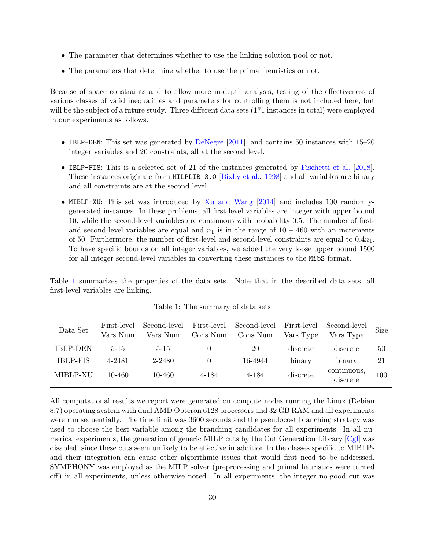- The parameter that determines whether to use the linking solution pool or not.
- The parameters that determine whether to use the primal heuristics or not.

Because of space constraints and to allow more in-depth analysis, testing of the effectiveness of various classes of valid inequalities and parameters for controlling them is not included here, but will be the subject of a future study. Three different data sets (171 instances in total) were employed in our experiments as follows.

- IBLP-DEN: This set was generated by [DeNegre](#page-36-2)  $[2011]$ , and contains 50 instances with 15–20 integer variables and 20 constraints, all at the second level.
- IBLP-FIS: This is a selected set of 21 of the instances generated by [Fischetti et al.](#page-36-8) [\[2018\]](#page-36-8). These instances originate from MILPLIB 3.0 [\[Bixby et al.,](#page-36-16) [1998\]](#page-36-16) and all variables are binary and all constraints are at the second level.
- MIBLP-XU: This set was introduced by [Xu and Wang](#page-38-5) [\[2014\]](#page-38-5) and includes 100 randomlygenerated instances. In these problems, all first-level variables are integer with upper bound 10, while the second-level variables are continuous with probability 0.5. The number of firstand second-level variables are equal and  $n_1$  is in the range of  $10 - 460$  with an increments of 50. Furthermore, the number of first-level and second-level constraints are equal to  $0.4n_1$ . To have specific bounds on all integer variables, we added the very loose upper bound 1500 for all integer second-level variables in converting these instances to the MibS format.

<span id="page-29-0"></span>Table [1](#page-29-0) summarizes the properties of the data sets. Note that in the described data sets, all first-level variables are linking.

| Data Set        | First-level<br>Vars Num | Vars Num | Cons Num | Second-level First-level Second-level First-level Second-level<br>Cons Num | Vars Type | Vars Type               | <b>Size</b> |
|-----------------|-------------------------|----------|----------|----------------------------------------------------------------------------|-----------|-------------------------|-------------|
| <b>IBLP-DEN</b> | $5 - 15$                | $5 - 15$ |          | 20                                                                         | discrete  | discrete                | 50          |
| <b>IBLP-FIS</b> | 4-2481                  | 2-2480   |          | 16-4944                                                                    | binary    | binary                  | 21          |
| MIBLP-XU        | 10-460                  | 10-460   | 4-184    | 4-184                                                                      | discrete  | continuous,<br>discrete | 100         |

Table 1: The summary of data sets

All computational results we report were generated on compute nodes running the Linux (Debian 8.7) operating system with dual AMD Opteron 6128 processors and 32 GB RAM and all experiments were run sequentially. The time limit was 3600 seconds and the pseudocost branching strategy was used to choose the best variable among the branching candidates for all experiments. In all numerical experiments, the generation of generic MILP cuts by the Cut Generation Library [\[Cgl\]](#page-36-13) was disabled, since these cuts seem unlikely to be effective in addition to the classes specific to MIBLPs and their integration can cause other algorithmic issues that would first need to be addressed. SYMPHONY was employed as the MILP solver (preprocessing and primal heuristics were turned off) in all experiments, unless otherwise noted. In all experiments, the integer no-good cut was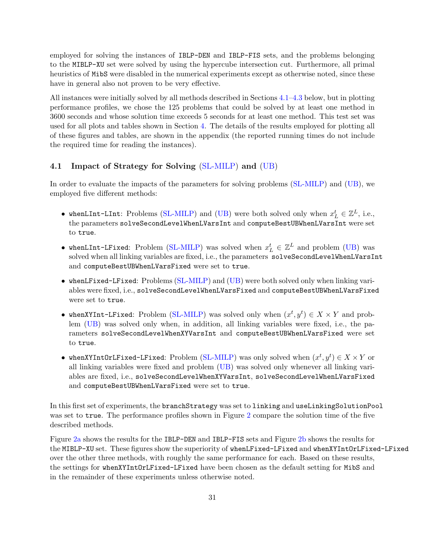employed for solving the instances of IBLP-DEN and IBLP-FIS sets, and the problems belonging to the MIBLP-XU set were solved by using the hypercube intersection cut. Furthermore, all primal heuristics of MibS were disabled in the numerical experiments except as otherwise noted, since these have in general also not proven to be very effective.

All instances were initially solved by all methods described in Sections [4.1–](#page-30-0)[4.3](#page-32-0) below, but in plotting performance profiles, we chose the 125 problems that could be solved by at least one method in 3600 seconds and whose solution time exceeds 5 seconds for at least one method. This test set was used for all plots and tables shown in Section [4.](#page-28-0) The details of the results employed for plotting all of these figures and tables, are shown in the appendix (the reported running times do not include the required time for reading the instances).

## <span id="page-30-0"></span>4.1 Impact of Strategy for Solving [\(SL-MILP\)](#page-13-3) and [\(UB\)](#page-15-3)

In order to evaluate the impacts of the parameters for solving problems [\(SL-MILP\)](#page-13-3) and [\(UB\)](#page-15-3), we employed five different methods:

- whenLInt-LInt: Problems [\(SL-MILP\)](#page-13-3) and [\(UB\)](#page-15-3) were both solved only when  $x_L^t \in \mathbb{Z}^L$ , i.e., the parameters solveSecondLevelWhenLVarsInt and computeBestUBWhenLVarsInt were set to true.
- whenLInt-LFixed: Problem [\(SL-MILP\)](#page-13-3) was solved when  $x_L^t \in \mathbb{Z}^L$  and problem [\(UB\)](#page-15-3) was solved when all linking variables are fixed, i.e., the parameters solveSecondLevelWhenLVarsInt and computeBestUBWhenLVarsFixed were set to true.
- whenLFixed-LFixed: Problems [\(SL-MILP\)](#page-13-3) and [\(UB\)](#page-15-3) were both solved only when linking variables were fixed, i.e., solveSecondLevelWhenLVarsFixed and computeBestUBWhenLVarsFixed were set to true.
- whenXYInt-LFixed: Problem [\(SL-MILP\)](#page-13-3) was solved only when  $(x^t, y^t) \in X \times Y$  and problem [\(UB\)](#page-15-3) was solved only when, in addition, all linking variables were fixed, i.e., the parameters solveSecondLevelWhenXYVarsInt and computeBestUBWhenLVarsFixed were set to true.
- whenXYIntOrLFixed-LFixed: Problem [\(SL-MILP\)](#page-13-3) was only solved when  $(x^t, y^t) \in X \times Y$  or all linking variables were fixed and problem [\(UB\)](#page-15-3) was solved only whenever all linking variables are fixed, i.e., solveSecondLevelWhenXYVarsInt, solveSecondLevelWhenLVarsFixed and computeBestUBWhenLVarsFixed were set to true.

In this first set of experiments, the branchStrategy was set to linking and useLinkingSolutionPool was set to true. The performance profiles shown in Figure [2](#page-31-0) compare the solution time of the five described methods.

Figure [2a](#page-31-0) shows the results for the IBLP-DEN and IBLP-FIS sets and Figure [2b](#page-31-0) shows the results for the MIBLP-XU set. These figures show the superiority of whenLFixed-LFixed and whenXYIntOrLFixed-LFixed over the other three methods, with roughly the same performance for each. Based on these results, the settings for whenXYIntOrLFixed-LFixed have been chosen as the default setting for MibS and in the remainder of these experiments unless otherwise noted.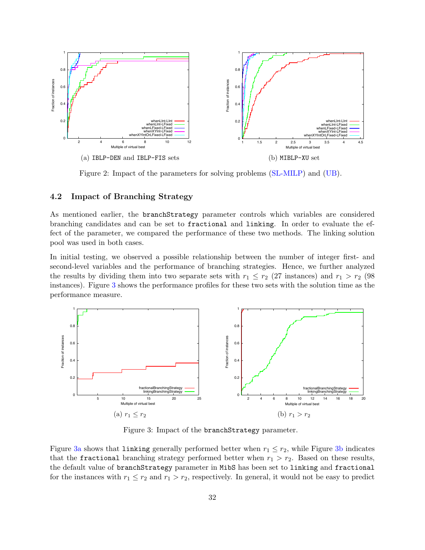<span id="page-31-0"></span>

Figure 2: Impact of the parameters for solving problems [\(SL-MILP\)](#page-13-3) and [\(UB\)](#page-15-3).

## 4.2 Impact of Branching Strategy

As mentioned earlier, the branchStrategy parameter controls which variables are considered branching candidates and can be set to fractional and linking. In order to evaluate the effect of the parameter, we compared the performance of these two methods. The linking solution pool was used in both cases.

In initial testing, we observed a possible relationship between the number of integer first- and second-level variables and the performance of branching strategies. Hence, we further analyzed the results by dividing them into two separate sets with  $r_1 \le r_2$  (27 instances) and  $r_1 > r_2$  (98 instances). Figure [3](#page-31-1) shows the performance profiles for these two sets with the solution time as the performance measure.

<span id="page-31-1"></span>

Figure 3: Impact of the branchStrategy parameter.

Figure [3a](#page-31-1) shows that linking generally performed better when  $r_1 \leq r_2$ , while Figure [3b](#page-31-1) indicates that the fractional branching strategy performed better when  $r_1 > r_2$ . Based on these results, the default value of branchStrategy parameter in MibS has been set to linking and fractional for the instances with  $r_1 \le r_2$  and  $r_1 > r_2$ , respectively. In general, it would not be easy to predict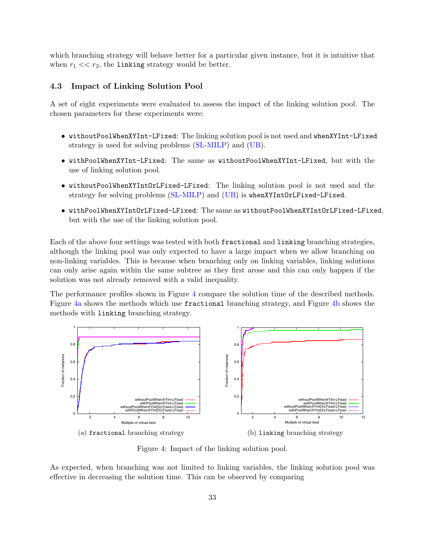which branching strategy will behave better for a particular given instance, but it is intuitive that when  $r_1 \ll r_2$ , the linking strategy would be better.

## <span id="page-32-0"></span>4.3 Impact of Linking Solution Pool

A set of eight experiments were evaluated to assess the impact of the linking solution pool. The chosen parameters for these experiments were:

- withoutPoolWhenXYInt-LFixed: The linking solution pool is not used and whenXYInt-LFixed strategy is used for solving problems [\(SL-MILP\)](#page-13-3) and [\(UB\)](#page-15-3).
- withPoolWhenXYInt-LFixed: The same as withoutPoolWhenXYInt-LFixed, but with the use of linking solution pool.
- withoutPoolWhenXYIntOrLFixed-LFixed: The linking solution pool is not used and the strategy for solving problems [\(SL-MILP\)](#page-13-3) and [\(UB\)](#page-15-3) is whenXYIntOrLFixed-LFixed.
- withPoolWhenXYIntOrLFixed-LFixed: The same as withoutPoolWhenXYIntOrLFixed-LFixed, but with the use of the linking solution pool.

Each of the above four settings was tested with both fractional and linking branching strategies, although the linking pool was only expected to have a large impact when we allow branching on non-linking variables. This is because when branching only on linking variables, linking solutions can only arise again within the same subtree as they first arose and this can only happen if the solution was not already removed with a valid inequality.

The performance profiles shown in Figure [4](#page-32-1) compare the solution time of the described methods. Figure [4a](#page-32-1) shows the methods which use fractional branching strategy, and Figure [4b](#page-32-1) shows the methods with linking branching strategy.

<span id="page-32-1"></span>

Figure 4: Impact of the linking solution pool.

As expected, when branching was not limited to linking variables, the linking solution pool was effective in decreasing the solution time. This can be observed by comparing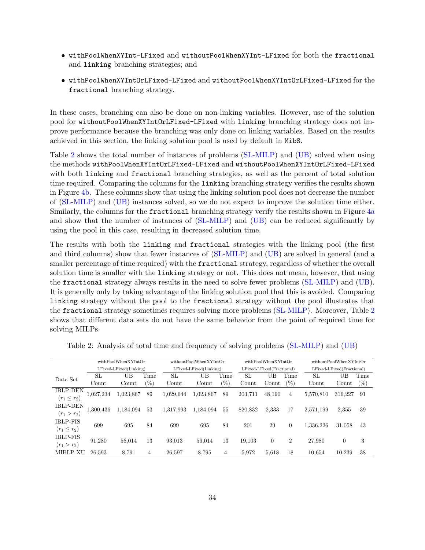- withPoolWhenXYInt-LFixed and withoutPoolWhenXYInt-LFixed for both the fractional and linking branching strategies; and
- withPoolWhenXYIntOrLFixed-LFixed and withoutPoolWhenXYIntOrLFixed-LFixed for the fractional branching strategy.

In these cases, branching can also be done on non-linking variables. However, use of the solution pool for withoutPoolWhenXYIntOrLFixed-LFixed with linking branching strategy does not improve performance because the branching was only done on linking variables. Based on the results achieved in this section, the linking solution pool is used by default in MibS.

Table [2](#page-33-0) shows the total number of instances of problems [\(SL-MILP\)](#page-13-3) and [\(UB\)](#page-15-3) solved when using the methods withPoolWhenXYIntOrLFixed-LFixed and withoutPoolWhenXYIntOrLFixed-LFixed with both linking and fractional branching strategies, as well as the percent of total solution time required. Comparing the columns for the linking branching strategy verifies the results shown in Figure [4b.](#page-32-1) These columns show that using the linking solution pool does not decrease the number of [\(SL-MILP\)](#page-13-3) and [\(UB\)](#page-15-3) instances solved, so we do not expect to improve the solution time either. Similarly, the columns for the fractional branching strategy verify the results shown in Figure [4a](#page-32-1) and show that the number of instances of [\(SL-MILP\)](#page-13-3) and [\(UB\)](#page-15-3) can be reduced significantly by using the pool in this case, resulting in decreased solution time.

The results with both the linking and fractional strategies with the linking pool (the first and third columns) show that fewer instances of [\(SL-MILP\)](#page-13-3) and [\(UB\)](#page-15-3) are solved in general (and a smaller percentage of time required) with the fractional strategy, regardless of whether the overall solution time is smaller with the linking strategy or not. This does not mean, however, that using the fractional strategy always results in the need to solve fewer problems [\(SL-MILP\)](#page-13-3) and [\(UB\)](#page-15-3). It is generally only by taking advantage of the linking solution pool that this is avoided. Comparing linking strategy without the pool to the fractional strategy without the pool illustrates that the fractional strategy sometimes requires solving more problems [\(SL-MILP\)](#page-13-3). Moreover, Table [2](#page-33-0) shows that different data sets do not have the same behavior from the point of required time for solving MILPs.

|                  |           | withPoolWhenXYIntOr    |                 |           | withoutPoolWhenXYIntOr |        |         | withPoolWhenXYIntOr       |                | withoutPoolWhenXYIntOr |                           |        |
|------------------|-----------|------------------------|-----------------|-----------|------------------------|--------|---------|---------------------------|----------------|------------------------|---------------------------|--------|
|                  |           | LFixed-LFixed(Linking) |                 |           | LFixed-LFixed(Linking) |        |         | LFixed-LFixed(Fractional) |                |                        | LFixed-LFixed(Fractional) |        |
| Data Set         | SL        | UΒ                     | Time            | SL        | UΒ                     | Time   | SL      | UΒ                        | Time           | SL                     | UВ                        | Time   |
|                  | Count     | Count                  | $\mathscr{C}_0$ | Count     | Count                  | $(\%)$ | Count   | Count                     | $(\%)$         | Count                  | Count                     | $(\%)$ |
| <b>IBLP-DEN</b>  | 1,027,234 | 1,023,867              | 89              | 1,029,644 | 1,023,867              | 89     | 203.711 | 48,190                    | 4              | 5,570,810              | 316,227                   | 91     |
| $(r_1 \leq r_2)$ |           |                        |                 |           |                        |        |         |                           |                |                        |                           |        |
| <b>IBLP-DEN</b>  | 1,300,436 | 1,184,094              | 53              | 1,317,993 | 1,184,094              | 55     | 820,832 | 2,333                     | 17             | 2.571.199              | 2,355                     | 39     |
| $(r_1 > r_2)$    |           |                        |                 |           |                        |        |         |                           |                |                        |                           |        |
| <b>IBLP-FIS</b>  | 699       | 695                    | 84              | 699       | 695                    | 84     | 201     | 29                        | $\theta$       | 1.336.226              | 31.058                    | 43     |
| $(r_1 \le r_2)$  |           |                        |                 |           |                        |        |         |                           |                |                        |                           |        |
| <b>IBLP-FIS</b>  | 91,280    | 56.014                 | 13              | 93.013    | 56.014                 | 13     | 19.103  | $\overline{0}$            | $\overline{2}$ | 27,980                 | $\overline{0}$            | 3      |
| $(r_1 > r_2)$    |           |                        |                 |           |                        |        |         |                           |                |                        |                           |        |
| MIBLP-XU         | 26.593    | 8.791                  | $\overline{4}$  | 26.597    | 8.795                  | 4      | 5.972   | 5.618                     | 18             | 10.654                 | 10.239                    | 38     |

<span id="page-33-0"></span>Table 2: Analysis of total time and frequency of solving problems [\(SL-MILP\)](#page-13-3) and [\(UB\)](#page-15-3)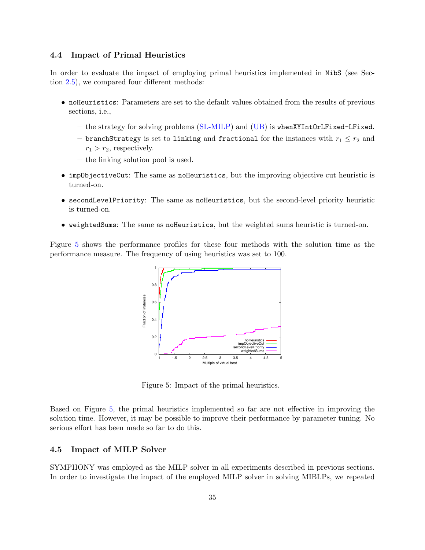## 4.4 Impact of Primal Heuristics

In order to evaluate the impact of employing primal heuristics implemented in MibS (see Section [2.5\)](#page-21-0), we compared four different methods:

- noHeuristics: Parameters are set to the default values obtained from the results of previous sections, i.e.,
	- the strategy for solving problems [\(SL-MILP\)](#page-13-3) and [\(UB\)](#page-15-3) is whenXYIntOrLFixed-LFixed.
	- branchStrategy is set to linking and fractional for the instances with  $r_1 \leq r_2$  and  $r_1 > r_2$ , respectively.
	- the linking solution pool is used.
- impObjectiveCut: The same as noHeuristics, but the improving objective cut heuristic is turned-on.
- secondLevelPriority: The same as noHeuristics, but the second-level priority heuristic is turned-on.
- weightedSums: The same as noHeuristics, but the weighted sums heuristic is turned-on.

<span id="page-34-0"></span>Figure [5](#page-34-0) shows the performance profiles for these four methods with the solution time as the performance measure. The frequency of using heuristics was set to 100.



Figure 5: Impact of the primal heuristics.

Based on Figure [5,](#page-34-0) the primal heuristics implemented so far are not effective in improving the solution time. However, it may be possible to improve their performance by parameter tuning. No serious effort has been made so far to do this.

#### 4.5 Impact of MILP Solver

SYMPHONY was employed as the MILP solver in all experiments described in previous sections. In order to investigate the impact of the employed MILP solver in solving MIBLPs, we repeated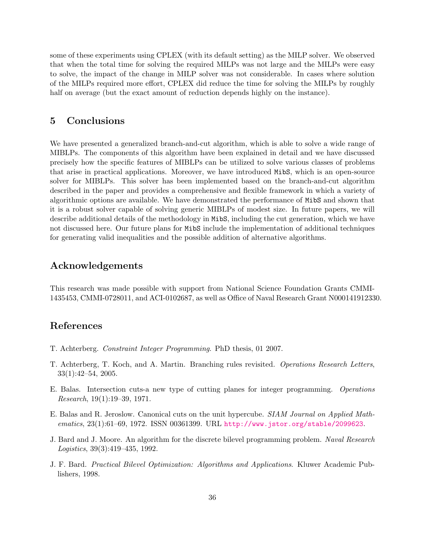some of these experiments using CPLEX (with its default setting) as the MILP solver. We observed that when the total time for solving the required MILPs was not large and the MILPs were easy to solve, the impact of the change in MILP solver was not considerable. In cases where solution of the MILPs required more effort, CPLEX did reduce the time for solving the MILPs by roughly half on average (but the exact amount of reduction depends highly on the instance).

## <span id="page-35-3"></span>5 Conclusions

We have presented a generalized branch-and-cut algorithm, which is able to solve a wide range of MIBLPs. The components of this algorithm have been explained in detail and we have discussed precisely how the specific features of MIBLPs can be utilized to solve various classes of problems that arise in practical applications. Moreover, we have introduced MibS, which is an open-source solver for MIBLPs. This solver has been implemented based on the branch-and-cut algorithm described in the paper and provides a comprehensive and flexible framework in which a variety of algorithmic options are available. We have demonstrated the performance of MibS and shown that it is a robust solver capable of solving generic MIBLPs of modest size. In future papers, we will describe additional details of the methodology in MibS, including the cut generation, which we have not discussed here. Our future plans for MibS include the implementation of additional techniques for generating valid inequalities and the possible addition of alternative algorithms.

## Acknowledgements

This research was made possible with support from National Science Foundation Grants CMMI-1435453, CMMI-0728011, and ACI-0102687, as well as Office of Naval Research Grant N000141912330.

## References

- <span id="page-35-2"></span>T. Achterberg. Constraint Integer Programming. PhD thesis, 01 2007.
- <span id="page-35-4"></span>T. Achterberg, T. Koch, and A. Martin. Branching rules revisited. Operations Research Letters, 33(1):42–54, 2005.
- <span id="page-35-6"></span>E. Balas. Intersection cuts-a new type of cutting planes for integer programming. Operations Research, 19(1):19–39, 1971.
- <span id="page-35-5"></span>E. Balas and R. Jeroslow. Canonical cuts on the unit hypercube. SIAM Journal on Applied Mathematics, 23(1):61–69, 1972. ISSN 00361399. URL <http://www.jstor.org/stable/2099623>.
- <span id="page-35-1"></span>J. Bard and J. Moore. An algorithm for the discrete bilevel programming problem. Naval Research Logistics, 39(3):419–435, 1992.
- <span id="page-35-0"></span>J. F. Bard. Practical Bilevel Optimization: Algorithms and Applications. Kluwer Academic Publishers, 1998.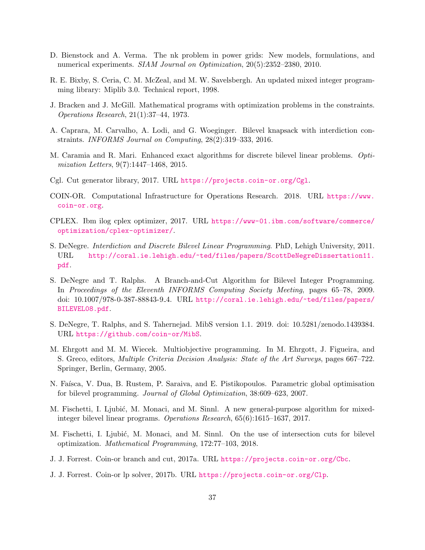- <span id="page-36-1"></span>D. Bienstock and A. Verma. The nk problem in power grids: New models, formulations, and numerical experiments. SIAM Journal on Optimization, 20(5):2352–2380, 2010.
- <span id="page-36-16"></span>R. E. Bixby, S. Ceria, C. M. McZeal, and M. W. Savelsbergh. An updated mixed integer programming library: Miplib 3.0. Technical report, 1998.
- <span id="page-36-3"></span>J. Bracken and J. McGill. Mathematical programs with optimization problems in the constraints. Operations Research, 21(1):37–44, 1973.
- <span id="page-36-7"></span>A. Caprara, M. Carvalho, A. Lodi, and G. Woeginger. Bilevel knapsack with interdiction constraints. INFORMS Journal on Computing, 28(2):319–333, 2016.
- <span id="page-36-6"></span>M. Caramia and R. Mari. Enhanced exact algorithms for discrete bilevel linear problems. Optimization Letters, 9(7):1447–1468, 2015.
- <span id="page-36-13"></span>Cgl. Cut generator library, 2017. URL <https://projects.coin-or.org/Cgl>.
- <span id="page-36-0"></span>COIN-OR. Computational Infrastructure for Operations Research. 2018. URL [https://www.](https://www.coin-or.org) [coin-or.org](https://www.coin-or.org).
- <span id="page-36-14"></span>CPLEX. Ibm ilog cplex optimizer, 2017. URL [https://www-01.ibm.com/software/commerce/](https://www-01.ibm.com/software/commerce/optimization/cplex-optimizer/) [optimization/cplex-optimizer/](https://www-01.ibm.com/software/commerce/optimization/cplex-optimizer/).
- <span id="page-36-2"></span>S. DeNegre. Interdiction and Discrete Bilevel Linear Programming. PhD, Lehigh University, 2011. URL [http://coral.ie.lehigh.edu/~ted/files/papers/ScottDeNegreDissertation11.](http://coral.ie.lehigh.edu/~ted/files/papers/ScottDeNegreDissertation11.pdf) [pdf](http://coral.ie.lehigh.edu/~ted/files/papers/ScottDeNegreDissertation11.pdf).
- <span id="page-36-5"></span>S. DeNegre and T. Ralphs. A Branch-and-Cut Algorithm for Bilevel Integer Programming. In Proceedings of the Eleventh INFORMS Computing Society Meeting, pages 65–78, 2009. doi: 10.1007/978-0-387-88843-9 4. URL [http://coral.ie.lehigh.edu/~ted/files/papers/](http://coral.ie.lehigh.edu/~ted/files/papers/BILEVEL08.pdf) [BILEVEL08.pdf](http://coral.ie.lehigh.edu/~ted/files/papers/BILEVEL08.pdf).
- <span id="page-36-11"></span>S. DeNegre, T. Ralphs, and S. Tahernejad. MibS version 1.1. 2019. doi: 10.5281/zenodo.1439384. URL <https://github.com/coin-or/MibS>.
- <span id="page-36-10"></span>M. Ehrgott and M. M. Wiecek. Multiobjective programming. In M. Ehrgott, J. Figueira, and S. Greco, editors, Multiple Criteria Decision Analysis: State of the Art Surveys, pages 667–722. Springer, Berlin, Germany, 2005.
- <span id="page-36-4"></span>N. Faísca, V. Dua, B. Rustem, P. Saraiva, and E. Pistikopoulos. Parametric global optimisation for bilevel programming. Journal of Global Optimization, 38:609–623, 2007.
- <span id="page-36-9"></span>M. Fischetti, I. Ljubić, M. Monaci, and M. Sinnl. A new general-purpose algorithm for mixedinteger bilevel linear programs. Operations Research, 65(6):1615–1637, 2017.
- <span id="page-36-8"></span>M. Fischetti, I. Ljubić, M. Monaci, and M. Sinnl. On the use of intersection cuts for bilevel optimization. Mathematical Programming, 172:77–103, 2018.
- <span id="page-36-15"></span>J. J. Forrest. Coin-or branch and cut, 2017a. URL <https://projects.coin-or.org/Cbc>.
- <span id="page-36-12"></span>J. J. Forrest. Coin-or lp solver, 2017b. URL <https://projects.coin-or.org/Clp>.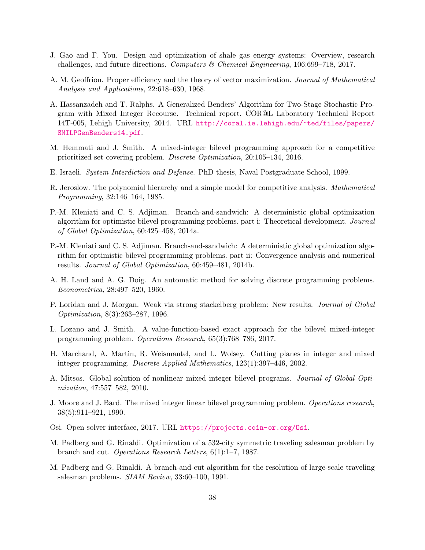- <span id="page-37-0"></span>J. Gao and F. You. Design and optimization of shale gas energy systems: Overview, research challenges, and future directions. Computers & Chemical Engineering, 106:699–718, 2017.
- <span id="page-37-14"></span>A. M. Geoffrion. Proper efficiency and the theory of vector maximization. Journal of Mathematical Analysis and Applications, 22:618–630, 1968.
- <span id="page-37-16"></span>A. Hassanzadeh and T. Ralphs. A Generalized Benders' Algorithm for Two-Stage Stochastic Program with Mixed Integer Recourse. Technical report, COR@L Laboratory Technical Report 14T-005, Lehigh University, 2014. URL [http://coral.ie.lehigh.edu/~ted/files/papers/](http://coral.ie.lehigh.edu/~ted/files/papers/SMILPGenBenders14.pdf) [SMILPGenBenders14.pdf](http://coral.ie.lehigh.edu/~ted/files/papers/SMILPGenBenders14.pdf).
- <span id="page-37-5"></span>M. Hemmati and J. Smith. A mixed-integer bilevel programming approach for a competitive prioritized set covering problem. Discrete Optimization, 20:105–134, 2016.
- <span id="page-37-2"></span>E. Israeli. System Interdiction and Defense. PhD thesis, Naval Postgraduate School, 1999.
- <span id="page-37-3"></span>R. Jeroslow. The polynomial hierarchy and a simple model for competitive analysis. Mathematical Programming, 32:146–164, 1985.
- <span id="page-37-8"></span>P.-M. Kleniati and C. S. Adjiman. Branch-and-sandwich: A deterministic global optimization algorithm for optimistic bilevel programming problems. part i: Theoretical development. Journal of Global Optimization, 60:425–458, 2014a.
- <span id="page-37-9"></span>P.-M. Kleniati and C. S. Adjiman. Branch-and-sandwich: A deterministic global optimization algorithm for optimistic bilevel programming problems. part ii: Convergence analysis and numerical results. Journal of Global Optimization, 60:459–481, 2014b.
- <span id="page-37-12"></span>A. H. Land and A. G. Doig. An automatic method for solving discrete programming problems. Econometrica, 28:497–520, 1960.
- <span id="page-37-1"></span>P. Loridan and J. Morgan. Weak via strong stackelberg problem: New results. *Journal of Global* Optimization, 8(3):263–287, 1996.
- <span id="page-37-6"></span>L. Lozano and J. Smith. A value-function-based exact approach for the bilevel mixed-integer programming problem. Operations Research, 65(3):768–786, 2017.
- <span id="page-37-13"></span>H. Marchand, A. Martin, R. Weismantel, and L. Wolsey. Cutting planes in integer and mixed integer programming. Discrete Applied Mathematics, 123(1):397–446, 2002.
- <span id="page-37-7"></span>A. Mitsos. Global solution of nonlinear mixed integer bilevel programs. Journal of Global Optimization, 47:557–582, 2010.
- <span id="page-37-4"></span>J. Moore and J. Bard. The mixed integer linear bilevel programming problem. Operations research, 38(5):911–921, 1990.
- <span id="page-37-15"></span>Osi. Open solver interface, 2017. URL <https://projects.coin-or.org/Osi>.
- <span id="page-37-10"></span>M. Padberg and G. Rinaldi. Optimization of a 532-city symmetric traveling salesman problem by branch and cut. Operations Research Letters, 6(1):1–7, 1987.
- <span id="page-37-11"></span>M. Padberg and G. Rinaldi. A branch-and-cut algorithm for the resolution of large-scale traveling salesman problems. SIAM Review, 33:60–100, 1991.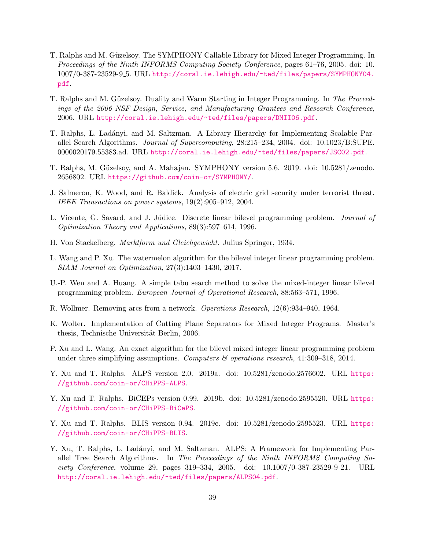- <span id="page-38-14"></span>T. Ralphs and M. Güzelsoy. The SYMPHONY Callable Library for Mixed Integer Programming. In Proceedings of the Ninth INFORMS Computing Society Conference, pages 61–76, 2005. doi: 10. 1007/0-387-23529-9 5. URL [http://coral.ie.lehigh.edu/~ted/files/papers/SYMPHONY04.](http://coral.ie.lehigh.edu/~ted/files/papers/SYMPHONY04.pdf) [pdf](http://coral.ie.lehigh.edu/~ted/files/papers/SYMPHONY04.pdf).
- <span id="page-38-15"></span>T. Ralphs and M. Güzelsoy. Duality and Warm Starting in Integer Programming. In The Proceedings of the 2006 NSF Design, Service, and Manufacturing Grantees and Research Conference, 2006. URL <http://coral.ie.lehigh.edu/~ted/files/papers/DMII06.pdf>.
- <span id="page-38-8"></span>T. Ralphs, L. Lad´anyi, and M. Saltzman. A Library Hierarchy for Implementing Scalable Parallel Search Algorithms. Journal of Supercomputing, 28:215–234, 2004. doi: 10.1023/B:SUPE. 0000020179.55383.ad. URL <http://coral.ie.lehigh.edu/~ted/files/papers/JSC02.pdf>.
- <span id="page-38-13"></span>T. Ralphs, M. Güzelsoy, and A. Mahajan. SYMPHONY version 5.6. 2019. doi: 10.5281/zenodo. 2656802. URL <https://github.com/coin-or/SYMPHONY/>.
- <span id="page-38-0"></span>J. Salmeron, K. Wood, and R. Baldick. Analysis of electric grid security under terrorist threat. IEEE Transactions on power systems, 19(2):905–912, 2004.
- <span id="page-38-1"></span>L. Vicente, G. Savard, and J. Júdice. Discrete linear bilevel programming problem. *Journal of* Optimization Theory and Applications, 89(3):597–614, 1996.
- <span id="page-38-2"></span>H. Von Stackelberg. Marktform und Gleichgewicht. Julius Springer, 1934.
- <span id="page-38-6"></span>L. Wang and P. Xu. The watermelon algorithm for the bilevel integer linear programming problem. SIAM Journal on Optimization, 27(3):1403–1430, 2017.
- <span id="page-38-4"></span>U.-P. Wen and A. Huang. A simple tabu search method to solve the mixed-integer linear bilevel programming problem. European Journal of Operational Research, 88:563–571, 1996.
- <span id="page-38-3"></span>R. Wollmer. Removing arcs from a network. Operations Research, 12(6):934–940, 1964.
- <span id="page-38-7"></span>K. Wolter. Implementation of Cutting Plane Separators for Mixed Integer Programs. Master's thesis, Technische Universität Berlin, 2006.
- <span id="page-38-5"></span>P. Xu and L. Wang. An exact algorithm for the bilevel mixed integer linear programming problem under three simplifying assumptions. Computers  $\mathcal B$  operations research, 41:309-318, 2014.
- <span id="page-38-9"></span>Y. Xu and T. Ralphs. ALPS version 2.0. 2019a. doi: 10.5281/zenodo.2576602. URL [https:](https://github.com/coin-or/CHiPPS-ALPS) [//github.com/coin-or/CHiPPS-ALPS](https://github.com/coin-or/CHiPPS-ALPS).
- <span id="page-38-11"></span>Y. Xu and T. Ralphs. BiCEPs version 0.99. 2019b. doi: 10.5281/zenodo.2595520. URL [https:](https://github.com/coin-or/CHiPPS-BiCePS) [//github.com/coin-or/CHiPPS-BiCePS](https://github.com/coin-or/CHiPPS-BiCePS).
- <span id="page-38-12"></span>Y. Xu and T. Ralphs. BLIS version 0.94. 2019c. doi: 10.5281/zenodo.2595523. URL [https:](https://github.com/coin-or/CHiPPS-BLIS) [//github.com/coin-or/CHiPPS-BLIS](https://github.com/coin-or/CHiPPS-BLIS).
- <span id="page-38-10"></span>Y. Xu, T. Ralphs, L. Ladányi, and M. Saltzman. ALPS: A Framework for Implementing Parallel Tree Search Algorithms. In The Proceedings of the Ninth INFORMS Computing Society Conference, volume 29, pages 319–334, 2005. doi: 10.1007/0-387-23529-9 21. URL <http://coral.ie.lehigh.edu/~ted/files/papers/ALPS04.pdf>.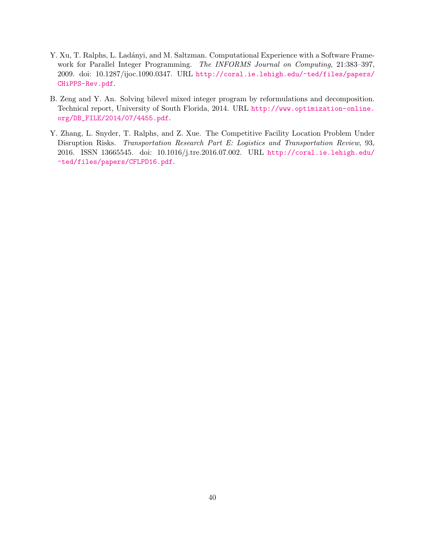- <span id="page-39-2"></span>Y. Xu, T. Ralphs, L. Ladányi, and M. Saltzman. Computational Experience with a Software Framework for Parallel Integer Programming. The INFORMS Journal on Computing, 21:383–397, 2009. doi: 10.1287/ijoc.1090.0347. URL [http://coral.ie.lehigh.edu/~ted/files/papers/](http://coral.ie.lehigh.edu/~ted/files/papers/CHiPPS-Rev.pdf) [CHiPPS-Rev.pdf](http://coral.ie.lehigh.edu/~ted/files/papers/CHiPPS-Rev.pdf).
- <span id="page-39-1"></span>B. Zeng and Y. An. Solving bilevel mixed integer program by reformulations and decomposition. Technical report, University of South Florida, 2014. URL [http://www.optimization-online.](http://www.optimization-online.org/DB_FILE/2014/07/4455.pdf) [org/DB\\_FILE/2014/07/4455.pdf](http://www.optimization-online.org/DB_FILE/2014/07/4455.pdf).
- <span id="page-39-0"></span>Y. Zhang, L. Snyder, T. Ralphs, and Z. Xue. The Competitive Facility Location Problem Under Disruption Risks. Transportation Research Part E: Logistics and Transportation Review, 93, 2016. ISSN 13665545. doi: 10.1016/j.tre.2016.07.002. URL [http://coral.ie.lehigh.edu/](http://coral.ie.lehigh.edu/~ted/files/papers/CFLPD16.pdf) [~ted/files/papers/CFLPD16.pdf](http://coral.ie.lehigh.edu/~ted/files/papers/CFLPD16.pdf).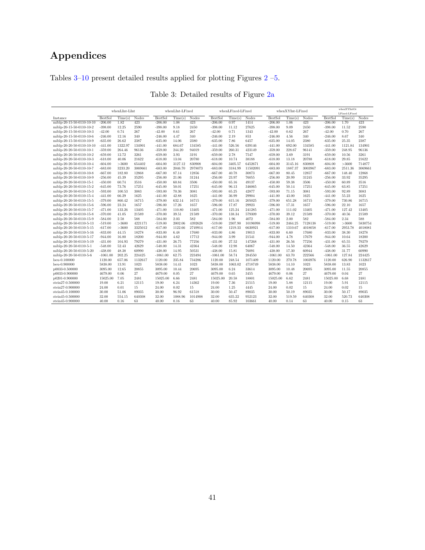## Appendices

<span id="page-40-0"></span>Tables [3–](#page-40-0)[10](#page-50-0) present detailed results applied for plotting Figures [2](#page-31-0) –<br>5.  $\,$ 

|                           | whenLInt-LInt  |               |         | whenLInt-LFixed |         |         | whenLFixed-LFixed |         |          | whenXYInt-LFixed |         |         | whenXYIntOr    |               |         |
|---------------------------|----------------|---------------|---------|-----------------|---------|---------|-------------------|---------|----------|------------------|---------|---------|----------------|---------------|---------|
|                           |                |               |         |                 |         |         |                   |         |          |                  |         |         |                | LFixed-LFixed |         |
| Instance                  | <b>BestSol</b> | Time(s)       | Nodes   | <b>BestSol</b>  | Time(s) | Nodes   | <b>BestSol</b>    | Time(s) | Nodes    | <b>BestSol</b>   | Time(s) | Nodes   | <b>BestSol</b> | Time(s)       | Nodes   |
| miblp-20-15-50-0110-10-10 | $-206.00$      | 1.82<br>12.25 | 423     | $-206.00$       | 1.08    | 423     | $-206.00$         | 0.97    | 1414     | $-206.00$        | 1.06    | 423     | $-206.00$      | 1.70          | 423     |
| miblp-20-15-50-0110-10-2  | $-398.00$      |               | 2590    | $-398.00$       | 9.18    | 2450    | $-398.00$         | 11.12   | 27625    | $-398.00$        | 9.09    | 2450    | $-398.00$      | 11.52         | 2590    |
| miblp-20-15-50-0110-10-3  | $-42.00$       | 0.74          | 267     | $-42.00$        | 0.61    | 267     | $-42.00$          | 0.71    | 1343     | $-42.00$         | 0.62    | 267     | $-42.00$       | 0.70          | 267     |
| miblp-20-15-50-0110-10-6  | $-246.00$      | 12.16         | 340     | $-246.00$       | 4.47    | 340     | $-246.00$         | 2.19    | 853      | $-246.00$        | 4.56    | 340     | $-246.00$      | 8.67          | 340     |
| miblp-20-15-50-0110-10-9  | $-635.00$      | 26.62         | 2387    | $-635.00$       | 14.06   | 2380    | $-635.00$         | 7.86    | 6457     | $-635.00$        | 14.05   | 2380    | $-635.00$      | 25.35         | 2387    |
| miblp-20-20-50-0110-10-10 | $-441.00$      | 1322.97       | 134901  | $-441.00$       | 684.67  | 134585  | $-441.00$         | 526.56  | 639146   | $-441.00$        | 692.00  | 134585  | $-441.00$      | 1121.84       | 134901  |
| miblp-20-20-50-0110-10-1  | $-359.00$      | 264.46        | 96136   | $-359.00$       | 244.20  | 94019   | $-359.00$         | 260.31  | 423149   | $-359.00$        | 228.67  | 96141   | $-359.00$      | 248.95        | 96136   |
| miblp-20-20-50-0110-10-2  | $-659.00$      | 12.72         | 3261    | $-659.00$       | 3.93    | 3191    | $-659.00$         | 2.78    | 7547     | $-659.00$        | 3.69    | 3191    | $-659.00$      | 10.56         | 3261    |
| miblp-20-20-50-0110-10-3  | $-618.00$      | 40.06         | 21622   | $-618.00$       | 13.04   | 20780   | $-618.00$         | 10.74   | 38188    | $-618.00$        | 13.18   | 20788   | $-618.00$      | 29.85         | 21622   |
| miblp-20-20-50-0110-10-4  | $-604.00$      | >3600         | 654402  | $-604.00$       | 3127.12 | 830908  | $-604.00$         | 3405.57 | 6452671  | $-604.00$        | 3145.16 | 830808  | $-604.00$      | >3600         | 714877  |
| miblp-20-20-50-0110-10-7  | $-683.00$      | 3233.20       | 3069661 | $-683.00$       | 2046.70 | 2978073 | $-683.00$         | 3184.99 | 11502091 | $-683.00$        | 1887.37 | 3003967 | $-683.00$      | 2511.36       | 3069661 |
| miblp-20-20-50-0110-10-8  | $-667.00$      | 182.80        | 12868   | $-667.00$       | 87.14   | 12856   | $-667.00$         | 40.78   | 30873    | $-667.00$        | 80.45   | 12857   | $-667.00$      | 148.40        | 12868   |
| miblp-20-20-50-0110-10-9  | $-256.00$      | 45.39         | 35295   | $-256.00$       | 21.06   | 31244   | $-256.00$         | 23.97   | 76055    | $-256.00$        | 20.99   | 31245   | $-256.00$      | 33.92         | 35295   |
| miblp-20-20-50-0110-15-1  | $-450.00$      | 60.74         | 3516    | $-450.00$       | 60.84   | 3506    | $-450.00$         | 65.16   | 49137    | $-450.00$        | 59.38   | 3506    | $-450.00$      | 60.89         | 3516    |
| miblp-20-20-50-0110-15-2  | $-645.00$      | 73.76         | 17251   | $-645.00$       | 50.01   | 17251   | $-645.00$         | 96.13   | 346065   | $-645.00$        | 50.14   | 17251   | $-645.00$      | 63.85         | 17251   |
| miblp-20-20-50-0110-15-3  | $-593.00$      | 100.53        | 3083    | $-593.00$       | 70.36   | 3081    | $-593.00$         | 65.25   | 42877    | $-593.00$        | 71.15   | 3081    | $-593.00$      | 92.89         | 3083    |
| miblp-20-20-50-0110-15-4  | $-441.00$      | 66.29         | 1625    | $-441.00$       | 42.88   | 1625    | $-441.00$         | 36.99   | 29904    | $-441.00$        | 43.00   | 1625    | $-441.00$      | 55.23         | 1625    |
| miblp-20-20-50-0110-15-5  | $-379.00$      | 860.42        | 16715   | $-379.00$       | 632.14  | 16715   | $-379.00$         | 615.16  | 205025   | $-379.00$        | 651.28  | 16715   | $-379.00$      | 730.86        | 16715   |
| miblp-20-20-50-0110-15-6  | $-596.00$      | 23.24         | 1657    | $-596.00$       | 17.26   | 1657    | $-596.00$         | 17.87   | 29923    | $-596.00$        | 17.31   | 1657    | $-596.00$      | 22.10         | 1657    |
| miblp-20-20-50-0110-15-7  | $-471.00$      | 133.26        | 13405   | $-471.00$       | 110.80  | 13405   | $-471.00$         | 125.24  | 241285   | $-471.00$        | 111.02  | 13405   | $-471.00$      | 127.42        | 13405   |
| miblp-20-20-50-0110-15-8  | $-370.00$      | 41.05         | 21589   | $-370.00$       | 39.51   | 21589   | $-370.00$         | 138.34  | 579309   | $-370.00$        | 39.12   | 21589   | $-370.00$      | 40.56         | 21589   |
| miblp-20-20-50-0110-15-9  | $-584.00$      | 2.58          | 588     | $-584.00$       | 2.03    | 582     | $-584.00$         | 1.96    | 4072     | $-584.00$        | 2.00    | 582     | $-584.00$      | 2.34          | 588     |
| miblp-20-20-50-0110-5-13  | $-519.00$      | >3600         | 4221171 | $-519.00$       | 2002.06 | 4392628 | $-519.00$         | 2307.90 | 10196998 | $-519.00$        | 2464.25 | 7128138 | $-519.00$      | >3600         | 5830754 |
| miblp-20-20-50-0110-5-15  | $-617.00$      | >3600         | 3325012 | $-617.00$       | 1122.66 | 2749914 | $-617.00$         | 1219.33 | 6630921  | $-617.00$        | 1310.67 | 4018058 | $-617.00$      | 2953.78       | 4018081 |
| miblp-20-20-50-0110-5-16  | $-833.00$      | 44.15         | 18278   | $-833.00$       | 6.48    | 17680   | $-833.00$         | 4.86    | 19013    | $-833.00$        | 6.60    | 17680   | $-833.00$      | 38.30         | 18278   |
| miblp-20-20-50-0110-5-17  | $-944.00$      | 16.80         | 18200   | $-944.00$       | 4.62    | 17712   | $-944.00$         | 3.99    | 21541    | $-944.00$        | 4.78    | 17679   | $-944.00$      | 10.64         | 18200   |
| miblp-20-20-50-0110-5-19  | $-431.00$      | 104.93        | 79279   | $-431.00$       | 26.75   | 77256   | $-431.00$         | 27.52   | 147268   | $-431.00$        | 26.56   | 77256   | $-431.00$      | 65.55         | 79279   |
| miblp-20-20-50-0110-5-1   | $-548.00$      | 52.43         | 42629   | $-548.00$       | 14.31   | 42364   | $-548.00$         | 12.98   | 64067    | $-548.00$        | 14.50   | 42364   | $-548.00$      | 36.55         | 42629   |
| miblp-20-20-50-0110-5-20  | $-438.00$      | 48.38         | 60990   | $-438.00$       | 14.95   | 50531   | $-438.00$         | 15.81   | 76091    | $-438.00$        | 17.30   | 60944   | $-438.00$      | 31.77         | 60990   |
| miblp-20-20-50-0110-5-6   | $-1061.00$     | 202.25        | 224425  | $-1061.00$      | 62.75   | 223494  | $-1061.00$        | 58.74   | 284550   | $-1061.00$       | 63.70   | 222566  | $-1061.00$     | 127.84        | 224425  |
| lseu-0.100000             | 1120.00        | 657.06        | 1132617 | 1120.00         | 235.84  | 734286  | 1120.00           | 248.54  | 1071409  | 1120.00          | 270.78  | 1003976 | 1120.00        | 626.90        | 1132617 |
| lseu-0.900000             | 5838.00        | 13.91         | 1023    | 5838.00         | 14.41   | 1023    | 5838.00           | 1063.02 | 4718749  | 5838.00          | 14.10   | 1023    | 5838.00        | 13.83         | 1023    |
| p0033-0.500000            | 3095.00        | 12.65         | 20855   | 3095.00         | 10.44   | 20695   | 3095.00           | 6.24    | 33614    | 3095.00          | 10.48   | 20695   | 3095.00        | 11.55         | 20855   |
| p0033-0.900000            | 4679.00        | 0.06          | 27      | 4679.00         | 0.05    | 27      | 4679.00           | 0.65    | 3455     | 4679.00          | 0.06    | 27      | 4679.00        | 0.04          | 27      |
| p0201-0.900000            | 15025.00       | 7.05          | 2481    | 15025.00        | 6.66    | 2481    | 15025.00          | 20.58   | 18801    | 15025.00         | 6.62    | 2481    | 15025.00       | 6.68          | 2481    |
| stein27-0.500000          | 19.00          | 6.21          | 12115   | 19.00           | 6.24    | 14362   | 19.00             | 7.36    | 21515    | 19.00            | 5.88    | 12115   | 19.00          | 5.91          | 12115   |
| stein27-0.900000          | 24.00          | 0.01          | 15      | 24.00           | 0.02    | 15      | 24.00             | 1.25    | 4445     | 24.00            | 0.02    | 15      | 24.00          | 0.02          | 15      |
|                           | 30.00          | 51.06         | 89035   | 30.00           | 96.92   | 61518   | 30.00             | 50.47   | 89035    | 30.00            | 50.19   | 89035   | 30.00          | 50.17         | 89035   |
| stein45-0.100000          |                |               |         |                 |         |         |                   |         |          |                  |         |         |                |               |         |
| stein45-0.500000          | 32.00          | 554.15        | 640308  | 32.00           | 1088.96 | 1014908 | 32.00             | 635.22  | 952123   | 32.00            | 519.59  | 640308  | 32.00          | 520.73        | 640308  |
| stein45-0.900000          | 40.00          | 0.16          | 63      | 40.00           | 0.16    | 63      | 40.00             | 85.92   | 103661   | 40.00            | 0.14    | 63      | 40.00          | 0.15          | 63      |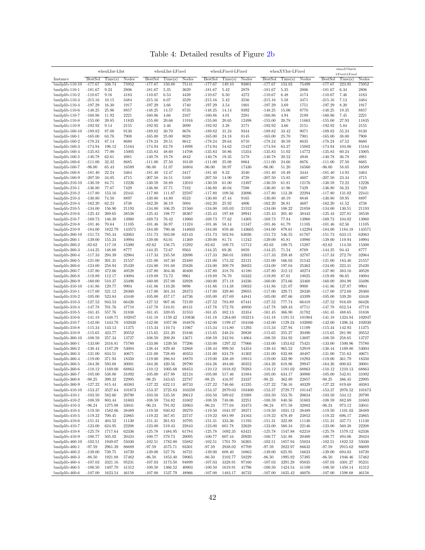Table 4: Detailed results of Figure [2b](#page-31-0)

|                                     |                        | whenLInt-LInt      |                 |                        | whenLInt-LFixed    |                 |                        | whenLFixed-LFixed    |                 |                        | whenXYInt-LFixed   |                 |                        | whenXYIntOr              |                 |
|-------------------------------------|------------------------|--------------------|-----------------|------------------------|--------------------|-----------------|------------------------|----------------------|-----------------|------------------------|--------------------|-----------------|------------------------|--------------------------|-----------------|
| Instance                            | <b>BestSol</b>         | Time(s)            | Nodes           | <b>BestSol</b>         | Time(s)            | Nodes           | <b>BestSol</b>         | Time(s)              | Nodes           | <b>BestSol</b>         | Time(s)            | Nodes           | <b>BestSol</b>         | LFixed-LFixed<br>Time(s) | Nodes           |
| $bmilplib-110-10$                   | $-177.67$              | 336.74             | 75952           | $-177.67$              | 150.88             | 75141           | $-177.67$              | 149.10               | 93801           | $-177.67$              | 153.82             | 75499           | $-177.67$              | 223.95                   | 75952           |
| bmilplib-110-1                      | $-181.67$              | 9.23               | 2806            | $-181.67$              | 5.35               | 3629            | $-181.67$              | 5.42                 | 2878            | $-181.67$              | 5.35               | 2806            | $-181.67$              | 6.34                     | 2806            |
| bmilplib-110-2                      | $-110.67$              | 9.16               | 4183            | $-110.67$              | 6.53               | 4439            | $-110.67$              | 6.50                 | 4272            | $-110.67$              | 6.48               | 4174            | $-110.67$              | 7.46                     | 4183            |
| bmilplib-110-3                      | $-215.16$              | 10.15              | 3484            | $-215.16$              | 6.07               | 3529            | $-215.16$              | 5.42                 | 3556            | $-215.16$              | 5.58               | 3471            | $-215.16$              | 7.13                     | 3484            |
| bmilplib-110-4                      | $-197.29$              | 16.30              | 1917            | $-197.29$              | 3.66               | 1740            | $-197.29$              | 3.54                 | 1801            | $-197.29$              | 3.69               | 1751            | $-197.29$              | 8.20                     | 1917            |
| bmilplib-110-6<br>bmilplib-110-7    | $-148.25$<br>$-160.86$ | 25.96<br>11.92     | 8857<br>2221    | $-148.25$<br>$-160.86$ | 14.57<br>4.66      | 8735<br>2167    | $-148.25$<br>$-160.86$ | 14.14<br>4.01        | 9392<br>2281    | $-148.25$<br>$-160.86$ | 15.06<br>4.94      | 8770<br>2189    | $-148.25$<br>$-160.86$ | 19.35<br>7.45            | 8857<br>2221    |
| bmilplib-110-8                      | $-155.00$              | 39.85              | 11835           | $-155.00$              | 20.66              | 11916           | $-155.00$              | 20.65                | 12498           | $-155.00$              | 20.78              | 11663           | $-155.00$              | 27.93                    | 11835           |
| bmilplib-110-9                      | $-192.92$              | 9.14               | 2155            | $-192.92$              | 3.46               | 2099            | $-192.92$              | 3.28                 | 2171            | $-192.92$              | 3.66               | 2151            | $-192.92$              | 5.84                     | 2155            |
| bmilplib-160-10                     | $-189.82$              | 87.08              | 9130            | $-189.82$              | 30.70              | 8676            | $-189.82$              | 31.24                | 9344            | $-189.82$              | 33.42              | 9071            | $-189.82$              | 55.24                    | 9130            |
| bmilplib-160-1                      | $-165.00$              | 63.76              | 7908            | $-165.00$              | 25.00              | 8028            | $-165.00$              | 24.18                | 8145            | $-165.00$              | 25.70              | 7901            | $-165.00$              | 38.00                    | 7908            |
| bmilplib-160-2                      | $-178.24$              | 87.14              | 8680            | $-178.24$              | 29.51              | 8612            | $-178.24$              | 29.64                | 8710            | $-178.24$              | 30.59              | 8635            | $-178.24$              | 47.52                    | 8680            |
| bmilplib-160-3<br>bmilplib-160-4    | $-174.94$<br>$-135.83$ | 196.12<br>77.00    | 15164<br>15005  | $-174.94$<br>$-135.83$ | 62.78<br>48.60     | 14998<br>14708  | $-174.94$<br>$-135.83$ | 54.62<br>50.86       | 15427<br>15354  | $-174.94$<br>$-135.83$ | 63.37<br>51.02     | 15002<br>14772  | $-174.94$<br>$-135.83$ | 104.06<br>60.24          | 15164<br>15005  |
| bmilplib-160-5                      | $-140.78$              | 62.61              | 4981            | $-140.78$              | 19.78              | 4842            | $-140.78$              | 19.35                | 5178            | $-140.78$              | 20.52              | 4948            | $-140.78$              | 36.78                    | 4981            |
| bmilplib-160-6                      | $-111.00$              | 32.32              | 8685            | $-111.00$              | 27.50              | 10149           | $-111.00$              | 25.08                | 8864            | $-111.00$              | 24.66              | 8676            | $-111.00$              | 27.50                    | 8685            |
| bmilplib-160-7                      | $-96.00$               | 65.43              | 16589           | $-96.00$               | 51.07              | 16804           | $-96.00$               | 50.97                | 17430           | $-96.00$               | 51.20              | 16560           | $-96.00$               | 58.05                    | 16589           |
| bmilplib-160-8                      | $-181.40$              | 22.24              | 3464            | $-181.40$              | 12.47              | 3417            | $-181.40$              | 9.32                 | 3540            | $-181.40$              | 10.49              | 3444            | $-181.40$              | 14.93                    | 3464            |
| bmilplib-160-9                      | $-207.50$              | 34.05              | 4715            | $-207.50$              | 16.51              | 5169            | $-207.50$              | 14.90                | 4728            | $-207.50$              | 15.85              | 4607            | $-207.50$              | 23.34                    | 4715            |
| bmilplib-210-10<br>bmilplib-210-1   | $-130.59$<br>$-136.80$ | 84.71<br>77.67     | 12226<br>7429   | $-130.59$<br>$-136.80$ | 58.89<br>37.71     | 12010<br>7182   | $-130.59$<br>$-136.80$ | 61.00<br>40.04       | 12497<br>7598   | $-130.59$<br>$-136.80$ | 61.81<br>41.96     | 12176<br>7429   | $-130.59$<br>$-136.80$ | 72.22<br>56.23           | 12226<br>7429   |
| bmilplib-210-2                      | $-117.80$              | 153.16             | 22441           | $-117.80$              | 111.87             | 22597           | $-117.80$              | 109.56               | 23096           | $-117.80$              | 113.38             | 22294           | $-117.80$              | 131.02                   | 22441           |
| $binilplib-210-3$                   | $-130.80$              | 74.50              | 8897            | $-130.80$              | 44.80              | 8523            | $-130.80$              | 47.44                | 9165            | $-130.80$              | 48.19              | 8848            | $-130.80$              | 59.95                    | 8897            |
| bmilplib-210-4                      | $-162.20$              | 62.23              | 4738            | $-162.20$              | 36.19              | 5094            | $-162.20$              | 25.92                | 4806            | $-162.20$              | 26.81              | 4687            | $-162.20$              | 41.52                    | 4738            |
| bmilplib-210-5                      | $-134.00$              | 156.90             | 21193           | $-134.00$              | 106.25             | 21560           | $-134.00$              | 105.03               | 21552           | $-134.00$              | 108.22             | 21058           | $-134.00$              | 130.51                   | 21193           |
| bmilplib-210-6                      | $-125.43$              | 269.65             | 38538           | $-125.43$              | 198.77             | 38367           | $-125.43$              | 197.88               | 39941           | $-125.43$              | 201.40             | 38443           | $-125.43$              | 227.81                   | 38538           |
| bmilplib-210-7                      | $-169.73$              | 146.39             | 13960           | $-169.73$              | 76.42              | 13960           | $-169.73$              | 77.62                | 14305           | $-169.73$              | 77.84              | 13960           | $-169.73$              | 104.02                   | 13960           |
| bmilplib-210-8                      | $-101.46$              | 70.64              | 11105           | $-101.46$              | 56.97              | 11324           | $-101.46$              | 58.14                | 11347           | $-101.46$              | 61.79              | 11105           | $-101.46$              | 62.56                    | 11105           |
| bmilplib-210-9<br>bmilplib-260-10   | $-184.00$<br>$-151.73$ | 1822.79<br>785.34  | 143571<br>62063 | $-184.00$<br>$-151.73$ | 790.46<br>503.08   | 144603<br>62143 | $-184.00$<br>$-151.73$ | 859.46<br>502.94     | 143665<br>63026 | $-184.00$<br>$-151.73$ | 879.61<br>546.55   | 142294<br>61767 | $-184.00$<br>$-151.73$ | 1184.18<br>633.15        | 143571<br>62063 |
| bmilplib-260-1                      | $-139.00$              | 155.24             | 10994           | $-139.00$              | 83.01              | 11369           | $-139.00$              | 81.74                | 11242           | $-139.00$              | 85.81              | 10980           | $-139.00$              | 119.94                   | 10994           |
| bmilplib-260-2                      | $-82.62$               | 117.18             | 15300           | $-82.62$               | 156.75             | 15292           | $-82.62$               | 109.75               | 15712           | $-82.62$               | 109.75             | 15287           | $-82.62$               | 114.50                   | 15300           |
| bmilplib-260-3                      | $-144.25$              | 148.68             | 8777            | $-144.25$              | 72.67              | 9563            | $-144.25$              | 69.26                | 8859            | $-144.25$              | 71.54              | 8769            | $-144.25$              | 94.43                    | 8777            |
| bmilplib-260-4                      | $-117.33$              | 294.39             | 32964           | $-117.33$              | 245.58             | 32696           | $-117.33$              | 260.01               | 33931           | $-117.33$              | 259.48             | 32787           | $-117.33$              | 272.70                   | 32964           |
| bmilplib-260-5                      | $-121.00$              | 201.31             | 21557           | $-121.00$              | 167.30             | 22480           | $-121.00$              | 173.32               | 22121           | $-121.00$              | 166.03             | 21542           | $-121.00$              | 183.46                   | 21557           |
| bmilplib-260-6                      | $-124.00$              | 258.94             | 25420           | $-124.00$              | 191.68             | 25826           | $-124.00$              | 209.79               | 26023           | $-124.00$              | 197.04             | 25362           | $-124.00$              | 223.31                   | 25420           |
| bmilplib-260-7                      | $-137.80$              | 472.66             | 40528           | $-137.80$              | 304.36             | 40400           | $-137.80$              | 318.76               | 41180           | $-137.80$              | 312.12             | 40274           | $-137.80$              | 383.16                   | 40528           |
| bmilplib-260-8<br>bmilplib-260-9    | $-119.89$<br>$-160.00$ | 112.17<br>510.37   | 10094<br>33496  | $-119.89$<br>$-160.00$ | 73.72<br>257.08    | 9961<br>33928   | $-119.89$<br>$-160.00$ | 76.70<br>271.18      | 10332<br>34236  | $-119.89$<br>$-160.00$ | 87.01<br>273.66    | 10025<br>33468  | $-119.89$<br>$-160.00$ | 96.85<br>394.98          | 10094<br>33496  |
| $bmilplib-310-10$                   | $-141.86$              | 129.77             | 9904            | $-141.86$              | 110.26             | 9896            | $-141.86$              | 114.38               | 10033           | $-141.86$              | 121.07             | 9900            | $-141.86$              | 127.87                   | 9904            |
| bmilplib-310-1                      | $-117.00$              | 521.12             | 28360           | $-117.00$              | 301.34             | 28373           | $-117.00$              | 329.80               | 29055           | $-117.00$              | 329.71             | 28330           | $-117.00$              | 372.68                   | 28360           |
| bmilplib-310-2                      | $-105.00$              | 523.84             | 43448           | $-105.00$              | 457.17             | 44736           | $-105.00$              | 457.69               | 44841           | $-105.00$              | 497.66             | 43399           | $-105.00$              | 539.20                   | 43448           |
| bmilplib-310-3                      | $-127.52$              | 943.53             | 66426           | $-127.52$              | 907.46             | 72139           | $-127.52$              | 783.89               | 67441           | $-127.52$              | 777.74             | 66410           | $-127.52$              | 916.69                   | 66426           |
| $binilplib-310-4$                   | $-147.78$              | 701.76             | 47718           | $-147.78$              | 510.81             | 48131           | $-147.78$              | 572.76               | 48950           | $-147.78$              | 569.43             | 47711           | $-147.78$              | 652.54                   | 47718           |
| bmilplib-310-5                      | $-161.45$              | 557.76             | 31838           | $-161.45$              | 339.05             | 31553           | $-161.45$              | 382.13               | 32454           | $-161.45$              | 366.90             | 31782           | $-161.45$              | 488.65                   | 31838           |
| $binilplib-310-6$                   | $-141.18$              | 1448.71            | 102047          | $-141.18$              | 1159.42            | 110836          | $-141.18$              | 1264.60              | 103214          | $-141.18$              | 1191.51            | 101904          | $-141.18$              | 1324.84                  | 102047          |
| bmilplib-310-7<br>$binilplib-310-8$ | $-142.00$<br>$-115.34$ | 1443.70<br>143.13  | 102030<br>11375 | $-142.00$<br>$-115.34$ | 1057.98<br>110.74  | 104876<br>11067 | $-142.00$<br>$-115.34$ | 1199.47<br>114.80    | 104166<br>11293 | $-142.00$<br>$-115.34$ | 1129.24<br>127.94  | 102000<br>11109 | $-142.00$<br>$-115.34$ | 1396.34<br>142.93        | 102030<br>11375 |
| bmilplib-310-9                      | $-115.65$              | 423.77             | 20552           | $-115.65$              | 231.20             | 21846           | $-115.65$              | 248.24               | 20838           | $-115.65$              | 255.27             | 20490           | $-115.65$              | 281.90                   | 20552           |
| bmilplib-360-10                     | $-108.59$              | 257.34             | 13727           | $-108.59$              | 209.20             | 13671           | $-108.59$              | 242.94               | 14064           | $-108.59$              | 234.92             | 13697           | $-108.59$              | 258.65                   | 13727           |
| bmilplib-360-1                      | $-133.00$              | 2416.81            | 75780           | $-133.00$              | 1239.50            | 77206           | $-133.00$              | 1297.32              | 77066           | $-133.00$              | 1353.62            | 75421           | $-133.00$              | 1500.96                  | 75780           |
| bmilplib-360-2                      | $-138.44$              | 1187.29            | 53004           | $-138.44$              | 829.40             | 52868           | $-138.44$              | 999.50               | 54354           | $-138.44$              | 965.52             | 52919           | $-138.44$              | 1169.80                  | 53004           |
| bmilplib-360-3                      | $-131.00$              | 834.51             | 40671           | $-131.00$              | 728.80             | 40353           | $-131.00$              | 624.78               | 41302           | $-131.00$              | 832.88             | 40487           | $-131.00$              | 731.63                   | 40671           |
| bmilplib-360-4                      | $-119.00$              | 371.93             | 18350           | $-119.00$              | 286.84             | 18870           | $-119.00$              | 338.49               | 18813           | $-119.00$              | 332.90             | 18293           | $-119.00$              | 361.79                   | 18350           |
| bmilplib-360-5                      | $-164.26$              | 593.68             | 30001<br>68863  | $-164.26$              | 420.56             | 29790<br>69453  | $-164.26$              | 484.66               | 30352<br>70283  | $-164.26$              | 618.86<br>1181.02  | 29947<br>68863  | $-164.26$<br>$-110.12$ | 600.63<br>1210.13        | 30001           |
| bmilplib-360-6<br>bmilplib-360-7    | -110.12<br>$-105.00$   | 1169.00<br>538.80  | 31092           | $-110.12$<br>$-105.00$ | 1005.68<br>457.98  | 32124           | $-110.12$<br>$-105.00$ | 1018.82<br>517.46    | 31884           | $-110.12$<br>$-105.00$ | 634.17             | 30900           | $-105.00$              | 542.81                   | 68863<br>31092  |
| bmilplib-360-8                      | $-98.25$               | 399.32             | 22995           | $-98.25$               | 343.65             | 22787           | $-98.25$               | 416.97               | 23337           | $-98.25$               | 362.89             | 22857           | $-98.25$               | 386.45                   | 22995           |
| bmilplib-360-9                      | $-127.22$              | 815.44             | 40383           | $-127.22$              | 622.13             | 40733           | $-127.22$              | 746.66               | $41235\,$       | $-127.22$              | 736.16             | 40329           | $-127.22$              | 819.68                   | 40383           |
| bmilplib-410-10                     | $-153.37$              | 3527.64            | 101673          | $-153.37$              | 2725.83            | 103359          | $-153.37$              | 2879.03              | 103400          | $-153.37$              | 2729.77            | 101447          | $-153.37$              | 2976.52                  | 101673          |
| bmilplib-410-1                      | $-103.50$              | 582.60             | 20790           | $-103.50$              | 535.58             | 20612           | $-103.50$              | 589.62               | 21088           | $-103.50$              | 553.76             | 20634           | $-103.50$              | 534.12                   | 20790           |
| bmilplib-410-2                      | $-108.59$              | 803.44             | 31603           | $-108.59$              | 734.82             | 31602           | $-108.59$              | 748.06               | 32251           | $-108.59$              | 840.56             | 31603           | $-108.59$              | 882.69                   | 31603           |
| bmilplib-410-3                      | $-96.24$               | 1275.98            | 33041           | $-96.24$               | 791.92             | 33963           | $-96.24$               | 777.04               | 33473           | $-96.24$               | 871.58             | 32882           | $-96.24$               | 973.12                   | 33041           |
| bmilplib-410-4<br>bmilplib-410-5    | $-119.50$              | 1582.86<br>700.45  | 38489<br>23865  | $-119.50$<br>$-119.22$ | 930.82             | 39270<br>23747  | $-119.50$<br>$-119.22$ | 1041.97              | 39371<br>24163  | $-119.50$<br>$-119.22$ | 1031.12<br>678.49  | 38489<br>23852  | $-119.50$<br>$-119.22$ | 1101.03<br>696.17        | 38489           |
| bmilplib-410-6                      | $-119.22$<br>$-151.31$ | 404.52             | 11130           | $-151.31$              | 567.85<br>261.83   | 10795           | $-151.31$              | 681.99<br>$333.36\,$ | 11193           | $-151.31$              | 322.88             | 11130           | $-151.31$              | 337.71                   | 23865<br>11130  |
| bmilplib-410-7                      | $-123.00$              | 624.95             | 22208           | $-123.00$              | 519.43             | 22843           | $-123.00$              | 601.78               | 22628           | $-123.00$              | 560.34             | 22146           | $-123.00$              | 560.38                   | 22208           |
| bmilplib-410-8                      | $-125.78$              | 1717.64            | 62336           | $-125.78$              | 1484.95            | 61784           | $-125.78$              | 1692.35              | 63421           | $-125.78$              | 1547.88            | 62218           | $-125.78$              | 1579.12                  | 62336           |
| bmilplib-410-9                      | $-100.77$              | 505.02             | 20424           | $-100.77$              | 579.73             | 20095           | $-100.77$              | 607.44               | 20920           | $-100.77$              | 531.88             | 20400           | $-100.77$              | 494.06                   | 20424           |
| bmilplib-460-10                     | $-102.51$              | 1949.07            | 55030           | $-102.51$              | 1782.80            | 55882           | $-102.51$              | 1701.70              | 56265           | $-102.51$              | 1857.94            | 55024           | $-102.51$              | 1822.52                  | 55030           |
| bmilplib-460-1                      | $-97.59$               | 2961.39            | 86689           | $-97.59$               | 3575.71            | 93301           | $-97.59$               | 2938.02              | 87709           | $-97.59$               | 2822.97            | 86632           | $-97.59$               | 2915.62                  | 86689           |
| bmilplib-460-2                      | $-139.00$              | 739.75             | 16720           | $-139.00$              | 527.76             | 16721           | $-139.00$              | 608.40               | 16863           | $-139.00$              | 625.95             | 16623           | $-139.00$              | 694.03                   | 16720           |
| bmilplib-460-3                      | $-86.50$               | 1921.88            | 57462           | $-86.50$               | 1853.40            | 59065           | $-86.50$               | 2102.77              | 58229           | $-86.50$               | 1995.92            | 57395           | $-86.50$               | 1946.46                  | 57462           |
| bmilplib-460-4<br>bmilplib-460-5    | $-107.03$<br>$-100.50$ | 3321.16<br>1407.70 | 95231<br>41312  | $-107.03$<br>$-100.50$ | 3173.50<br>1366.52 | 94899<br>40903  | $-107.03$<br>$-100.50$ | 3328.91<br>1619.91   | 97160<br>41796  | $-107.03$<br>$-100.50$ | 3291.28<br>1424.54 | 95035<br>41109  | $-107.03$<br>$-100.50$ | 3301.27<br>1450.14       | 95231<br>41312  |
| bmilplib-460-6                      | $-107.00$              | 1623.54            | 46158           | $-107.00$              | 1537.79            | 48966           | $-107.00$              | 1483.17              | 46732           | $-107.00$              | 1635.42            | 46076           | $-107.00$              | 1598.68                  | 46158           |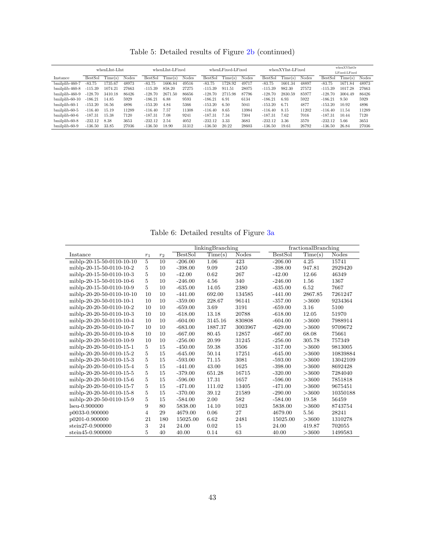Table 5: Detailed results of Figure [2b](#page-31-0) (continued)

|                   | whenLInt-LInt  |         |       | whenLInt-LFixed |         |       |           | whenLFixed-LFixed |       | whenXYInt-LFixed |         |       | whenXYIntOr    |               |       |  |
|-------------------|----------------|---------|-------|-----------------|---------|-------|-----------|-------------------|-------|------------------|---------|-------|----------------|---------------|-------|--|
|                   |                |         |       |                 |         |       |           |                   |       |                  |         |       |                | LFixed-LFixed |       |  |
| Instance          | <b>BestSol</b> | Time(s) | Nodes | <b>BestSol</b>  | Time(s) | Nodes | BestSol   | Time(s)           | Nodes | <b>BestSol</b>   | Time(s) | Nodes | <b>BestSol</b> | Time(s)       | Nodes |  |
| bmilplib-460-7    | $-83.75$       | 1735.67 | 48973 | $-83.75$        | 1606.84 | 49516 | $-83.75$  | 1728.92           | 49717 | $-83.75$         | 1601.34 | 48897 | $-83.75$       | 1671.84       | 48973 |  |
| bmilplib-460-8    | $-115.39$      | 1074.21 | 27663 | $-115.39$       | 858.20  | 27275 | $-115.39$ | 911.51            | 28075 | $-115.39$        | 982.30  | 27572 | $-115.39$      | 1017.28       | 27663 |  |
| bmilplib-460-9    | $-128.70$      | 3410.18 | 86426 | $-128.70$       | 2671.50 | 86656 | $-128.70$ | 2715.98           | 87796 | $-128.70$        | 2830.59 | 85977 | $-128.70$      | 3004.49       | 86426 |  |
| $binilplib-60-10$ | $-186.21$      | 14.85   | 5929  | $-186.21$       | 6.88    | 9593  | $-186.21$ | 6.91              | 6134  | $-186.21$        | 6.93    | 5922  | $-186.21$      | 9.50          | 5929  |  |
| bmilplib-60-1     | $-153.20$      | 16.56   | 4896  | $-153.20$       | 4.84    | 5366  | $-153.20$ | 6.50              | 5041  | $-153.20$        | 6.71    | 4877  | $-153.20$      | 10.92         | 4896  |  |
| bmilplib-60-5     | $-116.40$      | 15.19   | 11289 | $-116.40$       | 7.57    | 11308 | $-116.40$ | 8.65              | 13984 | $-116.40$        | 8.15    | 11202 | $-116.40$      | 11.54         | 11289 |  |
| bmilplib-60-6     | $-187.31$      | 15.38   | 7120  | $-187.31$       | 7.08    | 9241  | $-187.31$ | 7.34              | 7304  | $-187.31$        | 7.62    | 7016  | $-187.31$      | 10.44         | 7120  |  |
| bmilplib-60-8     | $-232.12$      | 8.38    | 3653  | $-232.12$       | 2.54    | 4052  | $-232.12$ | 3.33              | 3683  | $-232.12$        | 3.36    | 3570  | $-232.12$      | 5.66          | 3653  |  |
| bmilplib-60-9     | $-136.50$      | 33.85   | 27036 | $-136.50$       | 18.90   | 31312 | $-136.50$ | 20.22             | 28603 | $-136.50$        | 19.61   | 26792 | $-136.50$      | 26.84         | 27036 |  |

Table 6: Detailed results of Figure [3a](#page-31-1)

|                           |                |                 |                | linkingBranching |              |                | fractionalBranching |              |
|---------------------------|----------------|-----------------|----------------|------------------|--------------|----------------|---------------------|--------------|
| Instance                  | $r_1$          | r <sub>2</sub>  | <b>BestSol</b> | Time(s)          | <b>Nodes</b> | <b>BestSol</b> | Time(s)             | <b>Nodes</b> |
| miblp-20-15-50-0110-10-10 | $\overline{5}$ | $\overline{10}$ | $-206.00$      | 1.06             | 423          | $-206.00$      | 4.25                | 15741        |
| miblp-20-15-50-0110-10-2  | 5              | 10              | $-398.00$      | 9.09             | 2450         | $-398.00$      | 947.81              | 2929420      |
| miblp-20-15-50-0110-10-3  | 5              | 10              | $-42.00$       | 0.62             | 267          | $-42.00$       | 12.66               | 46349        |
| miblp-20-15-50-0110-10-6  | 5              | 10              | $-246.00$      | 4.56             | 340          | $-246.00$      | 1.56                | 1367         |
| miblp-20-15-50-0110-10-9  | 5              | 10              | $-635.00$      | 14.05            | 2380         | $-635.00$      | 6.52                | 7667         |
| miblp-20-20-50-0110-10-10 | 10             | 10              | $-441.00$      | 692.00           | 134585       | $-441.00$      | 2867.85             | 7261247      |
| miblp-20-20-50-0110-10-1  | 10             | 10              | $-359.00$      | 228.67           | 96141        | $-357.00$      | >3600               | 9234364      |
| miblp-20-20-50-0110-10-2  | 10             | 10              | $-659.00$      | 3.69             | 3191         | $-659.00$      | 3.16                | 5100         |
| miblp-20-20-50-0110-10-3  | 10             | 10              | $-618.00$      | 13.18            | 20788        | $-618.00$      | 12.05               | 51970        |
| miblp-20-20-50-0110-10-4  | 10             | 10              | $-604.00$      | 3145.16          | 830808       | $-604.00$      | >3600               | 7988914      |
| miblp-20-20-50-0110-10-7  | 10             | 10              | $-683.00$      | 1887.37          | 3003967      | $-629.00$      | >3600               | 9709672      |
| miblp-20-20-50-0110-10-8  | 10             | 10              | $-667.00$      | 80.45            | 12857        | $-667.00$      | 68.08               | 75661        |
| miblp-20-20-50-0110-10-9  | 10             | 10              | $-256.00$      | 20.99            | 31245        | $-256.00$      | 305.78              | 757349       |
| miblp-20-20-50-0110-15-1  | 5              | 15              | $-450.00$      | 59.38            | 3506         | $-317.00$      | >3600               | 9813005      |
| miblp-20-20-50-0110-15-2  | 5              | 15              | $-645.00$      | 50.14            | 17251        | $-645.00$      | >3600               | 10839884     |
| miblp-20-20-50-0110-15-3  | 5              | 15              | $-593.00$      | 71.15            | 3081         | $-593.00$      | >3600               | 13042109     |
| miblp-20-20-50-0110-15-4  | 5              | 15              | $-441.00$      | 43.00            | 1625         | $-398.00$      | >3600               | 8692428      |
| miblp-20-20-50-0110-15-5  | 5              | 15              | $-379.00$      | 651.28           | 16715        | $-320.00$      | >3600               | 7284040      |
| miblp-20-20-50-0110-15-6  | 5              | 15              | $-596.00$      | 17.31            | 1657         | $-596.00$      | >3600               | 7851818      |
| miblp-20-20-50-0110-15-7  | 5              | 15              | $-471.00$      | 111.02           | 13405        | $-471.00$      | >3600               | 9675451      |
| miblp-20-20-50-0110-15-8  | 5              | 15              | $-370.00$      | 39.12            | 21589        | $-290.00$      | >3600               | 10350188     |
| miblp-20-20-50-0110-15-9  | 5              | 15              | $-584.00$      | 2.00             | 582          | $-584.00$      | 19.58               | 56459        |
| $l$ seu-0.900000          | 9              | 80              | 5838.00        | 14.10            | 1023         | 5838.00        | >3600               | 8743754      |
| p0033-0.900000            | 4              | 29              | 4679.00        | 0.06             | 27           | 4679.00        | 5.56                | 28241        |
| p0201-0.900000            | 21             | 180             | 15025.00       | 6.62             | 2481         | 15025.00       | >3600               | 1310278      |
| stein27-0.900000          | 3              | 24              | 24.00          | 0.02             | 15           | 24.00          | 419.87              | 702055       |
| stein45-0.900000          | 5              | 40              | 40.00          | 0.14             | 63           | 40.00          | >3600               | 1499583      |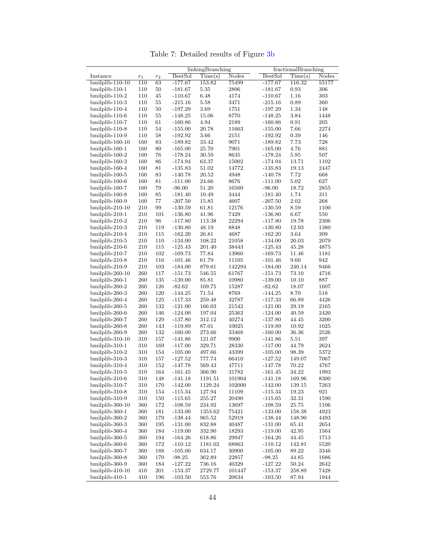linkingBranching<br>BestSol Time(s) Nodes <br>BestSol Time(s) Nodes Instance r<sup>1</sup> r<sup>2</sup> BestSol Time(s) Nodes BestSol Time(s) Nodes bmilplib-110-10 110 63 -177.67 153.82 75499 -177.67 116.32 55177 bmilplib-110-1 110 50 -181.67 5.35 2806 -181.67 0.93 306 bmilplib-110-2 110 45 -110.67 6.48 4174 -110.67 1.16 303 bmilplib-110-3 110 55 -215.16 5.58 3471 -215.16 0.89 bmilplib-110-4 110 50 -197.29 3.69 1751 -197.29 1.34 148 bmilplib-110-6 110 55 -148.25 15.06 8770 -148.25 3.84 1448 bmilplib-110-7 110 61 -160.86 4.94 2189 -160.86 0.91 205 bmilplib-110-8 110 54 -155.00 20.78 11663 -155.00 7.66 2274 bmilplib-110-9 110 58 -192.92 3.66 2151 -192.92 0.39 146 bmilplib-160-10 160 83 -189.82 33.42 9071 -189.82 7.73 728 bmilplib-160-1 160 80 -165.00 25.70 7901 -165.00 4.76 881 bmilplib-160-2 160 76 -178.24 30.59 8635 -178.24 5.95 507 bmilplib-160-3 160 86 -174.94 63.37 15002 -174.94 13.71 1102 bmilplib-160-4 160 81 -135.83 51.02 14772 -135.83 19.13 2447 bmilplib-160-5 160 83 -140.78 20.52 4948 -140.78 7.72 668 bmilplib-160-6 160 81 -111.00 24.66 8676 -111.00 5.02 627 bmilplib-160-7 160 79 -96.00 51.20 16560 -96.00 18.72 2855 bmilplib-160-8 160 85 -181.40 10.49 3444 -181.40 1.74 311 bmilplib-160-9 160 77 -207.50 15.85 4607 -207.50 2.02 268 bmilplib-210-10 210 99 -130.59 61.81 12176 -130.59 8.59 1100 bmilplib-210-1 210 101 -136.80 41.96 7429 -136.80 6.67 550  $bmilplib-210-2$ bmilplib-210-3 210 119 -130.80 48.19 8848 -130.80 12.93 1380 bmilplib-210-4 210 115 -162.20 26.81 4687 -162.20 3.64 309  $bmiblib-210-5$ bmilplib-210-6 210 115 -125.43 201.40 38443 -125.43 45.28 4875 bmilplib-210-7 210 102 -169.73 77.84 13960 -169.73 11.46 1181 bmilplib-210-8 210 116 -101.46 61.79 11105 -101.46 9.60 942 bmilplib-210-9 210 103 -184.00 879.61 142294 -184.00 240.14 9466 bmilplib-260-10 260 117 -151.73 546.55 61767 -151.73 73.10 4716 bmilplib-260-1 260 135 -139.00 85.81 10980 -139.00 10.10 887 bmilplib-260-2 260 126 -82.62 109.75 15287 -82.62 18.07 1607 bmilplib-260-3 bmilplib-260-4 260 125 -117.33 259.48 32787 -117.33 66.89 4426 bmilplib-260-5 260 132 -121.00 166.03 21542 -121.00 29.19 2165 bmilplib-260-6 260 146 -124.00 197.04 25362 -124.00 40.59 2420 bmilplib-260-7 260 129 -137.80 312.12 40274 -137.80 44.45 3200 bmilplib-260-8 260 143 -119.89 87.01 10025 -119.89 10.92 1025 bmilplib-260-9 260 132 -160.00 273.66 33468 -160.00 36.36 2526 bmilplib-310-10 310 157 -141.86 121.07 9900 -141.86 5.51 397 bmilplib-310-1 310 169 -117.00 329.71 28330 -117.00 44.79 2624 bmilplib-310-2 310 154 -105.00 497.66 43399 -105.00 98.39 5372 bmilplib-310-3 310 157 -127.52 777.74 66410 -127.52 149.07 7067 bmilplib-310-4 310 152 -147.78 569.43 47711 -147.78 70.22 4767 bmilplib-310-5 310 164 -161.45 366.90 31782 -161.45 34.22 1993 bmilplib-310-6 310 148 -141.18 1191.51 101904 -141.18 169.96 8300 bmilplib-310-7 310 170 -142.00 1129.24 102000 -142.00 139.15 7263 bmilplib-310-8 310 154 -115.34 127.94 11109 -115.34 19.23 921 bmilplib-310-9 310 150 -115.65 255.27 20490 -115.65 32.31 1590 bmilplib-360-10 360 172 -108.59 234.92 13697 -108.59 25.75 1106 bmilplib-360-1 bmilplib-360-2 360 179 -138.44 965.52 52919 -138.44 148.90 4493 bmilplib-360-3 360 195 -131.00 832.88 40487 -131.00 65.41 2654 bmilplib-360-4 bmilplib-360-5 360 194 -164.26 618.86 29947 -164.26 44.45 1713 bmilplib-360-6 360 172 -110.12 1181.02 68863 -110.12 142.81 5520 bmilplib-360-7 360 188 -105.00 634.17 30900 -105.00 89.22 3346 bmilplib-360-8 360 170 -98.25 362.89 22857 -98.25 44.85 1686 bmilplib-360-9 360 184 -127.22 736.16 40329 -127.22 50.24 2642 bmilplib-410-10 410 201 -153.37 2729.77 101447 -153.37 258.89 7428 bmilplib-410-1 410 196 -103.50 553.76 20634 -103.50 87.94 1944

Table 7: Detailed results of Figure [3b](#page-31-1)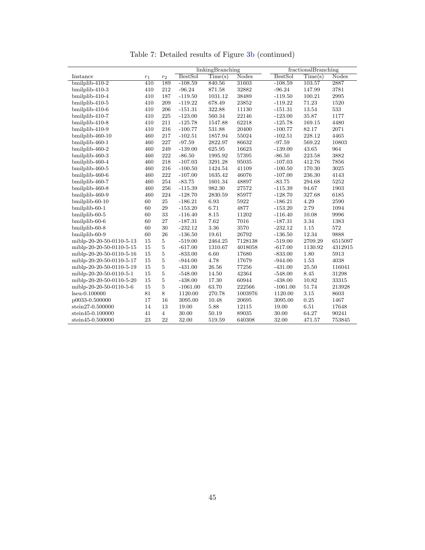|                          |                  |                |                | linkingBranching |              |            | fractionalBranching |              |
|--------------------------|------------------|----------------|----------------|------------------|--------------|------------|---------------------|--------------|
| Instance                 | $r_{\rm 1}$      | $r_2$          | <b>BestSol</b> | Time(s)          | <b>Nodes</b> | BestSol    | Time(s)             | <b>Nodes</b> |
| bmilplib-410-2           | $\overline{410}$ | 189            | $-108.59$      | 840.56           | 31603        | $-108.59$  | 103.57              | 2887         |
| bmilplib-410-3           | 410              | 212            | $-96.24$       | 871.58           | 32882        | $-96.24$   | 147.99              | 3781         |
| bmilplib-410-4           | 410              | 187            | $-119.50$      | 1031.12          | 38489        | $-119.50$  | 100.21              | 2995         |
| bmilplib-410-5           | 410              | 209            | $-119.22$      | 678.49           | 23852        | $-119.22$  | 71.23               | 1520         |
| bmilplib-410-6           | 410              | 206            | $-151.31$      | 322.88           | 11130        | $-151.31$  | 13.54               | 533          |
| bmilplib-410-7           | 410              | 225            | $-123.00$      | 560.34           | 22146        | $-123.00$  | 35.87               | 1177         |
| bmilplib-410-8           | 410              | 211            | $-125.78$      | 1547.88          | 62218        | $-125.78$  | 169.15              | 4480         |
| bmilplib-410-9           | 410              | 216            | $-100.77$      | 531.88           | 20400        | $-100.77$  | 82.17               | 2071         |
| bmilplib-460-10          | 460              | 217            | $-102.51$      | 1857.94          | 55024        | $-102.51$  | 228.12              | 4465         |
| bmilplib-460-1           | 460              | 227            | $-97.59$       | 2822.97          | 86632        | $-97.59$   | 569.22              | 10803        |
| bmilplib-460-2           | 460              | 249            | $-139.00$      | 625.95           | 16623        | $-139.00$  | 43.65               | 964          |
| bmilplib-460-3           | 460              | 222            | $-86.50$       | 1995.92          | 57395        | $-86.50$   | 223.58              | 3882         |
| bmilplib-460-4           | 460              | 218            | $-107.03$      | 3291.28          | 95035        | $-107.03$  | 412.76              | 7856         |
| bmilplib-460-5           | 460              | 216            | $-100.50$      | 1424.54          | 41109        | $-100.50$  | 170.30              | 3025         |
| bmilplib-460-6           | 460              | 222            | $-107.00$      | 1635.42          | 46076        | $-107.00$  | 236.30              | 4143         |
| bmilplib-460-7           | 460              | 254            | $-83.75$       | 1601.34          | 48897        | $-83.75$   | 294.68              | 5252         |
| bmilplib-460-8           | 460              | 256            | $-115.39$      | 982.30           | 27572        | $-115.39$  | 94.67               | 1903         |
| bmilplib-460-9           | 460              | 224            | $-128.70$      | 2830.59          | 85977        | $-128.70$  | 327.68              | 6185         |
| bmilplib-60-10           | 60               | 25             | $-186.21$      | 6.93             | 5922         | $-186.21$  | 4.29                | 2590         |
| bmilplib-60-1            | 60               | 29             | $-153.20$      | 6.71             | 4877         | $-153.20$  | 2.79                | 1094         |
| bmilplib-60-5            | 60               | 33             | $-116.40$      | 8.15             | 11202        | $-116.40$  | 10.08               | 9996         |
| bmilplib-60-6            | 60               | 27             | $-187.31$      | 7.62             | 7016         | $-187.31$  | 3.34                | 1383         |
| bmilplib-60-8            | 60               | 30             | $-232.12$      | 3.36             | 3570         | $-232.12$  | 1.15                | 572          |
| bmilplib-60-9            | 60               | 26             | $-136.50$      | 19.61            | 26792        | $-136.50$  | 12.34               | 9888         |
| miblp-20-20-50-0110-5-13 | 15               | $\overline{5}$ | $-519.00$      | 2464.25          | 7128138      | $-519.00$  | 2709.29             | 6515097      |
| miblp-20-20-50-0110-5-15 | 15               | 5              | $-617.00$      | 1310.67          | 4018058      | $-617.00$  | 1130.92             | 4312915      |
| miblp-20-20-50-0110-5-16 | 15               | 5              | $-833.00$      | 6.60             | 17680        | $-833.00$  | 1.80                | 5913         |
| miblp-20-20-50-0110-5-17 | 15               | $\overline{5}$ | $-944.00$      | 4.78             | 17679        | $-944.00$  | 1.53                | 4038         |
| miblp-20-20-50-0110-5-19 | 15               | 5              | $-431.00$      | 26.56            | 77256        | $-431.00$  | 25.50               | 116041       |
| miblp-20-20-50-0110-5-1  | 15               | $\overline{5}$ | $-548.00$      | 14.50            | 42364        | $-548.00$  | 8.45                | 31298        |
| miblp-20-20-50-0110-5-20 | 15               | 5              | $-438.00$      | 17.30            | 60944        | $-438.00$  | 10.82               | 33315        |
| miblp-20-20-50-0110-5-6  | 15               | 5              | $-1061.00$     | 63.70            | 222566       | $-1061.00$ | 51.74               | 213928       |
| lseu-0.100000            | 81               | 8              | 1120.00        | 270.78           | 1003976      | 1120.00    | 3.15                | 8603         |
| p0033-0.500000           | 17               | 16             | 3095.00        | 10.48            | 20695        | 3095.00    | 0.25                | 1467         |
| stein27-0.500000         | 14               | 13             | 19.00          | 5.88             | 12115        | 19.00      | 6.51                | 17648        |
| stein45-0.100000         | 41               | $\overline{4}$ | 30.00          | 50.19            | 89035        | 30.00      | 64.27               | 90241        |
| stein45-0.500000         | 23               | 22             | 32.00          | 519.59           | 640308       | 32.00      | 471.57              | 753845       |

Table 7: Detailed results of Figure [3b](#page-31-1) (continued)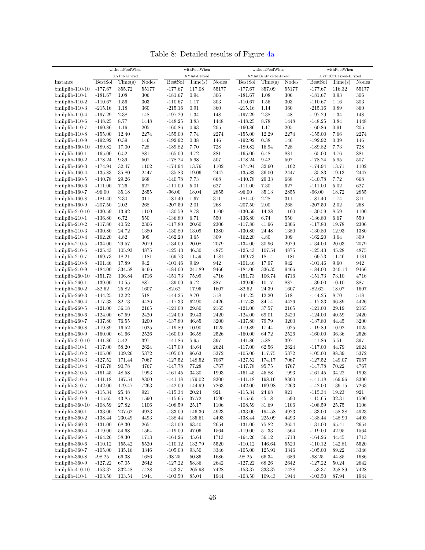|                    |                | withoutPoolWhen |          |                | withPoolWhen |       |                | withoutPoolWhen      |                    |                | withPoolWhen         |          |
|--------------------|----------------|-----------------|----------|----------------|--------------|-------|----------------|----------------------|--------------------|----------------|----------------------|----------|
|                    |                | XYInt-LFixed    |          |                | XYInt-LFixed |       |                | XYIntOrLFixed-LFixed |                    |                | XYIntOrLFixed-LFixed |          |
| Instance           | <b>BestSol</b> | Time(s)         | Nodes    | <b>BestSol</b> | Time(s)      | Nodes | <b>BestSol</b> | Time(s)              | Nodes              | <b>BestSol</b> | Time(s)              | Nodes    |
| bmilplib-110-10    | $-177.67$      | 355.72          | 55177    | $-177.67$      | 117.08       | 55177 | $-177.67$      | 357.09               | 55177              | $-177.67$      | 116.32               | 55177    |
| $binilplib-110-1$  | $-181.67$      | 1.08            | 306      | $-181.67$      | 0.94         | 306   | $-181.67$      | 1.08                 | 306                | $-181.67$      | 0.93                 | 306      |
| $binilplib-110-2$  | $-110.67$      | 1.56            | 303      | $-110.67$      | 1.17         | 303   | $-110.67$      | 1.56                 | 303                | $-110.67$      | 1.16                 | 303      |
| bmilplib-110-3     | $-215.16$      | 1.18            | 360      | $-215.16$      | 0.91         | 360   | $-215.16$      | 1.14                 | 360                | $-215.16$      | 0.89                 | 360      |
| bmilplib-110-4     | $-197.29$      | 2.38            | 148      | $-197.29$      | 1.34         | 148   | $-197.29$      | 2.38                 | 148                | $-197.29$      | 1.34                 | 148      |
| bmilplib-110-6     | $-148.25$      | 8.77            | 1448     | $-148.25$      | 3.83         | 1448  | $-148.25$      | 8.78                 | 1448               | $-148.25$      | 3.84                 | 1448     |
| bmilplib-110-7     | $-160.86$      | 1.16            | 205      | $-160.86$      | 0.93         | 205   | $-160.86$      | 1.17                 | 205                | $-160.86$      | 0.91                 | 205      |
| bmilplib-110-8     | $-155.00$      | 12.40           | 2274     | $-155.00$      | 7.74         | 2274  | $-155.00$      | 12.29                | 2274               | $-155.00$      | 7.66                 | 2274     |
| bmilplib-110-9     | $-192.92$      | 0.39            | 146      | $-192.92$      | 0.38         | 146   | $-192.92$      | 0.38                 | 146                | $-192.92$      | 0.39                 | 146      |
| bmilplib-160-10    | $-189.82$      | 17.00           | 728      | $-189.82$      | 7.70         | 728   | $-189.82$      | 16.94                | 728                | $-189.82$      | 7.73                 | 728      |
| bmilplib-160-1     | $-165.00$      | 6.52            | 881      | $-165.00$      | 4.72         | 881   | $-165.00$      | 6.48                 | 881                | $-165.00$      | 4.76                 | 881      |
| bmilplib-160-2     | $-178.24$      | 9.39            | 507      | $-178.24$      | 5.98         | 507   | $-178.24$      | 9.42                 | 507                | $-178.24$      | 5.95                 | 507      |
| bmilplib-160-3     | $-174.94$      | 32.47           | 1102     | $-174.94$      | 13.76        | 1102  | $-174.94$      | 32.60                | 1102               | $-174.94$      | 13.71                | 1102     |
| bmilplib-160-4     | $-135.83$      | 35.80           | 2447     | $-135.83$      | 19.06        | 2447  | $-135.83$      | 36.00                | 2447               | $-135.83$      | 19.13                | 2447     |
| bmilplib-160-5     | $-140.78$      | 29.26           | 668      | $-140.78$      | 7.73         | 668   | $-140.78$      | $29.33\,$            | 668                | $-140.78$      | 7.72                 | 668      |
| bmilplib-160-6     | $-111.00$      | 7.26            | 627      | $-111.00$      | 5.01         | 627   | $-111.00$      | 7.30                 | 627                | $-111.00$      | 5.02                 | 627      |
| bmilplib-160-7     | $-96.00$       | 35.18           | 2855     | $-96.00$       | 18.04        | 2855  | $-96.00$       | 35.13                | 2855               | $-96.00$       | 18.72                | 2855     |
| bmilplib-160-8     | $-181.40$      | 2.30            | 311      | $-181.40$      | 1.67         | 311   | $-181.40$      | 2.28                 | 311                | $-181.40$      | 1.74                 | 311      |
| bmilplib-160-9     | $-207.50$      | 2.02            | 268      | $-207.50$      | 2.01         | 268   | $-207.50$      | 2.00                 | 268                | $-207.50$      | 2.02                 | 268      |
| bmilplib-210-10    | $-130.59$      | 13.92           | 1100     | $-130.59$      | 8.78         | 1100  | $-130.59$      | 14.28                | 1100               | $-130.59$      | 8.59                 | 1100     |
| bmilplib-210-1     | $-136.80$      | 6.72            | 550      | $-136.80$      | 6.71         | 550   | $-136.80$      | 6.74                 | 550                | $-136.80$      | 6.67                 | 550      |
| $binilplib-210-2$  | $-117.80$      | 40.52           | 2306     | $-117.80$      | 20.60        | 2306  | $-117.80$      | 41.96                | 2306               | $-117.80$      | 19.78                | 2306     |
| bmilplib-210-3     | $-130.80$      | 24.72           | 1380     | $-130.80$      | 13.09        | 1380  | $-130.80$      | 24.48                | 1380               | $-130.80$      | 12.93                | 1380     |
| bmilplib-210-4     | $-162.20$      | 4.82            | 309      | $-162.20$      | 3.65         | 309   | $-162.20$      | 4.80                 | 309                | $-162.20$      | 3.64                 | 309      |
| bmilplib-210-5     | $-134.00$      | 29.57           | 2079     | $-134.00$      | 20.08        | 2079  | $-134.00$      | $30.96\,$            | 2079               | $-134.00$      | 20.03                | 2079     |
| bmilplib-210-6     | $-125.43$      | 105.93          | 4875     | $-125.43$      | 46.30        | 4875  | $-125.43$      | 107.54               | 4875               | $-125.43$      | 45.28                | 4875     |
| bmilplib-210-7     | $-169.73$      | 18.21           | 1181     | $-169.73$      | 11.59        | 1181  | $-169.73$      | 18.14                | 1181               | $-169.73$      | 11.46                | 1181     |
| $binilplib-210-8$  | $-101.46$      | 17.89           | 942      | $-101.46$      | 9.69         | 942   | $-101.46$      | 17.97                | 942                | $-101.46$      | 9.60                 | 942      |
| bmilplib-210-9     | $-184.00$      | 334.58          | 9466     | $-184.00$      | 241.89       | 9466  | $-184.00$      | 336.35               | 9466               | $-184.00$      | 240.14               | 9466     |
| bmilplib-260-10    | $-151.73$      | 106.84          | 4716     | $-151.73$      | 75.99        | 4716  | $-151.73$      | 106.74               | 4716               | $-151.73$      | 73.10                | 4716     |
| bmilplib-260-1     | $-139.00$      | 10.55           | 887      | $-139.00$      | 9.72         | 887   | $-139.00$      | 10.17                | 887                | $-139.00$      | 10.10                | 887      |
| bmilplib-260-2     | $-82.62$       | 25.82           | 1607     | $-82.62$       | 17.95        | 1607  | $-82.62$       | 24.39                | 1607               | $-82.62$       | 18.07                | 1607     |
| bmilplib-260-3     | $-144.25$      | 12.22           | 518      | $-144.25$      | 8.70         | 518   | $-144.25$      | 12.20                | 518                | $-144.25$      | 8.70                 | 518      |
| bmilplib-260-4     | $-117.33$      | 82.73           | 4426     | $-117.33$      | 62.90        | 4426  | $-117.33$      | 84.74                | 4426               | $-117.33$      | 66.89                | 4426     |
| bmilplib-260-5     | $-121.00$      | 36.18           | 2165     | $-121.00$      | 29.80        | 2165  | $-121.00$      | 37.57                | 2165               | $-121.00$      | 29.19                | 2165     |
| bmilplib-260-6     | $-124.00$      | 67.59           | 2420     | $-124.00$      | 39.43        | 2420  | $-124.00$      | 69.01                | 2420               | $-124.00$      | 40.59                | 2420     |
| bmilplib-260-7     | $-137.80$      | 76.55           | 3200     | $-137.80$      | 46.85        | 3200  | $-137.80$      | 79.79                | 3200               | $-137.80$      | 44.45                | 3200     |
| bmilplib-260-8     | $-119.89$      | 16.52           | 1025     | $-119.89$      | 10.90        | 1025  | $-119.89$      | 17.44                | 1025               | $-119.89$      | 10.92                | 1025     |
| bmilplib-260-9     | $-160.00$      | 61.66           | 2526     | $-160.00$      | 36.58        | 2526  | $-160.00$      | 64.72                | 2526               | $-160.00$      | 36.36                | 2526     |
| $binilplib-310-10$ | $-141.86$      | 5.42            | 397      | $-141.86$      | $5.95\,$     | 397   | $-141.86$      | 5.88                 | 397                | $-141.86$      | 5.51                 | 397      |
| $bmilplib-310-1$   | $-117.00$      | 58.20           | 2624     | $-117.00$      | 43.64        | 2624  | $-117.00$      | 62.56                | 2624               | $-117.00$      | 44.79                | 2624     |
| $binilplib-310-2$  | $-105.00$      | 109.26          | 5372     | $-105.00$      | 96.63        | 5372  | $-105.00$      | 117.75               | 5372               | $-105.00$      | 98.39                | 5372     |
| bmilplib-310-3     | $-127.52$      | 171.44          | 7067     | $-127.52$      | 148.52       | 7067  | $-127.52$      | 174.17               | 7067               | $-127.52$      | 149.07               | 7067     |
| bmilplib-310-4     | $-147.78$      | 90.78           | 4767     | $-147.78$      | 77.28        | 4767  | $-147.78$      | 95.75                | 4767               | $-147.78$      | 70.22                | 4767     |
| bmilplib-310-5     | $-161.45$      | 48.58           | 1993     | $-161.45$      | 34.30        | 1993  | $-161.45$      | 45.88                | 1993               | $-161.45$      | 34.22                | 1993     |
| bmilplib-310-6     | $-141.18$      | 197.54          | 8300     | $-141.18$      | 179.02       | 8300  | $-141.18$      | 198.16               | 8300               | $-141.18$      | 169.96               | 8300     |
| bmilplib-310-7     | $-142.00$      | 179.47          | 7263     | $-142.00$      | 144.99       | 7263  | $-142.00$      | 169.98               | 7263               | $-142.00$      | 139.15               | 7263     |
| bmilplib-310-8     | $-115.34$      | 25.48           | 921      | $-115.34$      | 20.24        | 921   | $-115.34$      | 24.68                | $\boldsymbol{921}$ | $-115.34$      | 19.23                | 921      |
| $binilplib-310-9$  | $-115.65$      | 43.85           | 1590     | $-115.65$      | 37.72        | 1590  | $-115.65$      | 45.18                | 1590               | $-115.65$      | 32.31                | 1590     |
| bmilplib-360-10    | $-108.59$      | 27.82           | 1106     | $-108.59$      | 25.17        | 1106  | $-108.59$      | 31.69                | 1106               | $-108.59$      | $25.75\,$            | 1106     |
| bmilplib-360-1     | $-133.00$      | 207.62          | 4923     | $-133.00$      | 146.36       | 4923  | $-133.00$      | 194.58               | 4923               | $-133.00$      | 158.38               | 4923     |
| bmilplib-360-2     | $-138.44$      | 230.49          | 4493     | $-138.44$      | 135.61       | 4493  | $-138.44$      | 225.09               | 4493               | $-138.44$      | 148.90               | 4493     |
| bmilplib-360-3     | $-131.00$      | 68.30           | 2654     | $-131.00$      | 63.40        | 2654  | $-131.00$      | 75.82                | 2654               | $-131.00$      | 65.41                | 2654     |
| bmilplib-360-4     | $-119.00$      | 54.68           | 1564     | $-119.00$      | 47.06        | 1564  | $-119.00$      | 51.33                | 1564               | $-119.00$      | 42.95                | 1564     |
| bmilplib-360-5     | $-164.26$      | 58.30           | 1713     | $-164.26$      | 45.64        | 1713  | $-164.26$      | 56.12                | 1713               | $-164.26$      | 44.45                | 1713     |
| bmilplib-360-6     | $-110.12$      | 155.42          | $5520\,$ | $-110.12$      | 132.79       | 5520  | $-110.12$      | 146.64               | 5520               | $-110.12$      | 142.81               | $5520\,$ |
| bmilplib-360-7     | $-105.00$      | 135.16          | 3346     | $-105.00$      | 93.50        | 3346  | $-105.00$      | 125.91               | 3346               | $-105.00$      | 89.22                | 3346     |
| bmilplib-360-8     | $-98.25$       | 66.38           | 1686     | $-98.25$       | 50.86        | 1686  | $-98.25$       | 66.34                | 1686               | $-98.25$       | 44.85                | 1686     |
| bmilplib-360-9     | $-127.22$      | 67.05           | 2642     | $-127.22$      | $58.36\,$    | 2642  | $-127.22$      | 68.26                | 2642               | $-127.22$      | 50.24                | 2642     |
| bmilplib-410-10    | $-153.37$      | 332.48          | 7428     | $-153.37$      | 265.98       | 7428  | $-153.37$      | 333.37               | 7428               | $-153.37$      | 258.89               | 7428     |
| bmilplib-410-1     | $-103.50$      | 103.54          | 1944     | $-103.50$      | 85.04        | 1944  | $-103.50$      | 109.43               | 1944               | $-103.50$      | 87.94                | 1944     |

Table 8: Detailed results of Figure [4a](#page-32-1)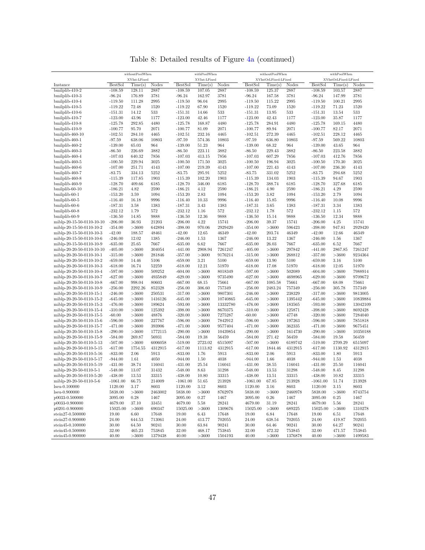|                                                      | withoutPoolWhen<br>XYInt-LFixed |                   |                  |                        | withPoolWhen      |                   |                        | withoutPoolWhen      |                  |                             | withPoolWhen         |                   |
|------------------------------------------------------|---------------------------------|-------------------|------------------|------------------------|-------------------|-------------------|------------------------|----------------------|------------------|-----------------------------|----------------------|-------------------|
|                                                      |                                 |                   |                  |                        | XYInt-LFixed      |                   |                        | XYIntOrLFixed-LFixed |                  |                             | XYIntOrLFixed-LFixed |                   |
| Instance<br>bmilplib-410-2                           | <b>BestSol</b><br>$-108.59$     | Time(s)<br>128.11 | Nodes            | BestSol                | Time(s)<br>107.05 | Nodes             | BestSol<br>$-108.59$   | Time(s)              | Nodes            | <b>BestSol</b><br>$-108.59$ | Time(s)<br>103.57    | <b>Nodes</b>      |
| bmilplib-410-3                                       | $-96.24$                        | 176.89            | 2887<br>3781     | $-108.59$<br>$-96.24$  | 162.97            | 2887<br>3781      | $-96.24$               | 125.37<br>167.58     | 2887<br>3781     | $-96.24$                    | 147.99               | 2887<br>3781      |
| bmilplib-410-4                                       | $-119.50$                       | 111.28            | 2995             | $-119.50$              | 96.04             | 2995              | $-119.50$              | 115.22               | 2995             | $-119.50$                   | 100.21               | 2995              |
| bmilplib-410-5                                       | $-119.22$                       | 72.48             | 1520             | $-119.22$              | 67.90             | 1520              | $-119.22$              | 73.09                | 1520             | $-119.22$                   | 71.23                | 1520              |
| bmilplib-410-6                                       | $-151.31$                       | 14.12             | 533              | $-151.31$              | 14.66             | 533               | $-151.31$              | 13.95                | 533              | $-151.31$                   | 13.54                | 533               |
| bmilplib-410-7                                       | $-123.00$                       | 43.96             | 1177             | $-123.00$              | 42.46             | 1177              | $-123.00$              | 42.43                | 1177             | $-123.00$                   | 35.87                | 1177              |
| bmilplib-410-8                                       | $-125.78$                       | 292.85            | 4480             | $-125.78$              | 168.87            | 4480              | $-125.78$              | 284.91               | 4480             | $-125.78$                   | 169.15               | 4480              |
| bmilplib-410-9                                       | $-100.77$                       | 95.70             | 2071             | $-100.77$              | 81.09             | 2071              | $-100.77$              | 89.94                | 2071             | $-100.77$                   | 82.17                | 2071              |
| bmilplib-460-10                                      | $-102.51$                       | 284.10            | 4465             | $-102.51$              | 232.16            | 4465              | $-102.51$              | 272.39               | 4465             | $-102.51$                   | 228.12               | 4465              |
| bmilplib-460-1                                       | $-97.59$                        | 638.06            | 10803            | $-97.59$               | 574.36            | 10803             | $-97.59$               | 636.80               | 10803            | $-97.59$                    | 569.22               | 10803             |
| bmilplib-460-2                                       | $-139.00$                       | 65.03             | 964              | $-139.00$              | 51.23             | 964               | $-139.00$              | 68.32                | 964              | $-139.00$                   | 43.65                | 964               |
| bmilplib-460-3                                       | $-86.50$                        | 226.69            | 3882             | $-86.50$               | 223.11            | 3882              | $-86.50$               | 229.43               | 3882             | $-86.50$                    | 223.58               | 3882              |
| bmilplib-460-4                                       | $-107.03$                       | 640.32            | 7856             | $-107.03$              | 413.15            | 7856              | $-107.03$              | 607.29               | 7856             | $-107.03$                   | 412.76               | 7856              |
| bmilplib-460-5                                       | $-100.50$                       | 229.94            | 3025             | $-100.50$              | 171.50            | 3025              | $-100.50$              | 196.94               | 3025             | $-100.50$                   | 170.30               | 3025              |
| bmilplib-460-6                                       | $-107.00$                       | 251.71            | 4143             | $-107.00$              | 219.39            | 4143              | $-107.00$              | 221.43               | 4143             | $-107.00$                   | 236.30               | 4143              |
| bmilplib-460-7                                       | $-83.75$                        | 334.13            | 5252             | $-83.75$               | 295.91            | 5252              | $-83.75$               | 331.02               | 5252             | $-83.75$                    | 294.68               | 5252              |
| bmilplib-460-8                                       | $-115.39$                       | 117.85            | 1903             | $-115.39$              | 102.20            | 1903              | $-115.39$              | 134.03               | 1903             | $-115.39$                   | 94.67                | 1903              |
| bmilplib-460-9                                       | $-128.70$                       | 409.66            | 6185             | $-128.70$              | 346.00            | 6185              | $-128.70$              | 388.74               | 6185             | $-128.70$                   | 327.68               | 6185              |
| bmilplib-60-10                                       | $-186.21$                       | 4.82              | 2590             | $-186.21$              | 4.12              | 2590              | $-186.21$              | 4.90                 | 2590             | $-186.21$                   | 4.29                 | 2590              |
| bmilplib-60-1<br>bmilplib-60-5                       | $-153.20$<br>$-116.40$          | 3.59<br>16.18     | 1094<br>9996     | $-153.20$<br>$-116.40$ | 2.83<br>10.33     | 1094<br>9996      | $-153.20$<br>$-116.40$ | 3.82<br>15.85        | 1094<br>9996     | $-153.20$<br>$-116.40$      | 2.79<br>10.08        | 1094<br>9996      |
| bmilplib-60-6                                        | $-187.31$                       | 3.58              | 1383             | $-187.31$              | 3.43              | 1383              | $-187.31$              | 3.65                 | 1383             | $-187.31$                   | 3.34                 | 1383              |
| bmilplib-60-8                                        | $-232.12$                       | 1.79              | 572              | $-232.12$              | 1.16              | 572               | $-232.12$              | 1.78                 | 572              | $-232.12$                   | 1.15                 | 572               |
| bmilplib-60-9                                        | $-136.50$                       | 14.85             | 9888             | $-136.50$              | 12.36             | 9888              | $-136.50$              | 15.14                | 9888             | $-136.50$                   | 12.34                | 9888              |
| miblp-20-15-50-0110-10-10                            | $-206.00$                       | 36.93             | 21203            | $-206.00$              | 4.22              | 15741             | $-206.00$              | 39.37                | 15741            | $-206.00$                   | 4.25                 | 15741             |
| miblp-20-15-50-0110-10-2                             | $-354.00$                       | >3600             | 642894           | $-398.00$              | 970.06            | 2929420           | $-354.00$              | >3600                | 596423           | $-398.00$                   | 947.81               | 2929420           |
| miblp-20-15-50-0110-10-3                             | $-42.00$                        | 188.57            | 48461            | $-42.00$               | 12.65             | 46349             | $-42.00$               | 203.74               | 46349            | $-42.00$                    | 12.66                | 46349             |
| miblp-20-15-50-0110-10-6                             | $-246.00$                       | 12.02             | 1385             | $-246.00$              | 1.53              | 1367              | $-246.00$              | 13.22                | 1367             | $-246.00$                   | 1.56                 | 1367              |
| miblp-20-15-50-0110-10-9                             | $-635.00$                       | 25.65             | 7667             | $-635.00$              | 6.62              | 7667              | $-635.00$              | 26.03                | 7667             | $-635.00$                   | 6.52                 | 7667              |
| miblp-20-20-50-0110-10-10                            | $-405.00$                       | >3600             | 304054           | $-441.00$              | 2908.94           | 7261247           | $-405.00$              | >3600                | 297842           | $-441.00$                   | 2867.85              | 7261247           |
| miblp-20-20-50-0110-10-1                             | $-315.00$                       | >3600             | 281846           | $-357.00$              | >3600             | 9176214           | $-315.00$              | >3600                | 268812           | $-357.00$                   | >3600                | 9234364           |
| miblp-20-20-50-0110-10-2                             | $-659.00$                       | 14.46             | 5106             | $-659.00$              | 3.21              | 5100              | $-659.00$              | 13.90                | 5100             | $-659.00$                   | 3.16                 | 5100              |
| miblp-20-20-50-0110-10-3                             | $-618.00$                       | 16.74             | 52259            | $-618.00$              | 12.21             | 51970             | $-618.00$              | 17.08                | 51970            | $-618.00$                   | 12.05                | 51970             |
| miblp-20-20-50-0110-10-4                             | $-597.00$                       | >3600             | 509252           | $-604.00$              | >3600             | 8018349           | $-597.00$              | >3600                | 502089           | $-604.00$                   | >3600                | 7988914           |
| miblp-20-20-50-0110-10-7                             | $-627.00$                       | >3600             | 4935849          | $-629.00$              | >3600             | 9735490           | $-627.00$              | >3600                | 4698965          | $-629.00$                   | >3600                | 9709672           |
| miblp-20-20-50-0110-10-8                             | $-667.00$                       | 998.04            | 80603            | $-667.00$              | 68.15             | 75661             | $-667.00$              | 1085.58              | 75661            | $-667.00$                   | 68.08                | 75661             |
| miblp-20-20-50-0110-10-9                             | $-256.00$                       | 2292.26           | 852328           | $-256.00$              | 306.60            | 757349            | $-256.00$              | 2483.24              | 757349           | $-256.00$                   | 305.78               | 757349            |
| miblp-20-20-50-0110-15-1                             | $-246.00$                       | >3600             | 250531           | $-317.00$              | >3600             | 9807301           | $-246.00$              | >3600                | 238329           | $-317.00$                   | >3600                | 9813005           |
| miblp-20-20-50-0110-15-2                             | $-645.00$                       | >3600             | 1416126          | $-645.00$              | >3600             | 10740865          | $-645.00$              | >3600                | 1395442          | $-645.00$                   | >3600                | 10839884          |
| miblp-20-20-50-0110-15-3                             | $-476.00$                       | >3600             | 189624           | $-593.00$              | >3600             | 13332780          | $-476.00$              | >3600                | 183565           | $-593.00$                   | >3600                | 13042109          |
| miblp-20-20-50-0110-15-4                             | $-310.00$                       | >3600             | 125392           | $-398.00$              | >3600             | 8670375           | $-310.00$              | >3600                | 125871           | $-398.00$                   | >3600                | 8692428           |
| miblp-20-20-50-0110-15-5                             | $-60.00$                        | >3600             | 48876            | $-320.00$              | >3600             | 7275287           | $-60.00$               | >3600                | 47748            | $-320.00$                   | >3600                | 7284040           |
| miblp-20-20-50-0110-15-6                             | $-596.00$                       | >3600             | 227767           | $-596.00$              | >3600             | 7842912           | $-596.00$              | >3600                | 197263           | $-596.00$                   | >3600                | 7851818           |
| miblp-20-20-50-0110-15-7                             | $-471.00$                       | >3600             | 393906           | $-471.00$              | >3600             | 9577404           | $-471.00$              | >3600                | 362335           | $-471.00$                   | >3600                | 9675451           |
| miblp-20-20-50-0110-15-8<br>miblp-20-20-50-0110-15-9 | $-290.00$<br>$-584.00$          | >3600<br>269.87   | 1772115<br>56931 | $-290.00$<br>$-584.00$ | >3600<br>19.38    | 10439854<br>56459 | $-290.00$<br>$-584.00$ | >3600<br>271.42      | 1614730<br>56459 | $-290.00$<br>$-584.00$      | >3600<br>19.58       | 10350188<br>56459 |
| miblp-20-20-50-0110-5-13                             | $-507.00$                       | >3600             | 6006058          | $-519.00$              | 2723.02           | 6515097           | $-507.00$              | >3600                | 6189742          | $-519.00$                   | 2709.29              | 6515097           |
| miblp-20-20-50-0110-5-15                             | $-617.00$                       | 1754.55           | 4312915          | $-617.00$              | 1113.82           | 4312915           | $-617.00$              | 1844.46              | 4312915          | $-617.00$                   | 1130.92              | 4312915           |
| miblp-20-20-50-0110-5-16                             | $-833.00$                       | 2.06              | 5913             | $-833.00$              | 1.76              | 5913              | $-833.00$              | 2.06                 | 5913             | $-833.00$                   | 1.80                 | 5913              |
| miblp-20-20-50-0110-5-17                             | $-944.00$                       | 1.61              | 4050             | $-944.00$              | 1.50              | 4038              | $-944.00$              | 1.66                 | 4038             | $-944.00$                   | 1.53                 | 4038              |
| miblp-20-20-50-0110-5-19                             | $-431.00$                       | 38.74             | 116041           | $-431.00$              | 25.54             | 116041            | $-431.00$              | 38.55                | 116041           | $-431.00$                   | 25.50                | 116041            |
| miblp-20-20-50-0110-5-1                              | $-548.00$                       | 13.07             | 31432            | $-548.00$              | 8.63              | 31298             | $-548.00$              | 13.53                | 31298            | $-548.00$                   | 8.45                 | 31298             |
| miblp-20-20-50-0110-5-20                             | $-438.00$                       | 13.53             | 33315            | $-438.00$              | 10.80             | 33315             | $-438.00$              | 13.51                | 33315            | $-438.00$                   | 10.82                | 33315             |
| miblp-20-20-50-0110-5-6                              | $-1061.00$                      | 66.75             | 214009           | $-1061.00$             | 51.65             | 213928            | $-1061.00$             | 67.85                | 213928           | $-1061.00$                  | 51.74                | 213928            |
| $Iseu-0.100000$                                      | 1120.00                         | 3.17              | 8603             | 1120.00                | 3.12              | 8603              | 1120.00                | 3.16                 | 8603             | 1120.00                     | 3.15                 | 8603              |
| lseu-0.900000                                        | 5838.00                         | >3600             | 2463002          | 5838.00                | >3600             | 8762978           | 5838.00                | >3600                | 2460978          | 5838.00                     | >3600                | 8743754           |
| p0033-0.500000                                       | 3095.00                         | 0.28              | 1467             | 3095.00                | 0.27              | 1467              | 3095.00                | 0.26                 | 1467             | 3095.00                     | 0.25                 | 1467              |
| p0033-0.900000                                       | 4679.00                         | 37.10             | 33451            | 4679.00                | 5.58              | 28241             | 4679.00                | 31.19                | 28241            | 4679.00                     | 5.56                 | 28241             |
| p0201-0.900000                                       | 15025.00                        | >3600             | 690347           | 15025.00               | >3600             | 1309676           | 15025.00               | >3600                | 689225           | 15025.00                    | >3600                | 1310278           |
| stein27-0.500000                                     | 19.00                           | 6.60              | 17648            | 19.00                  | 6.43              | 17648             | 19.00                  | 6.84                 | 17648            | 19.00                       | 6.51                 | 17648             |
| stein27-0.900000                                     | 24.00                           | 644.53            | 713061           | 24.00                  | 413.77            | 702055            | 24.00                  | 638.54               | 702055           | 24.00                       | 419.87               | 702055            |
| stein45-0.100000                                     | 30.00                           | 64.50             | 90241            | 30.00                  | 63.84             | 90241             | 30.00                  | 64.46                | 90241            | 30.00                       | 64.27                | 90241             |
| stein45-0.500000                                     | 32.00                           | 465.23            | 753845           | 32.00                  | 468.17            | 753845            | 32.00                  | 472.32               | 753845           | 32.00                       | 471.57               | 753845            |
| stein45-0.900000                                     | 40.00                           | >3600             | 1379438          | 40.00                  | >3600             | 1504193           | 40.00                  | >3600                | 1376878          | 40.00                       | >3600                | 1499583           |

Table 8: Detailed results of Figure [4a](#page-32-1) (continued)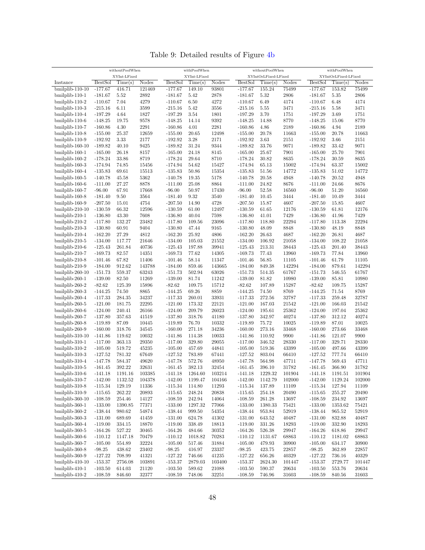withoutPoolWhen XYInt-LFixed withPoolWhen XYInt-LFixed withoutPoolWhen XYIntOrLFixed-LFixed withPoolWhen XYIntOrLFixed-LFixed Instance BestSol Time(s) Nodes BestSol Time(s) Nodes BestSol Time(s) Nodes BestSol Time(s) Nodes bmilplib-110-10 -177.67 416.71 121469 -177.67 149.10 93801 -177.67 155.24 75499 -177.67 153.82 75499 bmilplib-110-1 -181.67 5.52 2892 -181.67 5.42 2878 -181.67 5.32 2806 -181.67 5.35 2806 bmilplib-110-2 -110.67 7.04 4279 -110.67 6.50 4272 -110.67 6.49 4174 -110.67 6.48 4174 bmilplib-110-3 -215.16 6.11 3599 -215.16 5.42 3556 -215.16 5.55 3471 -215.16 5.58 3471 bmilplib-110-4 -197.29 4.64 1827 -197.29 3.54 1801 -197.29 3.70 1751 -197.29 3.69 1751 bmilplib-110-6 -148.25 19.75 9578 -148.25 14.14 9392 -148.25 14.88 8770 -148.25 15.06 8770 bmilplib-110-7 -160.86 4.30 2291 -160.86 4.01 2281 -160.86 4.86 2189 -160.86 4.94 2189 bmilplib-110-8 -155.00 25.37 12659 -155.00 20.65 12498 -155.00 20.78 11663 -155.00 20.78 11663 bmilplib-110-9 -192.92 3.33 2177 -192.92 3.28 2171 -192.92 3.63 2151 -192.92 3.66 2151 bmilplib-160-10 -189.82 40.10 9425 -189.82 31.24 9344 -189.82 33.76 9071 -189.82 33.42 9071 bmilplib-160-1 -165.00 26.18 8157 -165.00 24.18 8145 -165.00 25.67 7901 -165.00 25.70 7901 bmilplib-160-2 -178.24 33.86 8719 -178.24 29.64 8710 -178.24 30.82 8635 -178.24 30.59 8635 bmilplib-160-3 -174.94 74.85 15456 -174.94 54.62 15427 -174.94 65.13 15002 -174.94 63.37 15002 bmilplib-160-4 -135.83 69.61 15513 -135.83 50.86 15354 -135.83 51.56 14772 -135.83 51.02 14772 bmilplib-160-5 -140.78 45.58 5362 -140.78 19.35 5178 -140.78 20.58 4948 -140.78 20.52 4948 bmilplib-160-6 -111.00 27.27 8878 -111.00 25.08 8864 -111.00 24.82 8676 -111.00 24.66 8676 bmilplib-160-7 -96.00 67.91 17668 -96.00 50.97 17430 -96.00 52.58 16560 -96.00 51.20 16560 bmilplib-160-8 -181.40 9.50 3564 -181.40 9.32 3540 -181.40 10.45 3444 -181.40 10.49 3444 bmilplib-160-9 -207.50 15.01 4754 -207.50 14.90 4728 -207.50 15.87 4607 -207.50 15.85 4607 bmilplib-210-10 -130.59 66.32 12596 -130.59 61.00 12497 -130.59 61.65 12176 -130.59 61.81 12176 bmilplib-210-1 -136.80 43.30 7608 -136.80 40.04 7598 -136.80 41.01 7429 -136.80 41.96 7429 bmilplib-210-2 -117.80 132.27 23482 -117.80 109.56 23096 -117.80 118.80 22294 -117.80 113.38 22294 bmilplib-210-3 -130.80 60.91 9404 -130.80 47.44 9165 -130.80 48.09 8848 -130.80 48.19 8848 bmilplib-210-4 -162.20 27.29 4812 -162.20 25.92 4806 -162.20 26.63 4687 -162.20 26.81 4687 bmilplib-210-5 -134.00 117.77 21646 -134.00 105.03 21552 -134.00 106.92 21058 -134.00 108.22 21058 bmilplib-210-6 -125.43 261.84 40736 -125.43 197.88 39941 -125.43 213.31 38443 -125.43 201.40 38443 bmilplib-210-7 -169.73 82.57 14351 -169.73 77.62 14305 -169.73 77.43 13960 -169.73 77.84 13960 bmilplib-210-8 -101.46 67.82 11406 -101.46 58.14 11347 -101.46 56.85 11105 -101.46 61.79 11105 bmilplib-210-9 -184.00 912.62 143788 -184.00 859.46 143665 -184.00 849.38 142294 -184.00 879.61 142294 bmilplib-260-10 -151.73 559.37 63243 -151.73 502.94 63026 -151.73 514.35 61767 -151.73 546.55 61767 bmilplib-260-1 -139.00 82.50 11269 -139.00 81.74 11242 -139.00 81.82 10980 -139.00 85.81 10980 bmilplib-260-2 -82.62 125.39 15896 -82.62 109.75 15712 -82.62 107.89 15287 -82.62 109.75 15287 bmilplib-260-3 -144.25 74.50 8865 -144.25 69.26 8859 -144.25 74.50 8769 -144.25 71.54 8769 bmilplib-260-4 -117.33 284.35 34237 -117.33 260.01 33931 -117.33 272.56 32787 -117.33 259.48 32787 bmilplib-260-5 -121.00 181.75 22295 -121.00 173.32 22121 -121.00 167.03 21542 -121.00 166.03 21542 bmilplib-260-6 -124.00 240.41 26166 -124.00 209.79 26023 -124.00 195.61 25362 -124.00 197.04 25362 bmilplib-260-7 -137.80 357.63 41519 -137.80 318.76 41180 -137.80 342.97 40274 -137.80 312.12 40274 bmilplib-260-8 -119.89 87.09 10445 -119.89 76.70 10332 -119.89 75.72 10025 -119.89 87.01 10025 bmilplib-260-9 -160.00 318.76 34545 -160.00 271.18 34236 -160.00 273.16 33468 -160.00 273.66 33468 bmilplib-310-10 -141.86 119.62 10032 -141.86 114.38 10033 -141.86 110.92 9900 -141.86 121.07 9900 bmilplib-310-1 -117.00 363.13 29350 -117.00 329.80 29055 -117.00 346.52 28330 -117.00 329.71 28330 bmilplib-310-2 -105.00 519.72 45235 -105.00 457.69 44841 -105.00 519.36 43399 -105.00 497.66 43399 bmilplib-310-3 -127.52 781.32 67649 -127.52 783.89 67441 -127.52 803.04 66410 -127.52 777.74 66410 bmilplib-310-4 -147.78 584.37 49620 -147.78 572.76 48950 -147.78 564.98 47711 -147.78 569.43 47711 bmilplib-310-5 -161.45 392.22 32631 -161.45 382.13 32454 -161.45 396.10 31782 -161.45 366.90 31782 bmilplib-310-6 -141.18 1191.16 103385 -141.18 1264.60 103214 -141.18 1229.32 101904 -141.18 1191.51 101904 bmilplib-310-7 -142.00 1132.52 104378 -142.00 1199.47 104166 -142.00 1142.79 102000 -142.00 1129.24 102000 bmilplib-310-8 -115.34 129.19 11336 -115.34 114.80 11293 -115.34 137.89 11109 -115.34 127.94 11109 bmilplib-310-9 -115.65 262.22 20893 -115.65 248.24 20838 -115.65 254.18 20490 -115.65 255.27 20490 bmilplib-360-10 -108.59 254.46 14127 -108.59 242.94 14064 -108.59 261.28 13697 -108.59 234.92 13697 bmilplib-360-1 -133.00 1390.85 77371 -133.00 1297.32 77066 -133.00 1380.33 75421 -133.00 1353.62 75421 bmilplib-360-2 -138.44 980.62 54874 -138.44 999.50 54354 -138.44 953.84 52919 -138.44 965.52 52919 bmilplib-360-3 -131.00 689.69 41459 -131.00 624.78 41302 -131.00 643.52 40487 -131.00 832.88 40487 bmilplib-360-4 -119.00 334.15 18870 -119.00 338.49 18813 -119.00 331.26 18293 -119.00 332.90 18293 bmilplib-360-5 -164.26 527.22 30465 -164.26 484.66 30352 -164.26 526.38 29947 -164.26 618.86 29947 bmilplib-360-6 -110.12 1147.18 70479 -110.12 1018.82 70283 -110.12 1131.67 68863 -110.12 1181.02 68863 bmilplib-360-7 -105.00 554.89 32224 -105.00 517.46 31884 -105.00 479.93 30900 -105.00 634.17 30900 bmilplib-360-8 -98.25 438.62 23402 -98.25 416.97 23337 -98.25 423.75 22857 -98.25 362.89 22857 bmilplib-360-9 -127.22 708.99 41321 -127.22 746.66 41235 -127.22 656.26 40329 -127.22 736.16 40329 bmilplib-410-10 -153.37 2756.08 103891 -153.37 2879.03 103400 -153.37 2624.30 101447 -153.37 2729.77 101447 bmilplib-410-1 -103.50 614.03 21120 -103.50 589.62 21088 -103.50 590.37 20634 -103.50 553.76 20634

Table 9: Detailed results of Figure [4b](#page-32-1)

bmilplib-410-2 -108.59 846.60 32377 -108.59 748.06 32251 -108.59 746.96 31603 -108.59 840.56 31603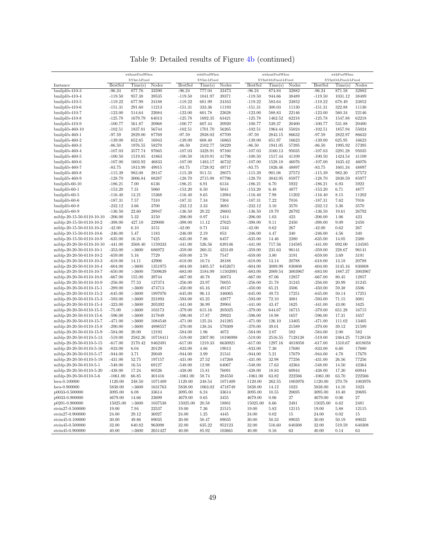| Table 9: Detailed results of Figure 4b (continued) |  |  |
|----------------------------------------------------|--|--|
|----------------------------------------------------|--|--|

|                                                      |                        | withoutPoolWhen   |                   |                        | withPoolWhen      |                 |                        | withoutPoolWhen      |                |                        | withPoolWhen         |                |
|------------------------------------------------------|------------------------|-------------------|-------------------|------------------------|-------------------|-----------------|------------------------|----------------------|----------------|------------------------|----------------------|----------------|
|                                                      |                        | XYInt-LFixed      |                   |                        | XYInt-LFixed      |                 |                        | XYIntOrLFixed-LFixed |                |                        | XYIntOrLFixed-LFixed |                |
| Instance                                             | <b>BestSol</b>         | Time(s)           | <b>Nodes</b>      | <b>BestSol</b>         | Time(s)           | Nodes           | <b>BestSol</b>         | Time(s)              | Nodes          | <b>BestSol</b>         | Time(s)              | Nodes          |
| bmilplib-410-3                                       | $-96.24$               | 877.76            | 33590             | $-96.24$               | 777.04            | 33473           | $-96.24$               | 874.84               | 32882          | $-96.24$               | 871.58               | 32882          |
| bmilplib-410-4                                       | $-119.50$              | 957.38            | 39535             | $-119.50$              | 1041.97           | 39371           | $-119.50$              | 944.66               | 38489          | $-119.50$              | 1031.12              | 38489          |
| bmilplib-410-5                                       | $-119.22$              | 677.99            | 24188             | $-119.22$              | 681.99            | 24163           | $-119.22$              | 583.64               | 23852          | $-119.22$              | 678.49               | 23852          |
| bmilplib-410-6                                       | $-151.31$              | 291.60            | 11213             | $-151.31$              | 333.36            | 11193           | $-151.31$              | 300.03               | 11130          | $-151.31$              | 322.88               | 11130          |
| bmilplib-410-7                                       | $-123.00$              | 514.64            | 22684             | $-123.00$              | 601.78            | 22628           | $-123.00$              | 588.83               | 22146          | $-123.00$              | 560.34               | 22146          |
| bmilplib-410-8                                       | $-125.78$              | 1679.79           | 64013             | $-125.78$              | 1692.35           | 63421           | $-125.78$              | 1462.52              | 62218          | $-125.78$              | 1547.88              | 62218          |
| bmilplib-410-9<br>bmilplib-460-10                    | $-100.77$<br>$-102.51$ | 561.87<br>1837.01 | 20968<br>56744    | $-100.77$<br>$-102.51$ | 607.44<br>1701.70 | 20920<br>56265  | $-100.77$<br>$-102.51$ | 539.37<br>1964.44    | 20400<br>55024 | $-100.77$<br>$-102.51$ | 531.88<br>1857.94    | 20400<br>55024 |
| bmilplib-460-1                                       | $-97.59$               | 2829.00           | 87769             | $-97.59$               | 2938.02           | 87709           | $-97.59$               | 2843.15              | 86632          | $-97.59$               | 2822.97              | 86632          |
| bmilplib-460-2                                       | $-139.00$              | 652.85            | 16943             | $-139.00$              | 608.40            | 16863           | $-139.00$              | 651.97               | 16623          | $-139.00$              | 625.95               | 16623          |
| bmilplib-460-3                                       | $-86.50$               | 1976.55           | 58270             | $-86.50$               | 2102.77           | 58229           | $-86.50$               | 1941.05              | 57395          | $-86.50$               | 1995.92              | 57395          |
| bmilplib-460-4                                       | $-107.03$              | 3577.74           | 97665             | $-107.03$              | 3328.91           | 97160           | $-107.03$              | 3160.13              | 95035          | $-107.03$              | 3291.28              | 95035          |
| bmilplib-460-5                                       | $-100.50$              | 1519.85           | 41863             | $-100.50$              | 1619.91           | 41796           | $-100.50$              | 1517.44              | 41109          | $-100.50$              | 1424.54              | 41109          |
| bmilplib-460-6                                       | $-107.00$              | 1603.92           | 46833             | $-107.00$              | 1483.17           | 46732           | $-107.00$              | 1528.18              | 46076          | $-107.00$              | 1635.42              | 46076          |
| bmilplib-460-7                                       | $-83.75$               | 1813.99           | 49915             | $-83.75$               | 1728.92           | 49717           | $-83.75$               | 1826.46              | 48897          | $-83.75$               | 1601.34              | 48897          |
| bmilplib-460-8                                       | $-115.39$              | 983.08            | 28147             | $-115.39$              | 911.51            | 28075           | $-115.39$              | 901.08               | 27572          | $-115.39$              | 982.30               | 27572          |
| bmilplib-460-9                                       | $-128.70$              | 3006.84           | 88287             | $-128.70$              | 2715.98           | 87796           | $-128.70$              | 3043.95              | 85977          | $-128.70$              | 2830.59              | 85977          |
| bmilplib-60-10                                       | $-186.21$              | 7.00              | 6136              | $-186.21$              | 6.91              | 6134            | $-186.21$              | 6.70                 | 5922           | $-186.21$              | 6.93                 | 5922           |
| bmilplib-60-1                                        | $-153.20$              | 7.31              | 5060              | $-153.20$              | 6.50              | 5041            | $-153.20$              | 6.48                 | 4877           | $-153.20$              | 6.71                 | 4877           |
| bmilplib-60-5                                        | $-116.40$              | 13.21             | 15368             | $-116.40$              | 8.65              | 13984           | $-116.40$              | 7.98                 | 11202          | $-116.40$              | 8.15                 | 11202          |
| bmilplib-60-6                                        | $-187.31$              | 7.57              | 7310              | $-187.31$              | 7.34              | 7304            | $-187.31$              | 7.22                 | 7016           | $-187.31$              | 7.62                 | 7016           |
| bmilplib-60-8                                        | $-232.12$              | 3.66              | 3700              | $-232.12$              | 3.33              | 3683            | $-232.12$              | 3.16                 | 3570           | $-232.12$              | 3.36                 | 3570           |
| bmilplib-60-9                                        | $-136.50$              | 22.60             | 28947             | $-136.50$              | 20.22             | 28603           | $-136.50$              | 19.79                | 26792          | $-136.50$              | 19.61                | 26792          |
| miblp-20-15-50-0110-10-10                            | $-206.00$              | 5.32              | 3150              | $-206.00$              | 0.97              | 1414            | $-206.00$              | 1.03                 | 423            | $-206.00$              | 1.06                 | 423            |
| miblp-20-15-50-0110-10-2                             | $-398.00$              | 427.10            | 229000            | $-398.00$              | 11.12             | 27625           | $-398.00$              | 9.11                 | 2450           | $-398.00$              | 9.09                 | 2450           |
| miblp-20-15-50-0110-10-3                             | $-42.00$               | 6.10              | 3151              | $-42.00$               | 0.71              | 1343            | $-42.00$               | 0.62                 | 267            | $-42.00$               | 0.62                 | 267            |
| miblp-20-15-50-0110-10-6                             | $-246.00$              | 5.47              | 1183              | $-246.00$              | 2.19              | 853             | $-246.00$              | 4.47                 | 340            | $-246.00$              | 4.56                 | 340            |
| miblp-20-15-50-0110-10-9                             | $-635.00$              | 16.24             | 7425              | $-635.00$              | 7.86              | 6457            | $-635.00$              | 14.46                | 2380           | $-635.00$              | 14.05                | 2380           |
| miblp-20-20-50-0110-10-10                            | $-441.00$              | 3568.40           | 1159333           | $-441.00$              | 526.56            | 639146          | $-441.00$              | 717.56               | 134585         | $-441.00$              | 692.00               | 134585         |
| miblp-20-20-50-0110-10-1                             | $-353.00$              | >3600             | 686972            | $-359.00$              | 260.31            | 423149          | $-359.00$              | 231.63               | 96141          | $-359.00$              | 228.67               | 96141          |
| miblp-20-20-50-0110-10-2                             | $-659.00$              | 5.16              | 7729              | $-659.00$              | 2.78              | 7547            | $-659.00$              | 3.80                 | 3191           | $-659.00$              | 3.69                 | 3191           |
| miblp-20-20-50-0110-10-3                             | $-618.00$              | 14.11             | 42906             | $-618.00$              | 10.74             | 38188           | $-618.00$              | 13.14                | 20788          | $-618.00$              | 13.18                | 20788          |
| miblp-20-20-50-0110-10-4                             | $-604.00$              | >3600             | 1351975           | $-604.00$              | 3405.57           | 6452671         | $-604.00$              | 3089.99              | 830808         | $-604.00$              | 3145.16              | 830808         |
| miblp-20-20-50-0110-10-7                             | $-650.00$              | >3600             | 7509639           | $-683.00$              | 3184.99           | 11502091        | $-683.00$              | 2009.54              | 3003967        | $-683.00$              | 1887.37              | 3003967        |
| miblp-20-20-50-0110-10-8                             | $-667.00$              | 155.00            | 39744             | $-667.00$              | 40.78             | 30873           | $-667.00$              | 87.06                | 12857          | $-667.00$              | 80.45                | 12857          |
| miblp-20-20-50-0110-10-9                             | $-256.00$              | 77.53             | 127374            | $-256.00$              | 23.97             | 76055           | $-256.00$              | 21.78                | 31245          | $-256.00$              | 20.99                | 31245          |
| miblp-20-20-50-0110-15-1<br>miblp-20-20-50-0110-15-2 | $-289.00$<br>$-645.00$ | >3600<br>>3600    | 474713<br>1897076 | $-450.00$<br>$-645.00$ | 65.16             | 49137<br>346065 | $-450.00$<br>$-645.00$ | 65.21<br>49.73       | 3506<br>17251  | $-450.00$<br>$-645.00$ | 59.38<br>50.14       | 3506<br>17251  |
| miblp-20-20-50-0110-15-3                             | $-593.00$              | >3600             | 231893            | $-593.00$              | 96.13<br>65.25    | 42877           | $-593.00$              | 72.10                | 3081           | $-593.00$              | 71.15                | 3081           |
| miblp-20-20-50-0110-15-4                             | $-323.00$              | >3600             | 205392            | $-441.00$              | 36.99             | 29904           | $-441.00$              | 43.47                | 1625           | $-441.00$              | 43.00                | 1625           |
| miblp-20-20-50-0110-15-5                             | $-75.00$               | >3600             | 103173            | $-379.00$              | 615.16            | 205025          | $-379.00$              | 644.67               | 16715          | $-379.00$              | 651.28               | 16715          |
| miblp-20-20-50-0110-15-6                             | $-596.00$              | >3600             | 317849            | $-596.00$              | 17.87             | 29923           | $-596.00$              | 18.98                | 1657           | $-596.00$              | 17.31                | 1657           |
| miblp-20-20-50-0110-15-7                             | $-471.00$              | >3600             | 1084548           | $-471.00$              | 125.24            | 241285          | $-471.00$              | 126.10               | 13405          | $-471.00$              | 111.02               | 13405          |
| miblp-20-20-50-0110-15-8                             | $-290.00$              | >3600             | 4898557           | $-370.00$              | 138.34            | 579309          | $-370.00$              | 39.01                | 21589          | $-370.00$              | 39.12                | 21589          |
| miblp-20-20-50-0110-15-9                             | $-584.00$              | 20.00             | 12193             | $-584.00$              | 1.96              | 4072            | $-584.00$              | 2.07                 | 582            | $-584.00$              | $2.00\,$             | 582            |
| miblp-20-20-50-0110-5-13                             | $-519.00$              | 2582.26           | 10718411          | $-519.00$              | 2307.90           | 10196998        | $-519.00$              | 2516.55              | 7128138        | $-519.00$              | 2464.25              | 7128138        |
| miblp-20-20-50-0110-5-15                             | $-617.00$              | 2170.42           | 8462491           | $-617.00$              | 1219.33           | 6630921         | $-617.00$              | 1297.16              | 4018058        | $-617.00$              | 1310.67              | 4018058        |
| miblp-20-20-50-0110-5-16                             | $-833.00$              | 6.04              | 20129             | $-833.00$              | 4.86              | 19013           | $-833.00$              | 7.36                 | 17680          | $-833.00$              | 6.60                 | 17680          |
| miblp-20-20-50-0110-5-17                             | $-944.00$              | 3.71              | 20049             | $-944.00$              | 3.99              | 21541           | $-944.00$              | $5.21\,$             | 17679          | $-944.00$              | 4.78                 | 17679          |
| miblp-20-20-50-0110-5-19                             | $-431.00$              | 52.75             | 197157            | $-431.00$              | 27.52             | 147268          | $-431.00$              | 32.98                | 77256          | $-431.00$              | 26.56                | 77256          |
| miblp-20-20-50-0110-5-1                              | $-548.00$              | 16.54             | 69127             | $-548.00$              | 12.98             | 64067           | $-548.00$              | 17.63                | 42364          | $-548.00$              | 14.50                | 42364          |
| miblp-20-20-50-0110-5-20                             | $-438.00$              | 17.24             | 80526             | $-438.00$              | 15.81             | 76091           | $-438.00$              | 18.83                | 60944          | $-438.00$              | 17.30                | 60944          |
| miblp-20-20-50-0110-5-6                              | $-1061.00$             | 66.85             | 301416            | $-1061.00$             | 58.74             | 284550          | $-1061.00$             | 63.82                | 222566         | $-1061.00$             | 63.70                | 222566         |
| $Iseu-0.100000$                                      | 1120.00                | 248.50            | 1071409           | 1120.00                | 248.54            | 1071409         | 1120.00                | 262.55               | 1003976        | 1120.00                | 270.78               | 1003976        |
| lseu-0.900000                                        | 5838.00                | >3600             | 1631763           | 5838.00                | 1063.02           | 4718749         | 5838.00                | 14.12                | 1023           | 5838.00                | 14.10                | 1023           |
| p0033-0.500000                                       | 3095.00                | 6.08              | 33614             | 3095.00                | 6.24              | 33614           | 3095.00                | 10.55                | 20695          | 3095.00                | 10.48                | 20695          |
| p0033-0.900000                                       | 4679.00                | 14.66             | 23699             | 4679.00                | 0.65              | 3455            | 4679.00                | 0.06                 | $^{27}$        | 4679.00                | 0.06                 | 27             |
| p0201-0.900000                                       | 15025.00               | >3600             | 1037538           | 15025.00               | 20.58             | 18801           | 15025.00               | 6.66                 | 2481           | 15025.00               | 6.62                 | 2481           |
| stein27-0.500000                                     | 19.00                  | 7.94              | 22537             | 19.00                  | 7.36              | 21515           | 19.00                  | 5.82                 | 12115          | 19.00                  | 5.88                 | 12115          |
| stein27-0.900000                                     | 24.00                  | 29.12             | 36927             | 24.00                  | 1.25              | 4445            | 24.00                  | 0.02                 | 15             | 24.00                  | 0.02                 | 15             |
| stein45-0.100000                                     | 30.00                  | 49.86             | 89035             | 30.00                  | 50.47             | 89035           | 30.00                  | 50.33                | 89035          | 30.00                  | 50.19                | 89035          |
| stein45-0.500000                                     | 32.00                  | 640.82            | 963098            | 32.00                  | 635.22            | 952123          | 32.00                  | 516.60               | 640308         | 32.00                  | 519.59               | 640308         |
| stein45-0.900000                                     | 40.00                  | >3600             | 2651427           | 40.00                  | 85.92             | 103661          | 40.00                  | 0.16                 | 63             | 40.00                  | 0.14                 | 63             |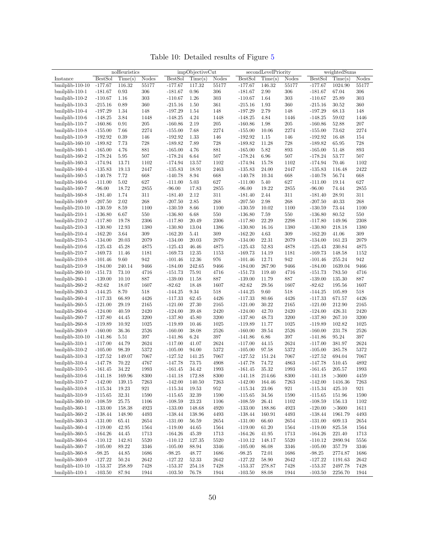Table 10: Detailed results of Figure [5](#page-34-0)

|                    |                | noHeuristics |              | impObjectiveCut |             |       | secondLevelPriority |         |         | weightedSums   |         |              |  |
|--------------------|----------------|--------------|--------------|-----------------|-------------|-------|---------------------|---------|---------|----------------|---------|--------------|--|
| Instance           | <b>BestSol</b> | Time(s)      | <b>Nodes</b> | <b>BestSol</b>  | Time(s)     | Nodes | <b>BestSol</b>      | Time(s) | Nodes   | <b>BestSol</b> | Time(s) | <b>Nodes</b> |  |
| bmilplib-110-10    | $-177.67$      | 116.32       | 55177        | $-177.67$       | 117.32      | 55177 | $-177.67$           | 146.32  | 55177   | $-177.67$      | 1024.90 | 55177        |  |
| $binilplib-110-1$  | $-181.67$      | 0.93         | 306          | $-181.67$       | 0.96        | 306   | $-181.67$           | 2.90    | 306     | $-181.67$      | 67.04   | 306          |  |
| bmilplib-110-2     | $-110.67$      | 1.16         | 303          | $-110.67$       | 1.26        | 303   | $-110.67$           | 1.64    | 303     | $-110.67$      | 25.89   | 303          |  |
| $binilplib-110-3$  | $-215.16$      | 0.89         | 360          | $-215.16$       | 1.50        | 361   | $-215.16$           | 1.93    | 360     | $-215.16$      | 30.52   | 360          |  |
| bmilplib-110-4     | $-197.29$      | 1.34         | 148          | $-197.29$       | 1.54        | 148   | $-197.29$           | 2.79    | 148     | $-197.29$      | 68.13   | 148          |  |
| bmilplib-110-6     | $-148.25$      | 3.84         | 1448         | $-148.25$       | 4.24        |       | $-148.25$           | 4.84    | 1446    | $-148.25$      | 59.02   | 1446         |  |
|                    |                |              |              |                 |             | 1448  |                     |         | $205\,$ |                |         |              |  |
| bmilplib-110-7     | $-160.86$      | 0.91         | $205\,$      | $-160.86$       | 2.19        | 205   | $-160.86$           | 1.98    |         | $-160.86$      | 52.88   | 207          |  |
| bmilplib-110-8     | $-155.00$      | 7.66         | 2274         | $-155.00$       | 7.68        | 2274  | $-155.00$           | 10.06   | 2274    | $-155.00$      | 73.62   | 2274         |  |
| bmilplib-110-9     | $-192.92$      | 0.39         | 146          | $-192.92$       | 1.33        | 146   | $-192.92$           | 1.15    | 146     | $-192.92$      | 16.48   | 154          |  |
| $binilplib-160-10$ | $-189.82$      | 7.73         | 728          | $-189.82$       | 7.89        | 728   | $-189.82$           | 11.28   | 728     | $-189.82$      | 65.95   | 728          |  |
| bmilplib-160-1     | $-165.00$      | 4.76         | 881          | $-165.00$       | 4.76        | 881   | $-165.00$           | 5.82    | 893     | $-165.00$      | 51.48   | 893          |  |
| bmilplib-160-2     | $-178.24$      | 5.95         | 507          | $-178.24$       | 6.64        | 507   | $-178.24$           | 6.96    | 507     | $-178.24$      | 53.77   | 507          |  |
| bmilplib-160-3     | $-174.94$      | 13.71        | 1102         | $-174.94$       | 13.57       | 1102  | $-174.94$           | 15.78   | 1102    | $-174.94$      | 70.46   | 1102         |  |
| bmilplib-160-4     | $-135.83$      | 19.13        | 2447         | $-135.83$       | 18.91       | 2463  | $-135.83$           | 24.00   | 2447    | $-135.83$      | 116.48  | 2422         |  |
| bmilplib-160-5     | $-140.78$      | 7.72         | 668          | $-140.78$       | 8.94        | 668   | $-140.78$           | 10.34   | 668     | $-140.78$      | 56.74   | 668          |  |
| bmilplib-160-6     | $-111.00$      | 5.02         | 627          | $-111.00$       | 5.03        | 627   | $-111.00$           | 5.40    | 627     | $-111.00$      | 19.14   | 627          |  |
| bmilplib-160-7     | $-96.00$       | 18.72        | 2855         | $-96.00$        | 17.83       | 2855  | $-96.00$            | 19.22   | 2855    | $-96.00$       | 74.44   | 2855         |  |
| bmilplib-160-8     | $-181.40$      | 1.74         | 311          | $-181.40$       | 2.12        | 311   | $-181.40$           | 2.44    | 311     | $-181.40$      | 28.91   | 311          |  |
| bmilplib-160-9     | $-207.50$      | 2.02         | 268          | $-207.50$       | 2.85        | 268   | $-207.50$           | 2.98    | 268     | $-207.50$      | 40.33   | 268          |  |
| bmilplib-210-10    | $-130.59$      | 8.59         | 1100         | $-130.59$       | 8.66        | 1100  | $-130.59$           | 10.02   | 1100    | $-130.59$      | 73.44   | 1100         |  |
| bmilplib-210-1     | $-136.80$      | 6.67         | 550          | $-136.80$       | 6.68        | 550   | $-136.80$           | 7.59    | 550     | $-136.80$      | 80.52   | 550          |  |
| bmilplib-210-2     | $-117.80$      | 19.78        | 2306         | $-117.80$       | 20.49       | 2306  | $-117.80$           | 22.29   | 2298    | $-117.80$      | 149.96  | 2308         |  |
| $binilplib-210-3$  | $-130.80$      | 12.93        | 1380         | $-130.80$       | 13.04       | 1386  | $-130.80$           | 16.16   | 1380    | $-130.80$      | 218.18  | 1380         |  |
| bmilplib-210-4     | $-162.20$      | 3.64         | 309          | $-162.20$       | 5.41        | 309   | $-162.20$           | 4.63    | 309     | $-162.20$      | 41.06   | 309          |  |
| $binilplib-210-5$  | $-134.00$      | 20.03        | 2079         | $-134.00$       | 20.03       | 2079  | $-134.00$           | 22.31   | 2079    | $-134.00$      | 161.23  | 2079         |  |
| bmilplib-210-6     | $-125.43$      | 45.28        | 4875         | $-125.43$       | 46.46       | 4875  | $-125.43$           | 52.83   | 4878    | $-125.43$      | 230.84  | 4875         |  |
| bmilplib-210-7     | $-169.73$      | 11.46        | 1181         | $-169.73$       | 12.35       | 1153  | $-169.73$           | 14.19   | 1181    | $-169.73$      | 148.58  | 1152         |  |
| bmilplib-210-8     | $-101.46$      | 9.60         | 942          | $-101.46$       | 12.36       | 976   | $-101.46$           | 12.71   | 942     | $-101.46$      | 255.24  | 942          |  |
| bmilplib-210-9     | $-184.00$      | 240.14       | 9466         | $-184.00$       | 242.65      | 9466  | $-184.00$           | 267.90  | 9466    | $-184.00$      | 1639.04 | 9466         |  |
| $binilplib-260-10$ | $-151.73$      | 73.10        | 4716         | $-151.73$       | 75.91       | 4716  | $-151.73$           | 119.40  | 4716    | $-151.73$      | 783.50  | 4716         |  |
| bmilplib-260-1     | $-139.00$      | 10.10        | 887          | $-139.00$       | 11.58       | 887   | $-139.00$           | 11.79   | 887     | $-139.00$      | 135.30  | 887          |  |
| bmilplib-260-2     | $-82.62$       | 18.07        | 1607         | $-82.62$        | 18.48       | 1607  | $-82.62$            | 29.56   | 1607    | $-82.62$       | 195.56  | 1607         |  |
| bmilplib-260-3     | $-144.25$      | 8.70         | 518          | $-144.25$       | 9.34        | 518   | $-144.25$           | 9.60    | 518     | $-144.25$      | 105.89  | 518          |  |
| bmilplib-260-4     | $-117.33$      | 66.89        | 4426         | $-117.33$       | 62.45       | 4426  | $-117.33$           | 80.66   | 4426    | $-117.33$      | 671.57  | 4426         |  |
| bmilplib-260-5     | $-121.00$      | 29.19        | 2165         | $-121.00$       | 27.30       | 2165  | $-121.00$           | 30.22   | 2165    | $-121.00$      | 212.90  | 2165         |  |
| bmilplib-260-6     | $-124.00$      | 40.59        | 2420         | $-124.00$       | 39.48       | 2420  | $-124.00$           | 42.70   | 2420    | $-124.00$      | 426.31  | 2420         |  |
| bmilplib-260-7     | $-137.80$      | 44.45        | 3200         | $-137.80$       | 45.80       | 3200  | $-137.80$           | 48.73   | 3200    | $-137.80$      | 267.10  | 3200         |  |
| bmilplib-260-8     | $-119.89$      | 10.92        | 1025         | $-119.89$       | 10.46       | 1025  | $-119.89$           | 11.77   | 1025    | $-119.89$      | 102.82  | 1025         |  |
| bmilplib-260-9     | $-160.00$      | 36.36        | 2526         | $-160.00$       | 38.08       | 2526  | $-160.00$           | 39.54   | 2526    | $-160.00$      | 231.78  | 2526         |  |
| bmilplib-310-10    | $-141.86$      | 5.51         | 397          | $-141.86$       | 6.24        | 397   | $-141.86$           | 6.86    | $397\,$ | $-141.86$      | 95.24   | 397          |  |
| $binilplib-310-1$  | $-117.00$      | 44.79        | 2624         | $-117.00$       | 41.07       | 2624  | $-117.00$           | 44.15   | 2624    | $-117.00$      | 381.97  | 2624         |  |
| bmilplib-310-2     | $-105.00$      | 98.39        | 5372         | $-105.00$       | 94.00       | 5372  | $-105.00$           | 97.58   | 5372    | $-105.00$      | 385.78  | 5372         |  |
| $binilplib-310-3$  | $-127.52$      | 149.07       | 7067         | $-127.52$       | 141.25      | 7067  | $-127.52$           | 151.24  | 7067    | $-127.52$      | 694.04  | 7067         |  |
| bmilplib-310-4     | $-147.78$      | 70.22        | 4767         | $-147.78$       | 73.75       | 4908  | $-147.78$           | 74.72   | 4863    | $-147.78$      | 510.45  | 4892         |  |
| $bmilplib-310-5$   | $-161.45$      | 34.22        | 1993         | $-161.45$       | 34.42       | 1993  | $-161.45$           | 35.32   | 1993    | $-161.45$      | 205.57  | 1993         |  |
| bmilplib-310-6     | $-141.18$      | 169.96       | 8300         | $-141.18$       | 172.88      | 8300  | $-141.18$           | 214.66  | 8300    | $-141.18$      | >3600   | 4459         |  |
| bmilplib-310-7     | $-142.00$      | 139.15       |              |                 |             |       |                     |         |         |                | 1416.36 |              |  |
|                    |                |              | 7263         | $-142.00$       | 140.50      | 7263  | $-142.00$           | 164.46  | 7263    | $-142.00$      |         | 7263         |  |
| bmilplib-310-8     | $-115.34$      | 19.23        | $921\,$      | $-115.34$       | 19.53       | 952   | $-115.34$           | 23.06   | $921\,$ | $-115.34$      | 425.10  | 921          |  |
| bmilplib-310-9     | $-115.65$      | 32.31        | 1590         | $-115.65$       | 32.39       | 1590  | $-115.65$           | 34.56   | 1590    | $-115.65$      | 151.96  | 1590         |  |
| $binilplib-360-10$ | $-108.59$      | 25.75        | 1106         | $-108.59$       | 23.23       | 1106  | $-108.59$           | 26.41   | 1102    | $-108.59$      | 156.13  | 1102         |  |
| bmilplib-360-1     | $-133.00$      | 158.38       | 4923         | $-133.00$       | 148.68      | 4920  | $-133.00$           | 188.86  | 4923    | $-120.00$      | >3600   | 1611         |  |
| bmilplib-360-2     | $-138.44$      | 148.90       | 4493         | $-138.44$       | 138.96      | 4493  | $-138.44$           | 160.91  | 4493    | $-138.44$      | 1961.79 | 4493         |  |
| bmilplib-360-3     | $-131.00$      | 65.41        | $2654\,$     | $-131.00$       | 56.59       | 2654  | $-131.00$           | 66.60   | 2654    | $-131.00$      | 609.13  | 2654         |  |
| bmilplib-360-4     | $-119.00$      | 42.95        | 1564         | $-119.00$       | 44.65       | 1564  | $-119.00$           | 61.20   | 1564    | $-119.00$      | 825.58  | 1564         |  |
| bmilplib-360-5     | $-164.26$      | 44.45        | 1713         | $-164.26$       | $\rm 45.39$ | 1713  | $-164.26$           | 41.95   | 1713    | $-164.26$      | 221.40  | 1713         |  |
| bmilplib-360-6     | $-110.12$      | 142.81       | 5520         | $-110.12$       | 127.35      | 5520  | $-110.12$           | 148.17  | 5520    | $-110.12$      | 2890.94 | 5556         |  |
| bmilplib-360-7     | $-105.00$      | $89.22\,$    | 3346         | $-105.00$       | 88.94       | 3346  | $-105.00$           | 86.08   | 3346    | $-105.00$      | 357.79  | 3346         |  |
| bmilplib-360-8     | $-98.25$       | 44.85        | 1686         | $-98.25$        | 48.77       | 1686  | $-98.25$            | 72.01   | 1686    | $-98.25$       | 2774.87 | 1686         |  |
| bmilplib-360-9     | $-127.22$      | 50.24        | 2642         | $-127.22$       | 52.33       | 2642  | $-127.22$           | 58.90   | 2642    | $-127.22$      | 1191.63 | 2642         |  |
| bmilplib-410-10    | $-153.37$      | 258.89       | 7428         | $-153.37$       | 254.18      | 7428  | $-153.37$           | 278.87  | 7428    | $-153.37$      | 2497.78 | 7428         |  |
| bmilplib-410-1     | $-103.50$      | 87.94        | 1944         | $-103.50$       | 76.78       | 1944  | $-103.50$           | 88.08   | 1944    | $-103.50$      | 2256.70 | 1944         |  |